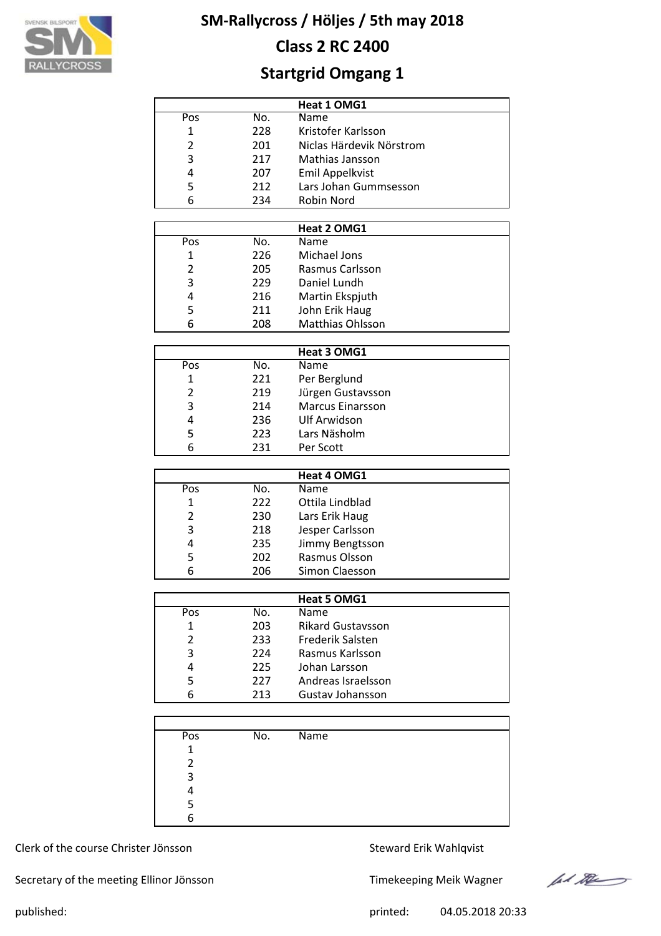

# **Class 2 RC 2400**

# **Startgrid Omgang 1**

|     |     | Heat 1 OMG1              |
|-----|-----|--------------------------|
| Pos | No. | Name                     |
| 1   | 228 | Kristofer Karlsson       |
| 2   | 201 | Niclas Härdevik Nörstrom |
| 3   | 217 | Mathias Jansson          |
| 4   | 207 | Emil Appelkvist          |
| 5   | 212 | Lars Johan Gummsesson    |
| 6   | 234 | Robin Nord               |

|              |     | Heat 2 OMG1      |  |
|--------------|-----|------------------|--|
| Pos          | No. | <b>Name</b>      |  |
| $\mathbf{1}$ | 226 | Michael Jons     |  |
| 2            | 205 | Rasmus Carlsson  |  |
| 3            | 229 | Daniel Lundh     |  |
| 4            | 216 | Martin Ekspjuth  |  |
| 5            | 211 | John Erik Haug   |  |
| 6            | 208 | Matthias Ohlsson |  |

|                |     | Heat 3 OMG1             |
|----------------|-----|-------------------------|
| Pos            | No. | Name                    |
| 1              | 221 | Per Berglund            |
| $\mathfrak{p}$ | 219 | Jürgen Gustavsson       |
| 3              | 214 | <b>Marcus Einarsson</b> |
| 4              | 236 | <b>Ulf Arwidson</b>     |
| 5              | 223 | Lars Näsholm            |
| 6              | 231 | Per Scott               |

| Heat 4 OMG1 |     |                 |  |  |  |  |  |  |
|-------------|-----|-----------------|--|--|--|--|--|--|
| Pos         | No. | Name            |  |  |  |  |  |  |
| 1           | 222 | Ottila Lindblad |  |  |  |  |  |  |
| 2           | 230 | Lars Erik Haug  |  |  |  |  |  |  |
| 3           | 218 | Jesper Carlsson |  |  |  |  |  |  |
| 4           | 235 | Jimmy Bengtsson |  |  |  |  |  |  |
| 5           | 202 | Rasmus Olsson   |  |  |  |  |  |  |
| 6           | 206 | Simon Claesson  |  |  |  |  |  |  |

|     |     | <b>Heat 5 OMG1</b>       |
|-----|-----|--------------------------|
| Pos | No. | Name                     |
| 1   | 203 | <b>Rikard Gustavsson</b> |
| 2   | 233 | Frederik Salsten         |
| 3   | 224 | Rasmus Karlsson          |
| 4   | 225 | Johan Larsson            |
| 5   | 227 | Andreas Israelsson       |
| 6   | 213 | Gustav Johansson         |

| Pos | No. | Name |
|-----|-----|------|
| 1   |     |      |
| າ   |     |      |
| 3   |     |      |
|     |     |      |
|     |     |      |
| 6   |     |      |

# Clerk of the course Christer Jönsson Steward Erik Wahlqvist

Secretary of the meeting Ellinor Jönsson Timekeeping Meik Wagner



published: 04.05.2018 20:33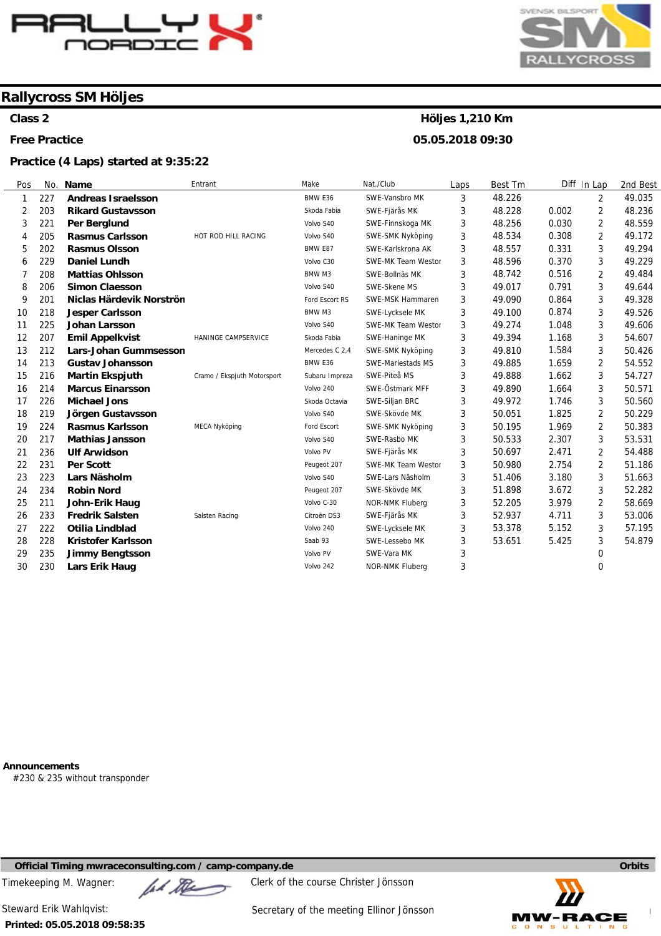

**Class 2** 

**Free Practice** 

#### **Practice (4 Laps) started at 9:35:22**



# **Höljes 1,210 Km**

**05.05.2018 09:30** 

| Pos            | No. | Name                         | Entrant                     | Make           | Nat./Club                 | Laps | Best Tm |       | Diff In Lap    | 2nd Best |
|----------------|-----|------------------------------|-----------------------------|----------------|---------------------------|------|---------|-------|----------------|----------|
| $\mathbf{1}$   | 227 | <b>Andreas Israelsson</b>    |                             | BMW E36        | SWE-Vansbro MK            | 3    | 48.226  |       | $\overline{2}$ | 49.035   |
| 2              | 203 | <b>Rikard Gustavsson</b>     |                             | Skoda Fabia    | SWE-Fjärås MK             | 3    | 48.228  | 0.002 | 2              | 48.236   |
| 3              | 221 | Per Berglund                 |                             | Volvo S40      | SWE-Finnskoga MK          | 3    | 48.256  | 0.030 | 2              | 48.559   |
| 4              | 205 | <b>Rasmus Carlsson</b>       | HOT ROD HILL RACING         | Volvo S40      | SWE-SMK Nyköping          | 3    | 48.534  | 0.308 | 2              | 49.172   |
| 5              | 202 | <b>Rasmus Olsson</b>         |                             | BMW E87        | SWE-Karlskrona AK         | 3    | 48.557  | 0.331 | 3              | 49.294   |
| 6              | 229 | <b>Daniel Lundh</b>          |                             | Volvo C30      | <b>SWE-MK Team Westor</b> | 3    | 48.596  | 0.370 | 3              | 49.229   |
| $\overline{7}$ | 208 | <b>Mattias Ohlsson</b>       |                             | BMW M3         | SWE-Bollnäs MK            | 3    | 48.742  | 0.516 | 2              | 49.484   |
| 8              | 206 | <b>Simon Claesson</b>        |                             | Volvo S40      | SWE-Skene MS              | 3    | 49.017  | 0.791 | 3              | 49.644   |
| 9              | 201 | Niclas Härdevik Norströn     |                             | Ford Escort RS | <b>SWE-MSK Hammaren</b>   | 3    | 49.090  | 0.864 | 3              | 49.328   |
| 10             | 218 | <b>Jesper Carlsson</b>       |                             | BMW M3         | SWE-Lycksele MK           | 3    | 49.100  | 0.874 | 3              | 49.526   |
| 11             | 225 | <b>Johan Larsson</b>         |                             | Volvo S40      | <b>SWE-MK Team Westor</b> | 3    | 49.274  | 1.048 | 3              | 49.606   |
| 12             | 207 | <b>Emil Appelkvist</b>       | HANINGE CAMPSERVICE         | Skoda Fabia    | SWE-Haninge MK            | 3    | 49.394  | 1.168 | 3              | 54.607   |
| 13             | 212 | <b>Lars-Johan Gummsesson</b> |                             | Mercedes C 2,4 | SWE-SMK Nyköping          | 3    | 49.810  | 1.584 | 3              | 50.426   |
| 14             | 213 | <b>Gustav Johansson</b>      |                             | BMW E36        | SWE-Mariestads MS         | 3    | 49.885  | 1.659 | 2              | 54.552   |
| 15             | 216 | <b>Martin Ekspjuth</b>       | Cramo / Ekspjuth Motorsport | Subaru Impreza | SWE-Piteå MS              | 3    | 49.888  | 1.662 | 3              | 54.727   |
| 16             | 214 | <b>Marcus Einarsson</b>      |                             | Volvo 240      | SWE-Östmark MFF           | 3    | 49.890  | 1.664 | 3              | 50.571   |
| 17             | 226 | <b>Michael Jons</b>          |                             | Skoda Octavia  | SWE-Siljan BRC            | 3    | 49.972  | 1.746 | 3              | 50.560   |
| 18             | 219 | Jörgen Gustavsson            |                             | Volvo S40      | SWE-Skövde MK             | 3    | 50.051  | 1.825 | 2              | 50.229   |
| 19             | 224 | <b>Rasmus Karlsson</b>       | <b>MECA Nyköping</b>        | Ford Escort    | SWE-SMK Nyköping          | 3    | 50.195  | 1.969 | 2              | 50.383   |
| 20             | 217 | <b>Mathias Jansson</b>       |                             | Volvo S40      | SWE-Rasbo MK              | 3    | 50.533  | 2.307 | 3              | 53.531   |
| 21             | 236 | <b>Ulf Arwidson</b>          |                             | Volvo PV       | SWE-Fjärås MK             | 3    | 50.697  | 2.471 | 2              | 54.488   |
| 22             | 231 | <b>Per Scott</b>             |                             | Peugeot 207    | SWE-MK Team Westor        | 3    | 50.980  | 2.754 | 2              | 51.186   |
| 23             | 223 | Lars Näsholm                 |                             | Volvo S40      | SWE-Lars Näsholm          | 3    | 51.406  | 3.180 | 3              | 51.663   |
| 24             | 234 | <b>Robin Nord</b>            |                             | Peugeot 207    | SWE-Skövde MK             | 3    | 51.898  | 3.672 | 3              | 52.282   |
| 25             | 211 | John-Erik Haug               |                             | Volvo C-30     | NOR-NMK Fluberg           | 3    | 52.205  | 3.979 | 2              | 58.669   |
| 26             | 233 | <b>Fredrik Salsten</b>       | Salsten Racing              | Citroën DS3    | SWE-Fjärås MK             | 3    | 52.937  | 4.711 | 3              | 53.006   |
| 27             | 222 | Otilia Lindblad              |                             | Volvo 240      | SWE-Lycksele MK           | 3    | 53.378  | 5.152 | 3              | 57.195   |
| 28             | 228 | <b>Kristofer Karlsson</b>    |                             | Saab 93        | SWE-Lessebo MK            | 3    | 53.651  | 5.425 | 3              | 54.879   |
| 29             | 235 | <b>Jimmy Bengtsson</b>       |                             | Volvo PV       | SWE-Vara MK               | 3    |         |       | 0              |          |
| 30             | 230 | Lars Erik Haug               |                             | Volvo 242      | <b>NOR-NMK Fluberg</b>    | 3    |         |       | 0              |          |

**Announcements** 

#230 & 235 without transponder

**Official Timing mwraceconsulting.com / camp-company.de Company of Company of Company of Company of Company of Company of Company of Company of Company of Company of Company of Company of Company of Company of Company of** 

Timekeeping M. Wagner:  $\mathbb{Z}$   $\mathbb{Z}$  Clerk of the course Christer Jönsson



**Printed: 05.05.2018 09:58:35** 

Steward Erik Wahlqvist: Steward Erik Wahlqvist: Secretary of the meeting Ellinor Jönsson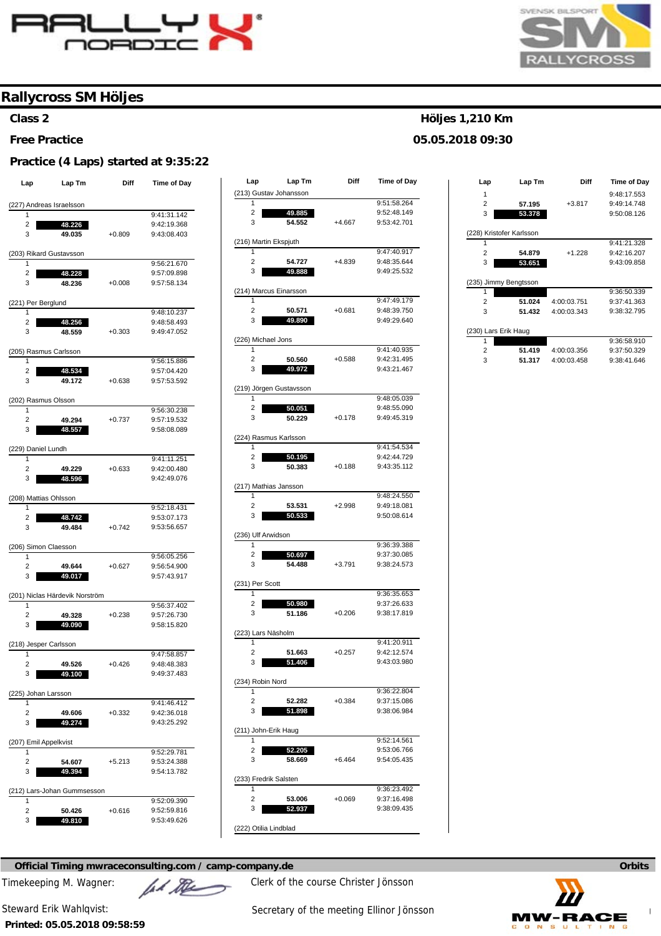



### **Class 2**

#### **Free Practice**

#### **Practice (4 Laps) started at 9:35:22**

| Lap                        | Lap Tm                         | Diff     | Time of Day |
|----------------------------|--------------------------------|----------|-------------|
|                            | (227) Andreas Israelsson       |          |             |
| 1                          |                                |          | 9:41:31.142 |
| 2                          | 48.226                         |          | 9:42:19.368 |
| 3                          | 49.035                         | $+0.809$ | 9:43:08.403 |
|                            |                                |          |             |
| (203) Rikard Gustavsson    |                                |          |             |
| 1                          |                                |          | 9:56:21.670 |
| 2                          | 48.228                         |          | 9:57:09.898 |
| 3                          | 48.236                         | $+0.008$ | 9:57:58.134 |
| (221) Per Berglund         |                                |          |             |
| 1                          |                                |          | 9:48:10.237 |
| 2                          | 48.256                         |          | 9:48:58.493 |
| 3                          | 48.559                         | $+0.303$ | 9:49:47.052 |
| (205) Rasmus Carlsson      |                                |          |             |
| 1                          |                                |          | 9:56:15.886 |
| 2                          | 48.534                         |          | 9:57:04.420 |
| 3                          | 49.172                         | $+0.638$ | 9:57:53.592 |
|                            |                                |          |             |
| (202) Rasmus Olsson        |                                |          |             |
| 1                          |                                |          | 9:56:30.238 |
| 2                          | 49.294                         | $+0.737$ | 9:57:19.532 |
| 3                          | 48.557                         |          | 9:58:08.089 |
| (229) Daniel Lundh         |                                |          |             |
| 1                          |                                |          | 9:41:11.251 |
| 2                          | 49.229                         | $+0.633$ | 9:42:00.480 |
| 3                          | 48.596                         |          | 9:42:49.076 |
| (208) Mattias Ohlsson      |                                |          |             |
| 1                          |                                |          | 9:52:18.431 |
| 2                          | 48.742                         |          | 9:53:07.173 |
| 3                          | 49.484                         | $+0.742$ | 9:53:56.657 |
|                            |                                |          |             |
| (206) Simon Claesson<br>1  |                                |          | 9:56:05.256 |
| 2                          | 49.644                         | $+0.627$ | 9:56:54.900 |
| 3                          | 49.017                         |          | 9:57:43.917 |
|                            |                                |          |             |
|                            | (201) Niclas Härdevik Norström |          |             |
| 1                          |                                |          | 9:56:37.402 |
| 2                          | 49.328                         | $+0.238$ | 9:57:26.730 |
| 3                          | 49.090                         |          | 9:58:15.820 |
| (218) Jesper Carlsson      |                                |          |             |
| 1                          |                                |          | 9:47:58.857 |
| 2                          | 49.526                         | $+0.426$ | 9:48:48.383 |
| 3                          | 49.100                         |          | 9:49:37.483 |
| 225) Johan Larsson         |                                |          |             |
| 1                          |                                |          | 9:41:46.412 |
| 2                          | 49.606                         | $+0.332$ | 9:42:36.018 |
| 3                          | 49.274                         |          | 9:43:25.292 |
|                            |                                |          |             |
| (207) Emil Appelkvist<br>1 |                                |          |             |
|                            |                                |          | 9:52:29.781 |
| 2                          | 54.607                         | +5.213   | 9:53:24.388 |
| 3                          | 49.394                         |          | 9:54:13.782 |
|                            | (212) Lars-Johan Gummsesson    |          |             |
| 1                          |                                |          | 9:52:09.390 |
| 2                          | 50.426                         | $+0.616$ | 9:52:59.816 |
| 3                          | 49.810                         |          | 9:53:49.626 |

| Lap                        | Lap Tm                  | Diff     | <b>Time of Day</b> |
|----------------------------|-------------------------|----------|--------------------|
|                            | (213) Gustav Johansson  |          |                    |
| 1                          |                         |          | 9:51:58.264        |
| 2                          | 49.885                  |          | 9:52:48.149        |
| 3                          | 54.552                  | +4.667   | 9:53:42.701        |
|                            |                         |          |                    |
| (216) Martin Ekspjuth<br>1 |                         |          | 9:47:40.917        |
| 2                          | 54.727                  | +4.839   | 9:48:35.644        |
| 3                          | 49.888                  |          | 9:49:25.532        |
|                            |                         |          |                    |
| (214) Marcus Einarsson     |                         |          |                    |
| 1                          |                         |          | 9:47:49.179        |
| 2                          | 50.571                  | $+0.681$ | 9:48:39.750        |
| 3                          | 49.890                  |          | 9:49:29.640        |
| (226) Michael Jons         |                         |          |                    |
| 1                          |                         |          | 9:41:40.935        |
| 2                          | 50.560                  | $+0.588$ | 9:42:31.495        |
| 3                          | 49.972                  |          | 9:43:21.467        |
|                            | (219) Jörgen Gustavsson |          |                    |
| 1                          |                         |          | 9:48:05.039        |
| 2                          | 50.051                  |          | 9:48:55.090        |
| 3                          | 50.229                  | $+0.178$ | 9:49:45.319        |
|                            |                         |          |                    |
| (224) Rasmus Karlsson<br>1 |                         |          | 9:41:54.534        |
| 2                          | 50.195                  |          | 9:42:44.729        |
| 3                          | 50.383                  | $+0.188$ | 9:43:35.112        |
|                            |                         |          |                    |
| (217) Mathias Jansson      |                         |          |                    |
| 1                          |                         |          | 9:48:24.550        |
| $\overline{c}$<br>3        | 53.531                  | $+2.998$ | 9:49:18.081        |
|                            | 50.533                  |          | 9:50:08.614        |
| (236) Ulf Arwidson         |                         |          |                    |
| 1                          |                         |          | 9:36:39.388        |
| 2                          | 50.697                  |          | 9:37:30.085        |
| 3                          | 54.488                  | $+3.791$ | 9:38:24.573        |
| (231) Per Scott            |                         |          |                    |
| 1                          |                         |          | 9:36:35.653        |
| $\overline{c}$             | 50.980                  |          | 9:37:26.633        |
| 3                          | 51.186                  | $+0.206$ | 9:38:17.819        |
|                            |                         |          |                    |
| (223) Lars Näsholm<br>1    |                         |          | 9:41:20.911        |
| 2                          | 51.663                  | $+0.257$ | 9:42:12.574        |
| 3                          | 51.406                  |          | 9:43:03.980        |
|                            |                         |          |                    |
| (234) Robin Nord<br>1      |                         |          | 9:36:22.804        |
| 2                          | 52.282                  | +0.384   | 9:37:15.086        |
| 3                          | 51.898                  |          | 9:38:06.984        |
|                            |                         |          |                    |
| (211) John-Erik Haug       |                         |          |                    |
| 1                          |                         |          | 9:52:14.561        |
| $\overline{c}$             | 52.205                  |          | 9:53:06.766        |
| 3                          | 58.669                  | +6.464   | 9:54:05.435        |
| (233) Fredrik Salsten      |                         |          |                    |
| 1                          |                         |          | 9:36:23.492        |
| $\overline{c}$             | 53.006                  | +0.069   | 9:37:16.498        |
| 3                          | 52.937                  |          | 9:38:09.435        |
|                            |                         |          |                    |
| (222) Otilia Lindblad      |                         |          |                    |

### **Official Timing mwraceconsulting.com / camp-company.de Company of Company of Company of Company of Company of Company of Company of Company of Company of Company of Company of Company of Company of Company of Company of**

Timekeeping M. Wagner:  $\mathbb{Z}$   $\mathbb{Z}$  Clerk of the course Christer Jönsson

# **Printed: 05.05.2018 09:58:59**

Steward Erik Wahlqvist: Steward Erik Wahlqvist: Secretary of the meeting Ellinor Jönsson

# **Höljes 1,210 Km**

**05.05.2018 09:30** 

| Lap                      | Lap Tm | Diff        | Time of Day |  |  |  |  |  |  |  |
|--------------------------|--------|-------------|-------------|--|--|--|--|--|--|--|
| 1                        |        |             | 9:48:17.553 |  |  |  |  |  |  |  |
| $\overline{2}$           | 57.195 | $+3.817$    | 9:49:14.748 |  |  |  |  |  |  |  |
| 3                        | 53.378 |             | 9:50:08.126 |  |  |  |  |  |  |  |
|                          |        |             |             |  |  |  |  |  |  |  |
| (228) Kristofer Karlsson |        |             |             |  |  |  |  |  |  |  |
|                          |        |             | 9:41:21.328 |  |  |  |  |  |  |  |
| $\overline{2}$           | 54.879 | $+1.228$    | 9:42:16.207 |  |  |  |  |  |  |  |
| 3                        | 53.651 |             | 9:43:09.858 |  |  |  |  |  |  |  |
|                          |        |             |             |  |  |  |  |  |  |  |
| (235) Jimmy Bengtsson    |        |             |             |  |  |  |  |  |  |  |
|                          |        |             | 9:36:50.339 |  |  |  |  |  |  |  |
| $\overline{2}$           | 51.024 | 4:00:03.751 | 9:37:41.363 |  |  |  |  |  |  |  |
| 3                        | 51.432 | 4:00:03.343 | 9:38:32.795 |  |  |  |  |  |  |  |
|                          |        |             |             |  |  |  |  |  |  |  |
| (230) Lars Erik Haug     |        |             |             |  |  |  |  |  |  |  |
| 1                        |        |             | 9:36:58.910 |  |  |  |  |  |  |  |
| $\overline{2}$           | 51.419 | 4:00:03.356 | 9:37:50.329 |  |  |  |  |  |  |  |
| 3                        | 51.317 | 4:00:03.458 | 9:38:41.646 |  |  |  |  |  |  |  |
|                          |        |             |             |  |  |  |  |  |  |  |

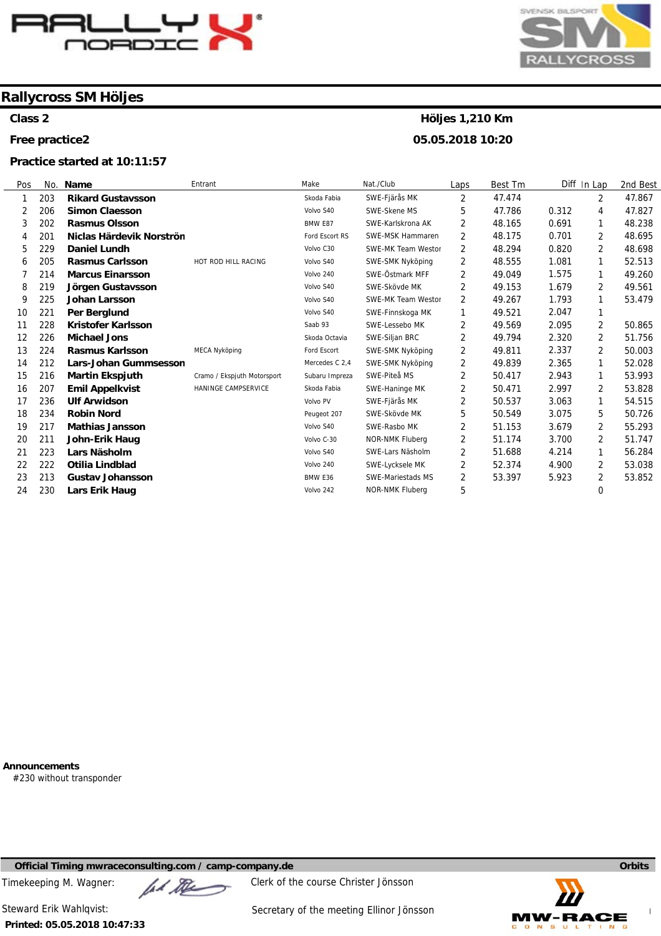

**Class 2** 

**Free practice2** 

#### **Practice started at 10:11:57**



# **Höljes 1,210 Km**

**05.05.2018 10:20** 

| Pos | No. | <b>Name</b>                  | Entrant                     | Make           | Nat./Club                 | Laps | Best Im | Diff In Lap |                | 2nd Best |
|-----|-----|------------------------------|-----------------------------|----------------|---------------------------|------|---------|-------------|----------------|----------|
|     | 203 | <b>Rikard Gustavsson</b>     |                             | Skoda Fabia    | SWE-Fjärås MK             | 2    | 47.474  |             | $\overline{2}$ | 47.867   |
| 2   | 206 | <b>Simon Claesson</b>        |                             | Volvo S40      | SWE-Skene MS              | 5    | 47.786  | 0.312       | 4              | 47.827   |
| 3   | 202 | <b>Rasmus Olsson</b>         |                             | BMW E87        | SWE-Karlskrona AK         | 2    | 48.165  | 0.691       | 1              | 48.238   |
| 4   | 201 | Niclas Härdevik Norströn     |                             | Ford Escort RS | SWE-MSK Hammaren          | 2    | 48.175  | 0.701       | 2              | 48.695   |
| 5   | 229 | <b>Daniel Lundh</b>          |                             | Volvo C30      | SWE-MK Team Westor        | 2    | 48.294  | 0.820       | 2              | 48.698   |
| 6   | 205 | <b>Rasmus Carlsson</b>       | HOT ROD HILL RACING         | Volvo S40      | SWE-SMK Nyköping          | 2    | 48.555  | 1.081       | 1              | 52.513   |
|     | 214 | <b>Marcus Einarsson</b>      |                             | Volvo 240      | SWE-Östmark MFF           | 2    | 49.049  | 1.575       |                | 49.260   |
| 8   | 219 | Jörgen Gustavsson            |                             | Volvo S40      | SWE-Skövde MK             | 2    | 49.153  | 1.679       | 2              | 49.561   |
| 9   | 225 | Johan Larsson                |                             | Volvo S40      | <b>SWE-MK Team Westor</b> | 2    | 49.267  | 1.793       |                | 53.479   |
| 10  | 221 | Per Berglund                 |                             | Volvo S40      | SWE-Finnskoga MK          | 1    | 49.521  | 2.047       |                |          |
| 11  | 228 | Kristofer Karlsson           |                             | Saab 93        | SWE-Lessebo MK            | 2    | 49.569  | 2.095       | 2              | 50.865   |
| 12  | 226 | <b>Michael Jons</b>          |                             | Skoda Octavia  | SWE-Siljan BRC            | 2    | 49.794  | 2.320       | 2              | 51.756   |
| 13  | 224 | <b>Rasmus Karlsson</b>       | <b>MECA Nyköping</b>        | Ford Escort    | SWE-SMK Nyköping          | 2    | 49.811  | 2.337       | 2              | 50.003   |
| 14  | 212 | <b>Lars-Johan Gummsesson</b> |                             | Mercedes C 2,4 | SWE-SMK Nyköping          | 2    | 49.839  | 2.365       | 1              | 52.028   |
| 15  | 216 | <b>Martin Ekspjuth</b>       | Cramo / Ekspjuth Motorsport | Subaru Impreza | SWE-Piteå MS              | 2    | 50.417  | 2.943       | 1              | 53.993   |
| 16  | 207 | <b>Emil Appelkvist</b>       | HANINGE CAMPSERVICE         | Skoda Fabia    | SWE-Haninge MK            | 2    | 50.471  | 2.997       | $\overline{2}$ | 53.828   |
| 17  | 236 | <b>Ulf Arwidson</b>          |                             | Volvo PV       | SWE-Fjärås MK             | 2    | 50.537  | 3.063       | $\mathbf{1}$   | 54.515   |
| 18  | 234 | <b>Robin Nord</b>            |                             | Peugeot 207    | SWE-Skövde MK             | 5    | 50.549  | 3.075       | 5              | 50.726   |
| 19  | 217 | <b>Mathias Jansson</b>       |                             | Volvo S40      | SWE-Rasbo MK              | 2    | 51.153  | 3.679       | 2              | 55.293   |
| 20  | 211 | John-Erik Haug               |                             | Volvo C-30     | NOR-NMK Fluberg           | 2    | 51.174  | 3.700       | 2              | 51.747   |
| 21  | 223 | Lars Näsholm                 |                             | Volvo S40      | SWE-Lars Näsholm          | 2    | 51.688  | 4.214       | 1              | 56.284   |
| 22  | 222 | <b>Otilia Lindblad</b>       |                             | Volvo 240      | SWE-Lycksele MK           | 2    | 52.374  | 4.900       | 2              | 53.038   |
| 23  | 213 | <b>Gustav Johansson</b>      |                             | BMW E36        | <b>SWE-Mariestads MS</b>  | 2    | 53.397  | 5.923       | 2              | 53.852   |
| 24  | 230 | Lars Erik Haug               |                             | Volvo 242      | NOR-NMK Fluberg           | 5    |         |             | 0              |          |

**Announcements** 

#230 without transponder

**Official Timing mwraceconsulting.com / camp-company.de Company of Company of Company of Company of Company of Company of Company of Company of Company of Company of Company of Company of Company of Company of Company of** 

Timekeeping M. Wagner:  $\mu$  Music Clerk of the course Christer Jönsson



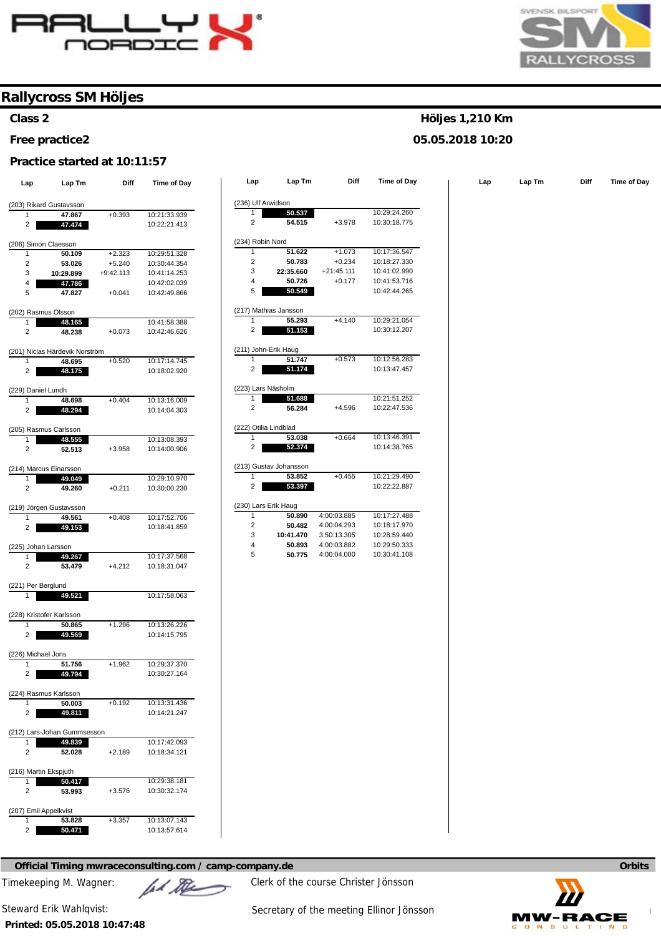

### **Class 2**

#### **Free practice2**

#### **Practice started at 10:11:57**

| Lap                          | Lap Tm                         | Diff        | Time of Day                  | Lap                     | Lap Tm                 | Diff         | Time of Day  | Lap | Lap Tm | Diff | Time of Day |
|------------------------------|--------------------------------|-------------|------------------------------|-------------------------|------------------------|--------------|--------------|-----|--------|------|-------------|
|                              |                                |             |                              |                         |                        |              |              |     |        |      |             |
|                              | (203) Rikard Gustavsson        |             |                              | (236) Ulf Arwidson      | 50.537                 |              | 10:29:24.260 |     |        |      |             |
| 1<br>$\overline{\mathbf{c}}$ | 47.867<br>47.474               | $+0.393$    | 10:21:33.939<br>10:22:21.413 | $\overline{2}$          | 54.515                 | $+3.978$     | 10:30:18.775 |     |        |      |             |
| (206) Simon Claesson         |                                |             |                              | (234) Robin Nord        |                        |              |              |     |        |      |             |
| $\mathbf{1}$                 | 50.109                         | $+2.323$    | 10:29:51.328                 | -1                      | 51.622                 | $+1.073$     | 10:17:36.547 |     |        |      |             |
| $\overline{\mathbf{c}}$      | 53.026                         | $+5.240$    | 10:30:44.354                 | $\sqrt{2}$              | 50.783                 | $+0.234$     | 10:18:27.330 |     |        |      |             |
| 3                            | 10:29.899                      | $+9:42.113$ | 10:41:14.253                 | 3                       | 22:35.660              | $+21:45.111$ | 10:41:02.990 |     |        |      |             |
| 4                            | 47.786                         |             | 10:42:02.039                 | 4                       | 50.726                 | $+0.177$     | 10:41:53.716 |     |        |      |             |
| 5                            | 47.827                         | $+0.041$    | 10:42:49.866                 | 5                       | 50.549                 |              | 10:42:44.265 |     |        |      |             |
| (202) Rasmus Olsson          |                                |             |                              |                         | (217) Mathias Jansson  |              |              |     |        |      |             |
| 1                            | 48.165                         |             | 10:41:58.388                 | $\mathbf{1}$            | 55.293                 | $+4.140$     | 10:29:21.054 |     |        |      |             |
| $\sqrt{2}$                   | 48.238                         | $+0.073$    | 10:42:46.626                 | $\overline{2}$          | 51.153                 |              | 10:30:12.207 |     |        |      |             |
|                              | (201) Niclas Härdevik Norström |             |                              |                         | (211) John-Erik Haug   |              |              |     |        |      |             |
| $\mathbf{1}$                 | 48.695                         | $+0.520$    | 10:17:14.745                 | $\mathbf{1}$            | 51.747                 | $+0.573$     | 10:12:56.283 |     |        |      |             |
| $\overline{2}$               | 48.175                         |             | 10:18:02.920                 | $\overline{2}$          | 51.174                 |              | 10:13:47.457 |     |        |      |             |
| (229) Daniel Lundh           |                                |             |                              |                         | (223) Lars Näsholm     |              |              |     |        |      |             |
| $\mathbf{1}$                 | 48.698                         | $+0.404$    | 10:13:16.009                 | -1                      | 51.688                 |              | 10:21:51.252 |     |        |      |             |
| $\overline{a}$               | 48.294                         |             | 10:14:04.303                 | $\overline{2}$          | 56.284                 | $+4.596$     | 10:22:47.536 |     |        |      |             |
|                              |                                |             |                              |                         | (222) Otilia Lindblad  |              |              |     |        |      |             |
| (205) Rasmus Carlsson        |                                |             | 10:13:08.393                 | $\overline{1}$          | 53.038                 | $+0.664$     | 10:13:46.391 |     |        |      |             |
|                              | 48.555                         |             |                              | $\overline{2}$          | 52.374                 |              | 10:14:38.765 |     |        |      |             |
| $\overline{2}$               | 52.513                         | $+3.958$    | 10:14:00.906                 |                         |                        |              |              |     |        |      |             |
|                              | (214) Marcus Einarsson         |             |                              |                         | (213) Gustav Johansson |              |              |     |        |      |             |
| 1                            | 49.049                         |             | 10:29:10.970                 | $\mathbf{1}$            | 53.852                 | $+0.455$     | 10:21:29.490 |     |        |      |             |
| $\overline{c}$               | 49.260                         | $+0.211$    | 10:30:00.230                 | $\overline{2}$          | 53.397                 |              | 10:22:22.887 |     |        |      |             |
|                              | (219) Jörgen Gustavsson        |             |                              |                         | (230) Lars Erik Haug   |              |              |     |        |      |             |
| $\mathbf{1}$                 | 49.561                         | $+0.408$    | 10:17:52.706                 | -1                      | 50.890                 | 4:00:03.885  | 10:17:27.488 |     |        |      |             |
| $\overline{a}$               | 49.153                         |             | 10:18:41.859                 | $\overline{\mathbf{c}}$ | 50.482                 | 4:00:04.293  | 10:18:17.970 |     |        |      |             |
|                              |                                |             |                              | 3                       | 10:41.470              | 3:50:13.305  | 10:28:59.440 |     |        |      |             |
| (225) Johan Larsson          |                                |             |                              | $\overline{4}$          | 50.893                 | 4:00:03.882  | 10:29:50.333 |     |        |      |             |
| $\mathbf{1}$                 | 49.267                         |             | 10:17:37.568                 | 5                       | 50.775                 | 4:00:04.000  | 10:30:41.108 |     |        |      |             |
| $\overline{2}$               | 53.479                         | $+4.212$    | 10:18:31.047                 |                         |                        |              |              |     |        |      |             |
| (221) Per Berglund           |                                |             |                              |                         |                        |              |              |     |        |      |             |
| 1                            | 49.521                         |             | 10:17:58.063                 |                         |                        |              |              |     |        |      |             |
|                              |                                |             |                              |                         |                        |              |              |     |        |      |             |
| (228) Kristofer Karlsson     |                                |             |                              |                         |                        |              |              |     |        |      |             |
| $\mathbf{1}$                 | 50.865                         | $+1.296$    | 10:13:26.226                 |                         |                        |              |              |     |        |      |             |
| $\overline{2}$               | 49.569                         |             | 10:14:15.795                 |                         |                        |              |              |     |        |      |             |
| (226) Michael Jons           |                                |             |                              |                         |                        |              |              |     |        |      |             |
| 1                            | 51.756                         | $+1.962$    | 10:29:37.370                 |                         |                        |              |              |     |        |      |             |
| $\mathcal{P}$                | 49.794                         |             | 10:30:27.164                 |                         |                        |              |              |     |        |      |             |
| (224) Rasmus Karlsson        |                                |             |                              |                         |                        |              |              |     |        |      |             |
| 1                            | 50.003                         | $+0.192$    | 10:13:31.436                 |                         |                        |              |              |     |        |      |             |
| $\overline{2}$               | 49.811                         |             | 10:14:21.247                 |                         |                        |              |              |     |        |      |             |
|                              | (212) Lars-Johan Gummsesson    |             |                              |                         |                        |              |              |     |        |      |             |
|                              |                                |             |                              |                         |                        |              |              |     |        |      |             |
| 1<br>$\overline{2}$          | 49.839<br>52.028               | $+2.189$    | 10:17:42.093<br>10:18:34.121 |                         |                        |              |              |     |        |      |             |
| (216) Martin Ekspjuth        |                                |             |                              |                         |                        |              |              |     |        |      |             |
| 1                            | 50.417                         |             | 10:29:38.181                 |                         |                        |              |              |     |        |      |             |
| $\overline{2}$               | 53.993                         | $+3.576$    | 10:30:32.174                 |                         |                        |              |              |     |        |      |             |
| (207) Emil Appelkvist        |                                |             |                              |                         |                        |              |              |     |        |      |             |
| $\mathbf{1}$                 | 53.828                         | $+3.357$    | 10:13:07.143                 |                         |                        |              |              |     |        |      |             |
| $\overline{2}$               | 50.471                         |             | 10:13:57.614                 |                         |                        |              |              |     |        |      |             |

| 1                | 50.537                 |              | 10:29:24.260 |
|------------------|------------------------|--------------|--------------|
| 2                | 54.515                 | $+3.978$     | 10:30:18.775 |
|                  |                        |              |              |
| (234) Robin Nord |                        |              |              |
| 1                | 51.622                 | $+1.073$     | 10:17:36.547 |
| 2                | 50.783                 | $+0.234$     | 10:18:27.330 |
| 3                | 22:35.660              | $+21:45.111$ | 10:41:02.990 |
| 4                | 50.726                 | $+0.177$     | 10:41:53.716 |
| 5                | 50.549                 |              | 10:42:44.265 |
|                  | (217) Mathias Jansson  |              |              |
| 1                | 55.293                 | $+4.140$     | 10:29:21.054 |
| $\overline{2}$   | 51.153                 |              | 10:30:12.207 |
|                  | (211) John-Erik Haug   |              |              |
| 1                | 51.747                 | $+0.573$     | 10:12:56.283 |
| 2                | 51.174                 |              | 10:13:47.457 |
|                  |                        |              |              |
|                  | (223) Lars Näsholm     |              |              |
| 1                | 51.688                 |              | 10:21:51.252 |
| $\overline{2}$   | 56.284                 | $+4.596$     | 10:22:47.536 |
|                  | 222) Otilia Lindblad   |              |              |
| 1                | 53.038                 | $+0.664$     | 10:13:46.391 |
| 2                | 52.374                 |              | 10:14:38.765 |
|                  | (213) Gustav Johansson |              |              |
| 1                | 53.852                 | $+0.455$     | 10:21:29.490 |
| 2                | 53.397                 |              | 10:22:22.887 |
|                  | 230) Lars Erik Haug    |              |              |
| 1                | 50.890                 | 4:00:03.885  | 10:17:27.488 |
| 2                | 50.482                 | 4:00:04.293  | 10:18:17.970 |
| 3                | 10:41.470              | 3:50:13.305  | 10:28:59.440 |
|                  | 50.893                 | 4:00:03.882  | 10:29:50.333 |
| 4                |                        |              | 10:30:41.108 |

**Official Timing mwraceconsulting.com / camp-company.de Orbits <b>Orbits Orbits Orbits Orbits** 

Timekeeping M. Wagner:  $\mathbb{Z}$   $\mathbb{Z}$  Clerk of the course Christer Jönsson





### **Höljes 1,210 Km**

#### **05.05.2018 10:20**

**Printed: 05.05.2018 10:47:48** 

Steward Erik Wahlqvist: Steward Erik Wahlqvist: Secretary of the meeting Ellinor Jönsson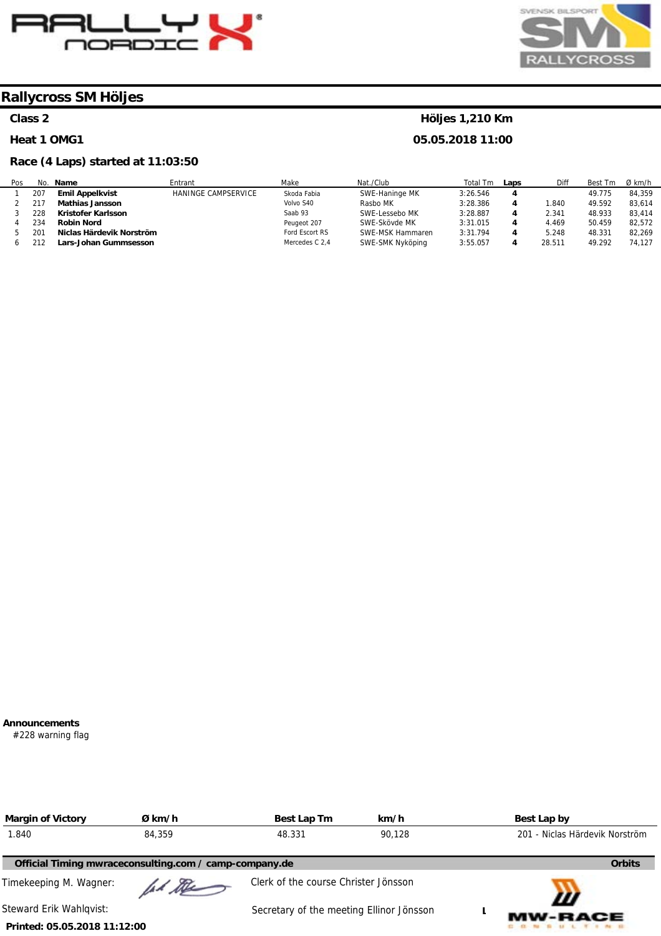



# **Class 2**

#### **Heat 1 OMG1**

#### **Race (4 Laps) started at 11:03:50**

### **Höljes 1,210 Km**

**05.05.2018 11:00** 

| Pos | No. | <b>Name</b>              | Entrant                    | Make           | Nat./Club        | Total<br>Tm | Laps | Diff            | Best Tm | $Ø$ km/h |
|-----|-----|--------------------------|----------------------------|----------------|------------------|-------------|------|-----------------|---------|----------|
|     | 207 | <b>Emil Appelkvist</b>   | <b>HANINGE CAMPSERVICE</b> | Skoda Fabia    | SWE-Haninge MK   | 3:26.546    | 4    |                 | 49.775  | 84.359   |
|     |     | <b>Mathias Jansson</b>   |                            | Volvo S40      | Rasbo MK         | 3:28.386    | 4    | .840            | 49.592  | 83.614   |
|     | 228 | Kristofer Karlsson       |                            | Saab 93        | SWE-Lessebo MK   | 3:28.887    | 4    | 2.341           | 48.933  | 83.414   |
|     | 234 | <b>Robin Nord</b>        |                            | Peugeot 207    | SWE-Skövde MK    | 3:31.015    | 4    | 4.469           | 50.459  | 82.572   |
|     | 201 | Niclas Härdevik Norström |                            | Ford Escort RS | SWE-MSK Hammaren | 3:31.794    | 4    | 5.248           | 48.331  | 82,269   |
|     | 212 | Lars-Johan Gummsesson    |                            | Mercedes C 2,4 | SWE-SMK Nyköping | 3:55.057    | 4    | $28.51^{\circ}$ | 49.292  | 74.127   |

#### **Announcements**

#228 warning flag

| <b>Margin of Victory</b>     | Ø km/h                                                 | Best Lap Tm                              | km/h   | Best Lap by                    |
|------------------------------|--------------------------------------------------------|------------------------------------------|--------|--------------------------------|
| 1.840                        | 84,359                                                 | 48.331                                   | 90.128 | 201 - Niclas Härdevik Norström |
|                              | Official Timing mwraceconsulting.com / camp-company.de |                                          |        | <b>Orbits</b>                  |
| Timekeeping M. Wagner:       | Il the                                                 | Clerk of the course Christer Jönsson     |        |                                |
| Steward Erik Wahlgvist:      |                                                        | Secretary of the meeting Ellinor Jönsson |        | Ш<br><b>MW-RACE</b>            |
| Printed: 05.05.2018 11:12:00 |                                                        |                                          |        |                                |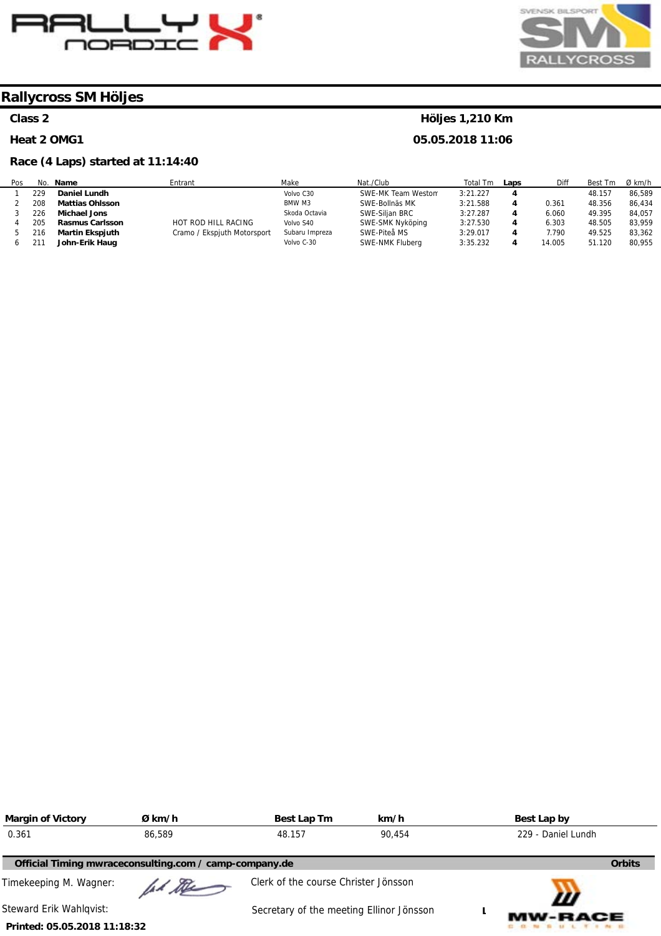



# **Class 2**

#### **Heat 2 OMG1**

# **Race (4 Laps) started at 11:14:40**

# **Höljes 1,210 Km**

| Pos |     | No. Name               | Entrant                     | Make           | Nat./Club          | Total Tm | Laps | Diff   | Best Tm | Ø km/h |
|-----|-----|------------------------|-----------------------------|----------------|--------------------|----------|------|--------|---------|--------|
|     | 229 | Daniel Lundh           |                             | Volvo C30      | SWE-MK Team Westom | 3:21.227 |      |        | 48.157  | 86.589 |
|     | 208 | <b>Mattias Ohlsson</b> |                             | BMW M3         | SWE-Bollnäs MK     | 3:21.588 |      | 0.361  | 48.356  | 86.434 |
|     | 226 | Michael Jons           |                             | Skoda Octavia  | SWE-Siljan BRC     | 3:27.287 |      | 6.060  | 49.395  | 84.057 |
|     | 205 | <b>Rasmus Carlsson</b> | HOT ROD HILL RACING         | Volvo S40      | SWE-SMK Nyköping   | 3:27.530 |      | 6.303  | 48.505  | 83.959 |
|     | 216 | <b>Martin Ekspjuth</b> | Cramo / Ekspjuth Motorsport | Subaru Impreza | SWE-Piteå MS       | 3:29.017 |      | 1.790  | 49.525  | 83.362 |
|     |     | John-Erik Haug         |                             | Volvo C-30     | SWE-NMK Fluberg    | 3:35.232 |      | 14.005 | 51.120  | 80.955 |

| <b>Margin of Victory</b>     | Ø km/h                                                 | Best Lap Tm                              | km/h   | Best Lap by         |
|------------------------------|--------------------------------------------------------|------------------------------------------|--------|---------------------|
| 0.361                        | 86,589                                                 | 48.157                                   | 90.454 | 229 - Daniel Lundh  |
|                              | Official Timing mwraceconsulting.com / camp-company.de |                                          |        | <b>Orbits</b>       |
| Timekeeping M. Wagner:       | 11 the                                                 | Clerk of the course Christer Jönsson     |        |                     |
| Steward Erik Wahlgvist:      |                                                        | Secretary of the meeting Ellinor Jönsson |        | Ш<br><b>MW-RACE</b> |
| Printed: 05.05.2018 11:18:32 |                                                        |                                          |        |                     |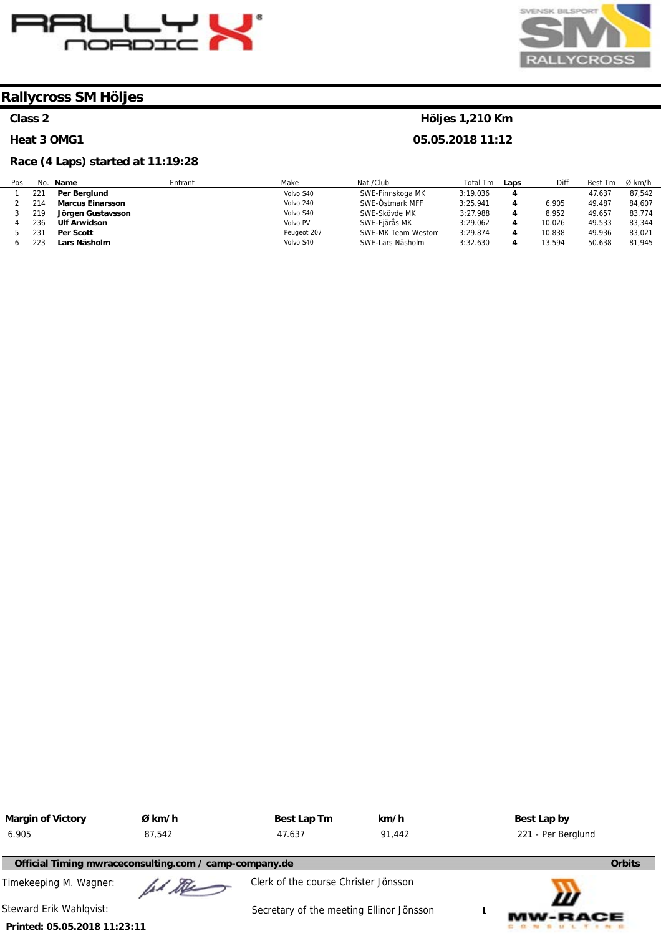



### **Class 2**

#### **Heat 3 OMG1**

# **Race (4 Laps) started at 11:19:28**

# **Höljes 1,210 Km**

| Pos | No. | Name                    | Entrant | Make        | Nat./Club          | Total Tm | Laps | Diff   | Best Tm | Ø km/h |
|-----|-----|-------------------------|---------|-------------|--------------------|----------|------|--------|---------|--------|
|     | 221 | Per Berglund            |         | Volvo S40   | SWE-Finnskoga MK   | 3:19.036 |      |        | 47.637  | 87.542 |
|     | 214 | <b>Marcus Einarsson</b> |         | Volvo 240   | SWE-Östmark MFF    | 3:25.941 |      | 6.905  | 49.487  | 84.607 |
|     | 219 | Jörgen Gustavsson       |         | Volvo S40   | SWE-Skövde MK      | 3:27.988 | 4    | 8.952  | 49.657  | 83,774 |
|     | 236 | <b>Ulf Arwidson</b>     |         | Volvo PV    | SWE-Fjärås MK      | 3:29.062 |      | 10.026 | 49.533  | 83.344 |
|     | 231 | Per Scott               |         | Peugeot 207 | SWE-MK Team Weston | 3:29.874 |      | 10.838 | 49.936  | 83.021 |
|     | 223 | Lars Näsholm            |         | Volvo S40   | SWE-Lars Näsholm   | 3:32.630 |      | 13.594 | 50.638  | 81.945 |

| <b>Margin of Victory</b>                               | Ø km/h | Best Lap Tm                              | km/h   | Best Lap by         |
|--------------------------------------------------------|--------|------------------------------------------|--------|---------------------|
| 6.905                                                  | 87,542 | 47.637                                   | 91.442 | 221 - Per Berglund  |
| Official Timing mwraceconsulting.com / camp-company.de |        |                                          |        | <b>Orbits</b>       |
| Timekeeping M. Wagner:                                 | ad the | Clerk of the course Christer Jönsson     |        |                     |
| Steward Erik Wahlqvist:                                |        | Secretary of the meeting Ellinor Jönsson |        | Ш<br><b>MW-RACE</b> |
| Printed: 05.05.2018 11:23:11                           |        |                                          |        |                     |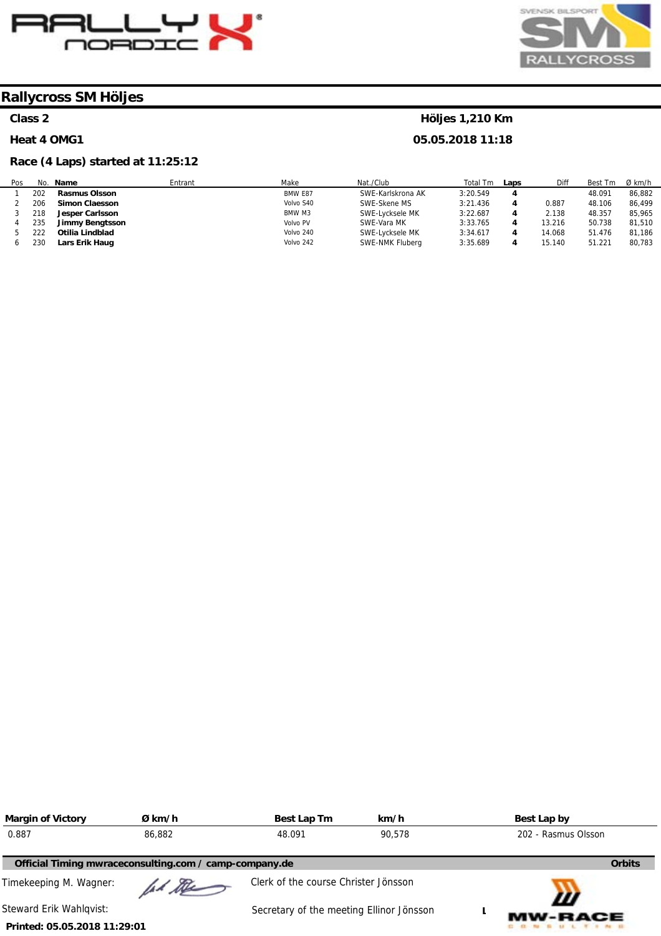



### **Class 2**

#### **Heat 4 OMG1**

# **Race (4 Laps) started at 11:25:12**

# **Höljes 1,210 Km**

| Pos | No. | Make<br>Name<br>Entrant |  |           | Nat./Club         | Total Tm<br>Laps |   | Diff   | Best<br>∵⊺m | Ø km/h |
|-----|-----|-------------------------|--|-----------|-------------------|------------------|---|--------|-------------|--------|
|     | 202 | <b>Rasmus Olsson</b>    |  | BMW E87   | SWE-Karlskrona AK | 3:20.549         | 4 |        | 48.091      | 86.882 |
|     | 206 | <b>Simon Claesson</b>   |  | Volvo S40 | SWE-Skene MS      | 3:21.436         | 4 | 0.887  | 48.106      | 86.499 |
|     | 218 | Jesper Carlsson         |  | BMW M3    | SWE-Lycksele MK   | 3:22.687         | 4 | 2.138  | 48.357      | 85,965 |
|     | 235 | <b>Jimmy Bengtsson</b>  |  | Volvo PV  | SWE-Vara MK       | 3:33.765         | 4 | 13.216 | 50.738      | 81,510 |
|     | 222 | Otilia Lindblad         |  | Volvo 240 | SWE-Lycksele MK   | 3:34.617         | 4 | 14.068 | 51.476      | 81,186 |
|     | 230 | Lars Erik Haug          |  | Volvo 242 | SWE-NMK Fluberg   | 3:35.689         | 4 | 15.140 | 51.221      | 80,783 |

| <b>Margin of Victory</b>     | Ø km/h                                                 | Best Lap Tm                              | km/h   | Best Lap by         |  |
|------------------------------|--------------------------------------------------------|------------------------------------------|--------|---------------------|--|
| 0.887                        | 86,882                                                 | 48.091                                   | 90.578 | 202 - Rasmus Olsson |  |
|                              | Official Timing mwraceconsulting.com / camp-company.de |                                          |        | <b>Orbits</b>       |  |
| Timekeeping M. Wagner:       | ad the                                                 | Clerk of the course Christer Jönsson     |        |                     |  |
| Steward Erik Wahlqvist:      |                                                        | Secretary of the meeting Ellinor Jönsson |        | Ш<br><b>MW-RACE</b> |  |
| Printed: 05.05.2018 11:29:01 |                                                        |                                          |        |                     |  |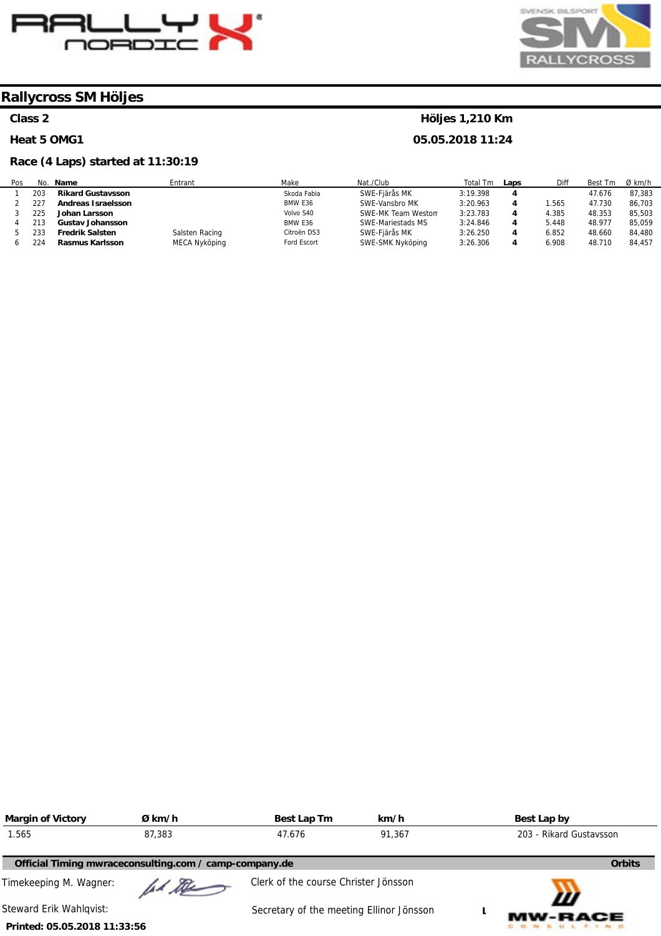



# **Class 2**

#### **Heat 5 OMG1**

# **Race (4 Laps) started at 11:30:19**

# **Höljes 1,210 Km**

| Pos |     | No. Name                 | Entrant        | Make        | Nat./Club          | Total Tm | Laps | Diff  | Best Tm | Ø km/h |
|-----|-----|--------------------------|----------------|-------------|--------------------|----------|------|-------|---------|--------|
|     | 203 | <b>Rikard Gustavsson</b> |                | Skoda Fabia | SWE-Fjärås MK      | 3:19.398 |      |       | 47.676  | 87.383 |
|     | 227 | Andreas Israelsson       |                | BMW E36     | SWE-Vansbro MK     | 3:20.963 |      | .565  | 47.730  | 86.703 |
|     | 225 | Johan Larsson            |                | Volvo S40   | SWE-MK Team Westom | 3:23.783 |      | 4.385 | 48.353  | 85.503 |
|     | 213 | <b>Gustav Johansson</b>  |                | BMW E36     | SWE-Mariestads MS  | 3:24.846 |      | 5.448 | 48.977  | 85.059 |
|     | 233 | <b>Fredrik Salsten</b>   | Salsten Racing | Citroën DS3 | SWE-Fjärås MK      | 3:26.250 |      | 6.852 | 48.660  | 84.480 |
|     | 224 | Rasmus Karlsson          | MECA Nyköping  | Ford Escort | SWE-SMK Nyköping   | 3:26.306 |      | 6.908 | 48.710  | 84.457 |

| <b>Margin of Victory</b>                               | Ø km/h | Best Lap Tm                              | km/h   | Best Lap by             |  |
|--------------------------------------------------------|--------|------------------------------------------|--------|-------------------------|--|
| 1.565                                                  | 87,383 | 47.676                                   | 91.367 | 203 - Rikard Gustavsson |  |
| Official Timing mwraceconsulting.com / camp-company.de |        |                                          |        | <b>Orbits</b>           |  |
| Timekeeping M. Wagner:                                 | ad the | Clerk of the course Christer Jönsson     |        |                         |  |
| Steward Erik Wahlgvist:                                |        | Secretary of the meeting Ellinor Jönsson |        | Ш<br><b>MW-RACE</b>     |  |
| Printed: 05.05.2018 11:33:56                           |        |                                          |        |                         |  |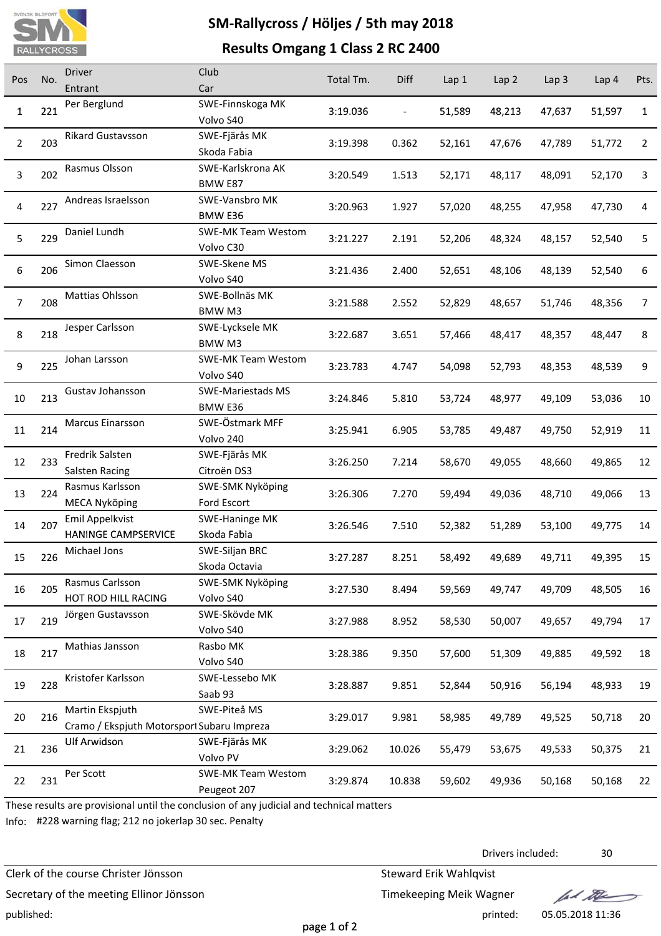

# **SM‐Rallycross / Höljes / 5th may 2018**

# **Results Omgang 1 Class 2 RC 2400**

| Pos            | No. | <b>Driver</b>                              | Club                            | Total Tm. | Diff   | Lap <sub>1</sub> | Lap 2  | Lap <sub>3</sub> | Lap 4  | Pts. |
|----------------|-----|--------------------------------------------|---------------------------------|-----------|--------|------------------|--------|------------------|--------|------|
|                |     | Entrant                                    | Car                             |           |        |                  |        |                  |        |      |
| $\mathbf{1}$   | 221 | Per Berglund                               | SWE-Finnskoga MK                | 3:19.036  |        | 51,589           | 48,213 | 47,637           | 51,597 | 1    |
|                |     |                                            | Volvo S40                       |           |        |                  |        |                  |        |      |
| $\overline{2}$ | 203 | Rikard Gustavsson                          | SWE-Fjärås MK                   | 3:19.398  | 0.362  | 52,161           | 47,676 | 47,789           | 51,772 | 2    |
|                |     |                                            | Skoda Fabia                     |           |        |                  |        |                  |        |      |
| 3              | 202 | Rasmus Olsson                              | SWE-Karlskrona AK               | 3:20.549  | 1.513  | 52,171           | 48,117 | 48,091           | 52,170 | 3    |
|                |     |                                            | BMW E87                         |           |        |                  |        |                  |        |      |
| 4              | 227 | Andreas Israelsson                         | SWE-Vansbro MK<br>BMW E36       | 3:20.963  | 1.927  | 57,020           | 48,255 | 47,958           | 47,730 | 4    |
|                |     | Daniel Lundh                               | <b>SWE-MK Team Westom</b>       |           |        |                  |        |                  |        |      |
| 5              | 229 |                                            | Volvo C30                       | 3:21.227  | 2.191  | 52,206           | 48,324 | 48,157           | 52,540 | 5    |
|                |     | Simon Claesson                             | SWE-Skene MS                    |           |        |                  |        |                  |        |      |
| 6              | 206 |                                            | Volvo S40                       | 3:21.436  | 2.400  | 52,651           | 48,106 | 48,139           | 52,540 | 6    |
|                |     | Mattias Ohlsson                            | SWE-Bollnäs MK                  |           |        |                  |        |                  |        |      |
| $\overline{7}$ | 208 |                                            | BMW M3                          | 3:21.588  | 2.552  | 52,829           | 48,657 | 51,746           | 48,356 | 7    |
|                |     | Jesper Carlsson                            | SWE-Lycksele MK                 |           |        |                  |        |                  |        |      |
| 8              | 218 |                                            | BMW M3                          | 3:22.687  | 3.651  | 57,466           | 48,417 | 48,357           | 48,447 | 8    |
| 9              | 225 | Johan Larsson                              | <b>SWE-MK Team Westom</b>       |           | 4.747  |                  |        |                  |        | 9    |
|                |     |                                            | Volvo S40                       | 3:23.783  |        | 54,098           | 52,793 | 48,353           | 48,539 |      |
| 10             | 213 | Gustav Johansson                           | <b>SWE-Mariestads MS</b>        | 3:24.846  | 5.810  | 53,724           | 48,977 | 49,109           | 53,036 | 10   |
|                |     |                                            | BMW E36                         |           |        |                  |        |                  |        |      |
| 11             | 214 | Marcus Einarsson                           | SWE-Östmark MFF                 | 3:25.941  | 6.905  | 53,785           | 49,487 | 49,750           | 52,919 | 11   |
|                |     |                                            | Volvo 240                       |           |        |                  |        |                  |        |      |
| 12             | 233 | Fredrik Salsten                            | SWE-Fjärås MK                   | 3:26.250  | 7.214  | 58,670           | 49,055 | 48,660           | 49,865 | 12   |
|                |     | Salsten Racing                             | Citroën DS3                     |           |        |                  |        |                  |        |      |
| 13             | 224 | Rasmus Karlsson                            | SWE-SMK Nyköping                | 3:26.306  | 7.270  | 59,494           | 49,036 | 48,710           | 49,066 | 13   |
|                |     | <b>MECA Nyköping</b>                       | Ford Escort                     |           |        |                  |        |                  |        |      |
| 14             | 207 | Emil Appelkvist                            | SWE-Haninge MK                  | 3:26.546  | 7.510  | 52,382           | 51,289 | 53,100           | 49,775 | 14   |
|                |     | HANINGE CAMPSERVICE                        | Skoda Fabia                     |           |        |                  |        |                  |        |      |
| 15             | 226 | Michael Jons                               | SWE-Siljan BRC<br>Skoda Octavia | 3:27.287  | 8.251  | 58,492           | 49,689 | 49,711           | 49,395 | 15   |
|                |     | Rasmus Carlsson                            | SWE-SMK Nyköping                |           |        |                  |        |                  |        |      |
| 16             | 205 | HOT ROD HILL RACING                        | Volvo S40                       | 3:27.530  | 8.494  | 59,569           | 49,747 | 49,709           | 48,505 | 16   |
|                |     | Jörgen Gustavsson                          | SWE-Skövde MK                   |           |        |                  |        |                  |        |      |
| 17             | 219 |                                            | Volvo S40                       | 3:27.988  | 8.952  | 58,530           | 50,007 | 49,657           | 49,794 | 17   |
|                |     | Mathias Jansson                            | Rasbo MK                        |           |        |                  |        |                  |        |      |
| 18             | 217 |                                            | Volvo S40                       | 3:28.386  | 9.350  | 57,600           | 51,309 | 49,885           | 49,592 | 18   |
|                |     | Kristofer Karlsson                         | SWE-Lessebo MK                  |           |        |                  |        |                  |        |      |
| 19             | 228 |                                            | Saab 93                         | 3:28.887  | 9.851  | 52,844           | 50,916 | 56,194           | 48,933 | 19   |
|                |     | Martin Ekspjuth                            | SWE-Piteå MS                    |           |        |                  |        |                  |        |      |
| 20             | 216 | Cramo / Ekspjuth Motorsport Subaru Impreza |                                 | 3:29.017  | 9.981  | 58,985           | 49,789 | 49,525           | 50,718 | 20   |
| 21             | 236 | <b>Ulf Arwidson</b>                        | SWE-Fjärås MK                   |           |        |                  |        |                  |        | 21   |
|                |     |                                            | Volvo PV                        | 3:29.062  | 10.026 | 55,479           | 53,675 | 49,533           | 50,375 |      |
| 22             | 231 | Per Scott                                  | <b>SWE-MK Team Westom</b>       | 3:29.874  | 10.838 | 59,602           | 49,936 | 50,168           | 50,168 | 22   |
|                |     |                                            | Peugeot 207                     |           |        |                  |        |                  |        |      |

These results are provisional until the conclusion of any judicial and technical matters

Info: #228 warning flag; 212 no jokerlap 30 sec. Penalty

Clerk of the course Christer Jönsson Steward Erik Wahlqvist

Secretary of the meeting Ellinor Jönsson Timekeeping Meik Wagner

Drivers included: 30

lad the

published: printed: 05.05.2018 11:36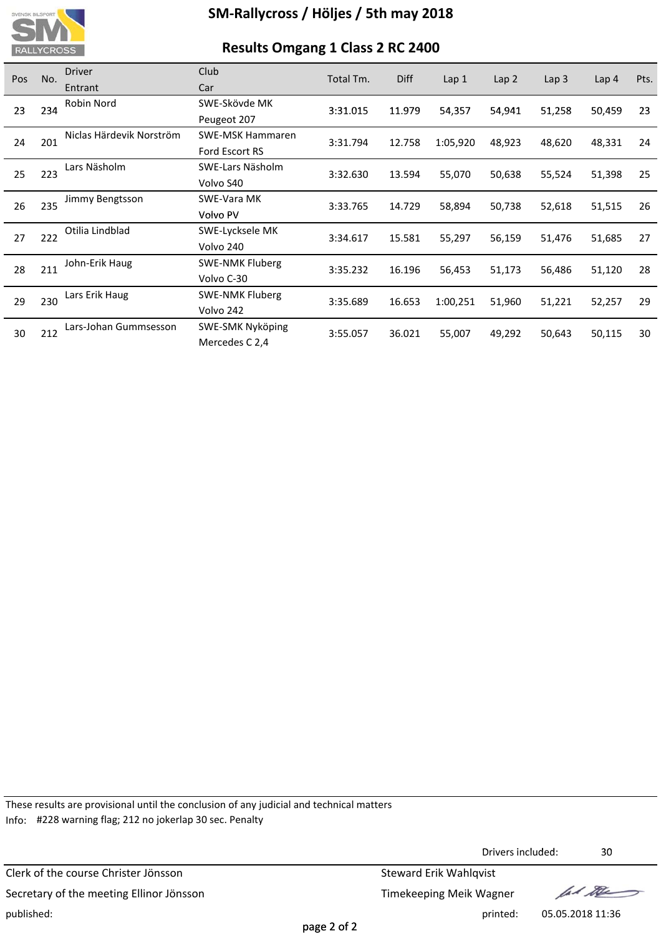

# **Results Omgang 1 Class 2 RC 2400**

| Pos | No. | <b>Driver</b>            | Club                    | Total Tm. | <b>Diff</b> | Lap <sub>1</sub> | Lap 2  | Lap <sub>3</sub> | Lap 4  | Pts. |
|-----|-----|--------------------------|-------------------------|-----------|-------------|------------------|--------|------------------|--------|------|
|     |     | Entrant                  | Car                     |           |             |                  |        |                  |        |      |
| 23  | 234 | Robin Nord               | SWE-Skövde MK           | 3:31.015  | 11.979      | 54,357           | 54,941 | 51,258           | 50,459 | 23   |
|     |     |                          | Peugeot 207             |           |             |                  |        |                  |        |      |
| 24  | 201 | Niclas Härdevik Norström | <b>SWE-MSK Hammaren</b> | 3:31.794  | 12.758      | 1:05,920         | 48,923 | 48,620           | 48,331 | 24   |
|     |     |                          | Ford Escort RS          |           |             |                  |        |                  |        |      |
| 25  | 223 | Lars Näsholm             | SWE-Lars Näsholm        | 3:32.630  | 13.594      | 55,070           | 50,638 | 55,524           | 51,398 | 25   |
|     |     |                          | Volvo S40               |           |             |                  |        |                  |        |      |
| 26  | 235 | Jimmy Bengtsson          | SWE-Vara MK             | 3:33.765  | 14.729      | 58,894           | 50,738 | 52,618           | 51,515 | 26   |
|     |     |                          | Volvo PV                |           |             |                  |        |                  |        |      |
| 27  | 222 | Otilia Lindblad          | SWE-Lycksele MK         | 3:34.617  | 15.581      | 55,297           | 56,159 | 51,476           | 51,685 | 27   |
|     |     |                          | Volvo 240               |           |             |                  |        |                  |        |      |
| 28  | 211 | John-Erik Haug           | <b>SWE-NMK Fluberg</b>  | 3:35.232  | 16.196      | 56,453           | 51,173 | 56,486           | 51,120 | 28   |
|     |     |                          | Volvo C-30              |           |             |                  |        |                  |        |      |
| 29  | 230 | Lars Erik Haug           | <b>SWE-NMK Fluberg</b>  | 3:35.689  | 16.653      | 1:00,251         | 51,960 |                  | 52,257 | 29   |
|     |     |                          | Volvo 242               |           |             |                  |        | 51,221           |        |      |
|     | 212 | Lars-Johan Gummsesson    | <b>SWE-SMK Nyköping</b> | 3:55.057  | 36.021      | 55,007           | 49,292 | 50,643           | 50,115 | 30   |
| 30  |     |                          | Mercedes C 2,4          |           |             |                  |        |                  |        |      |

These results are provisional until the conclusion of any judicial and technical matters Info: #228 warning flag; 212 no jokerlap 30 sec. Penalty

Clerk of the course Christer Jönsson Steward Erik Wahlqvist Secretary of the meeting Ellinor Jönsson Secretary of the meeting Ellinor Jönsson published: printed: 05.05.2018 11:36

Drivers included: 30

lad the

page 2 of 2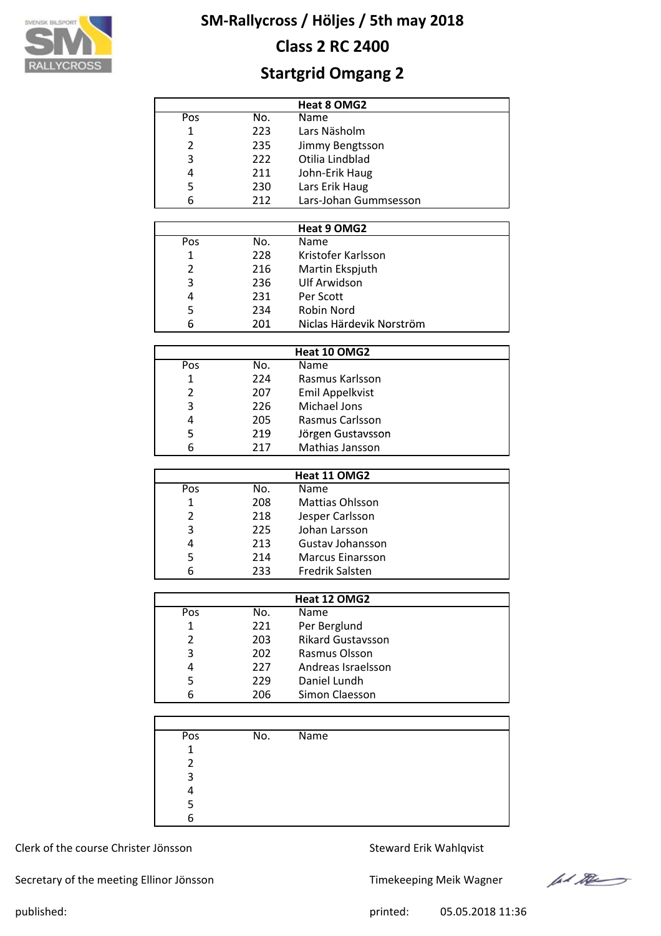

# **Class 2 RC 2400**

# **Startgrid Omgang 2**

|     |     | Heat 8 OMG2           |  |
|-----|-----|-----------------------|--|
| Pos | No. | Name                  |  |
| 1   | 223 | Lars Näsholm          |  |
| 2   | 235 | Jimmy Bengtsson       |  |
| 3   | 222 | Otilia Lindblad       |  |
| 4   | 211 | John-Erik Haug        |  |
| 5   | 230 | Lars Erik Haug        |  |
| 6   | 212 | Lars-Johan Gummsesson |  |

|     |     | Heat 9 OMG2              |  |
|-----|-----|--------------------------|--|
| Pos | No. | <b>Name</b>              |  |
| 1   | 228 | Kristofer Karlsson       |  |
| 2   | 216 | Martin Ekspjuth          |  |
| 3   | 236 | <b>Ulf Arwidson</b>      |  |
| 4   | 231 | Per Scott                |  |
| 5   | 234 | Robin Nord               |  |
| 6   | 201 | Niclas Härdevik Norström |  |

| Heat 10 OMG2 |     |                   |  |  |  |  |  |
|--------------|-----|-------------------|--|--|--|--|--|
| Pos          | No. | <b>Name</b>       |  |  |  |  |  |
| 1            | 224 | Rasmus Karlsson   |  |  |  |  |  |
| 2            | 207 | Emil Appelkvist   |  |  |  |  |  |
| 3            | 226 | Michael Jons      |  |  |  |  |  |
| 4            | 205 | Rasmus Carlsson   |  |  |  |  |  |
| 5            | 219 | Jörgen Gustavsson |  |  |  |  |  |
| 6            | 217 | Mathias Jansson   |  |  |  |  |  |

| Heat 11 OMG2 |     |                         |  |  |  |  |  |
|--------------|-----|-------------------------|--|--|--|--|--|
| Pos          | No. | Name                    |  |  |  |  |  |
| 1            | 208 | <b>Mattias Ohlsson</b>  |  |  |  |  |  |
| 2            | 218 | Jesper Carlsson         |  |  |  |  |  |
| 3            | 225 | Johan Larsson           |  |  |  |  |  |
| 4            | 213 | Gustav Johansson        |  |  |  |  |  |
| 5            | 214 | <b>Marcus Einarsson</b> |  |  |  |  |  |
| հ            | 233 | <b>Fredrik Salsten</b>  |  |  |  |  |  |

|               |     | Heat 12 OMG2             |  |
|---------------|-----|--------------------------|--|
| Pos           | No. | <b>Name</b>              |  |
|               | 221 | Per Berglund             |  |
| $\mathcal{P}$ | 203 | <b>Rikard Gustavsson</b> |  |
| 3             | 202 | Rasmus Olsson            |  |
| 4             | 227 | Andreas Israelsson       |  |
| 5             | 229 | Daniel Lundh             |  |
| 6             | 206 | Simon Claesson           |  |

| Pos         | No. | Name |  |
|-------------|-----|------|--|
| $\mathbf 1$ |     |      |  |
| າ           |     |      |  |
| 3           |     |      |  |
|             |     |      |  |
|             |     |      |  |
|             |     |      |  |

Clerk of the course Christer Jönsson Steward Erik Wahlqvist

Secretary of the meeting Ellinor Jönsson Timekeeping Meik Wagner



published: 05.05.2018 11:36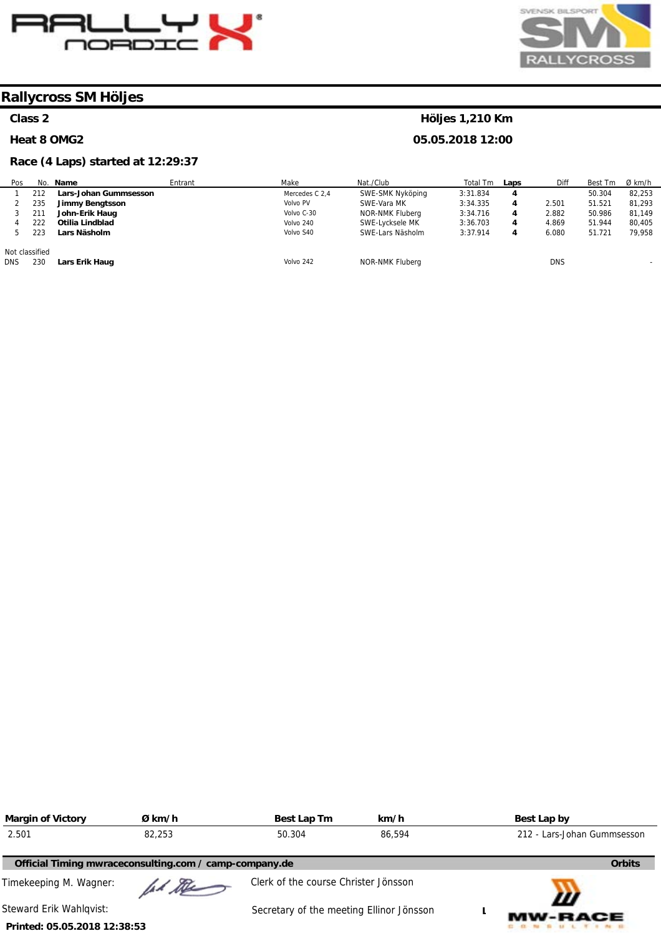



**Höljes 1,210 Km 05.05.2018 12:00** 

# **Rallycross SM Höljes**

### **Class 2**

#### **Heat 8 OMG2**

# **Race (4 Laps) started at 12:29:37**

| Pos                          |     | No. Name                     | Entrant | Make           | Nat./Club        | Total Tm | Laps | Diff       | Best Tm | Ø km/h |
|------------------------------|-----|------------------------------|---------|----------------|------------------|----------|------|------------|---------|--------|
|                              | 212 | <b>Lars-Johan Gummsesson</b> |         | Mercedes C 2.4 | SWE-SMK Nyköping | 3:31.834 | 4    |            | 50.304  | 82,253 |
|                              | 235 | <b>Jimmy Bengtsson</b>       |         | Volvo PV       | SWE-Vara MK      | 3:34.335 | 4    | 2.501      | 51.521  | 81.293 |
|                              | 211 | John-Erik Haug               |         | Volvo C-30     | NOR-NMK Fluberg  | 3:34.716 | 4    | 2.882      | 50.986  | 81,149 |
|                              | 222 | Otilia Lindblad              |         | Volvo 240      | SWE-Lycksele MK  | 3:36.703 | 4    | 4.869      | 51.944  | 80,405 |
|                              | 223 | Lars Näsholm                 |         | Volvo S40      | SWE-Lars Näsholm | 3:37.914 | 4    | 6.080      | 51.721  | 79.958 |
| Not classified<br><b>DNS</b> | 230 | Lars Erik Haug               |         | Volvo 242      | NOR-NMK Fluberg  |          |      | <b>DNS</b> |         |        |

| <b>Margin of Victory</b>     | Ø km/h                                                 | Best Lap Tm                              | km/h   | Best Lap by                 |
|------------------------------|--------------------------------------------------------|------------------------------------------|--------|-----------------------------|
| 2.501                        | 82,253                                                 | 50.304                                   | 86,594 | 212 - Lars-Johan Gummsesson |
|                              | Official Timing mwraceconsulting.com / camp-company.de |                                          |        | <b>Orbits</b>               |
| Timekeeping M. Wagner:       | had the                                                | Clerk of the course Christer Jönsson     |        | Ш                           |
| Steward Erik Wahlqvist:      |                                                        | Secretary of the meeting Ellinor Jönsson |        | <b>MW-RACE</b>              |
| Printed: 05.05.2018 12:38:53 |                                                        |                                          |        |                             |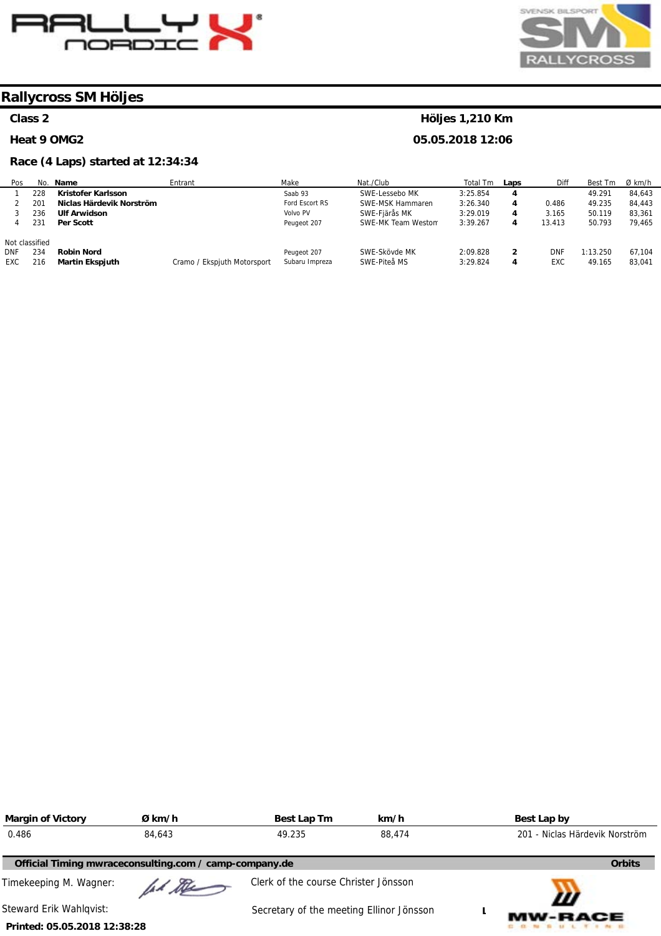



### **Class 2**

#### **Heat 9 OMG2**

# **Race (4 Laps) started at 12:34:34**

# **Höljes 1,210 Km**

| Pos            |     | No. Name                 | Entrant                     | Make           | Nat./Club          | Total Tm | Laps | Diff   | Best Tm  | $Ø$ km/h |
|----------------|-----|--------------------------|-----------------------------|----------------|--------------------|----------|------|--------|----------|----------|
|                | 228 | Kristofer Karlsson       |                             | Saab 93        | SWE-Lessebo MK     | 3:25.854 | 4    |        | 49.291   | 84.643   |
|                | 201 | Niclas Härdevik Norström |                             | Ford Escort RS | SWE-MSK Hammaren   | 3:26.340 | 4    | 0.486  | 49.235   | 84,443   |
|                | 236 | <b>Ulf Arwidson</b>      |                             | Volvo PV       | SWE-Fiärås MK      | 3:29.019 | 4    | 3.165  | 50.119   | 83.361   |
|                | 231 | Per Scott                |                             | Peugeot 207    | SWE-MK Team Weston | 3:39.267 | 4    | 13.413 | 50.793   | 79.465   |
| Not classified |     |                          |                             |                |                    |          |      |        |          |          |
| <b>DNF</b>     | 234 | <b>Robin Nord</b>        |                             | Peugeot 207    | SWE-Skövde MK      | 2:09.828 | 2    | DNF    | 1:13.250 | 67.104   |
| <b>EXC</b>     | 216 | <b>Martin Ekspjuth</b>   | Cramo / Ekspjuth Motorsport | Subaru Impreza | SWE-Piteå MS       | 3:29.824 | 4    | EXC    | 49.165   | 83.041   |

| <b>Margin of Victory</b>     | Ø km/h                                                 | Best Lap Tm                              | km/h   | Best Lap by                    |
|------------------------------|--------------------------------------------------------|------------------------------------------|--------|--------------------------------|
| 0.486                        | 84,643                                                 | 49.235                                   | 88,474 | 201 - Niclas Härdevik Norström |
|                              | Official Timing mwraceconsulting.com / camp-company.de |                                          |        | <b>Orbits</b>                  |
| Timekeeping M. Wagner:       | ad the                                                 | Clerk of the course Christer Jönsson     |        |                                |
| Steward Erik Wahlqvist:      |                                                        | Secretary of the meeting Ellinor Jönsson |        | Ш<br><b>MW-RACE</b>            |
| Printed: 05.05.2018 12:38:28 |                                                        |                                          |        |                                |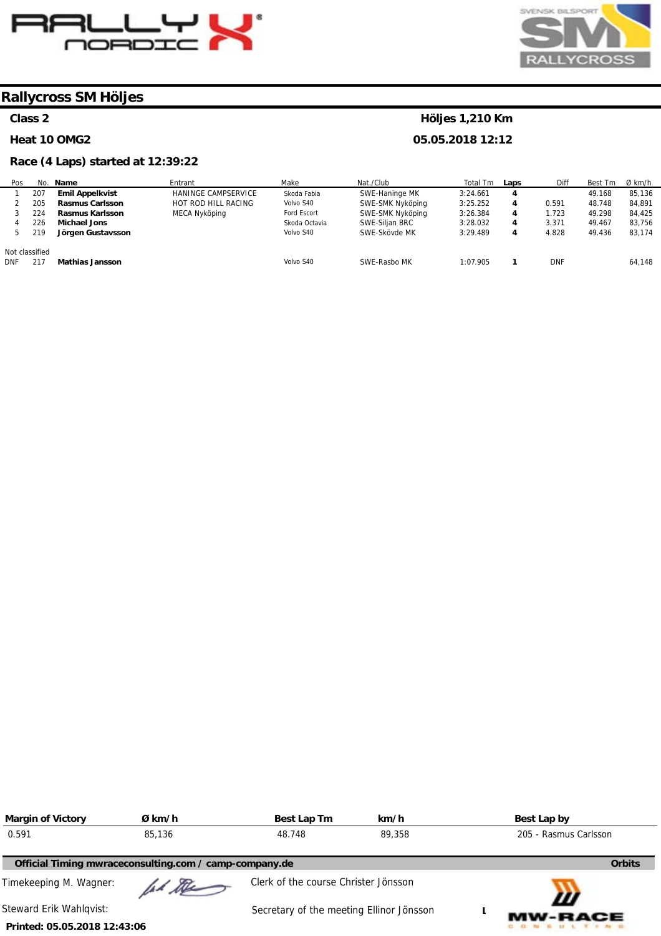



#### **Class 2**

#### **Heat 10 OMG2**

#### **Race (4 Laps) started at 12:39:22**

#### No. 207 205 224 226 219 **Name Emil Appelkvist Rasmus Carlsson Rasmus Karlsson Michael Jons Jörgen Gustavsson Entrant** HANINGE CAMPSERVICE HOT ROD HILL RACING MECA Nyköping Make Skoda Fabia Volvo S40 Ford Escort Skoda Octavia Volvo S40 Nat./Club SWE-Haninge MK SWE-SMK Nyköping SWE-SMK Nyköping SWE-Siljan BRC SWE-Skövde MK Total Tm 3:24.661 3:25.252 3:26.384 3:28.032 3:29.489 **Laps 4 4 4 4 4**  Diff 0.591 1.723 3.371 4.828 Best Tm 49.168 48.748 49.298 49.467 49.436 Ø km/h 85,136 84,891 84,425 83,756 83,174

SWE-Rasbo MK

Volvo S40

DNF 217 **Mathias Jansson** 

| <b>Margin of Victory</b>     | Ø km/h                                                 | Best Lap Tm                              | km/h   | Best Lap by           |
|------------------------------|--------------------------------------------------------|------------------------------------------|--------|-----------------------|
| 0.591                        | 85,136                                                 | 48.748                                   | 89,358 | 205 - Rasmus Carlsson |
|                              | Official Timing mwraceconsulting.com / camp-company.de |                                          |        | <b>Orbits</b>         |
| Timekeeping M. Wagner:       | lad De                                                 | Clerk of the course Christer Jönsson     |        |                       |
| Steward Erik Wahlgvist:      |                                                        | Secretary of the meeting Ellinor Jönsson |        | W<br><b>MW-RACE</b>   |
| Printed: 05.05.2018 12:43:06 |                                                        |                                          |        |                       |

# **Höljes 1,210 Km**

1:07.905

**1** 

DNF

64,148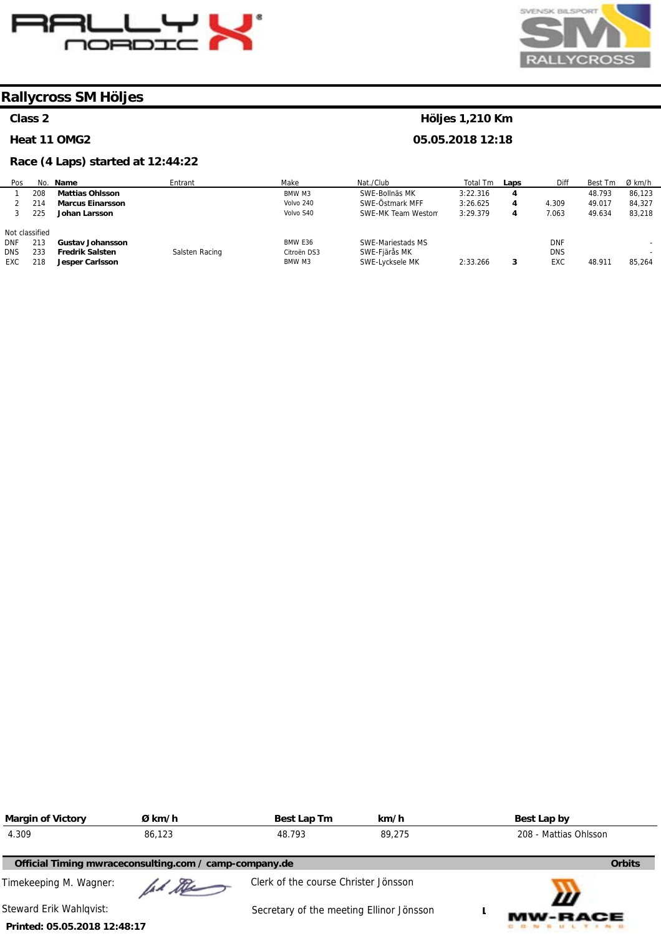



#### **Class 2**

#### **Heat 11 OMG2**

#### **Race (4 Laps) started at 12:44:22**

#### Pos 1 2 3 Not classified DNF DNS EXC No. 208 214 225 213 233 218 **Name Mattias Ohlsson Marcus Einarsson Johan Larsson Gustav Johansson Fredrik Salsten Jesper Carlsson Entrant** Salsten Racing Make BMW M3 Volvo 240 Volvo S40 BMW E36 Citroën DS3 BMW M3 Nat./Club SWE-Bollnäs MK SWE-Östmark MFF SWE-MK Team Westom SWE-Mariestads MS SWE-Fjärås MK SWE-Lycksele MK Total Tm 3:22.316 3:26.625 3:29.379 2:33.266 **Laps 4 4 4 3**  Diff 4.309 7.063 DNF DNS EXC Best Tm 48.793 49.017 49.634 48.911 Ø km/h 86,123 84,327 83,218 - - 85,264

| <b>Margin of Victory</b>     | Ø km/h                                                 | Best Lap Tm                              | km/h   | Best Lap by           |  |
|------------------------------|--------------------------------------------------------|------------------------------------------|--------|-----------------------|--|
| 4.309                        | 86,123                                                 | 48.793                                   | 89,275 | 208 - Mattias Ohlsson |  |
|                              | Official Timing mwraceconsulting.com / camp-company.de |                                          |        | <b>Orbits</b>         |  |
| Timekeeping M. Wagner:       | ad the                                                 | Clerk of the course Christer Jönsson     |        |                       |  |
| Steward Erik Wahlqvist:      |                                                        | Secretary of the meeting Ellinor Jönsson |        | Ш<br><b>MW-RACE</b>   |  |
| Printed: 05.05.2018 12:48:17 |                                                        |                                          |        |                       |  |

# **Höljes 1,210 Km**

**05.05.2018 12:18** 

**Printed: 05.05.2018 12:48:17**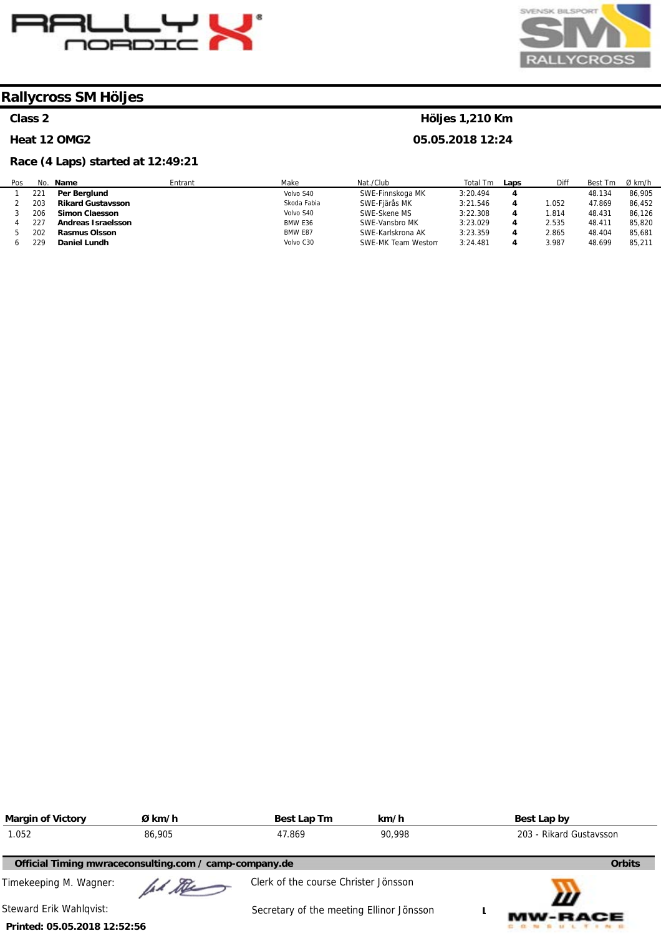



# **Class 2**

#### **Heat 12 OMG2**

# **Race (4 Laps) started at 12:49:21**

# **Höljes 1,210 Km**

| Pos | No. | Name                     | Entrant | Make        | Nat./Club          | Total<br>Tm | Laps | Diff  | Best Tm | Ø km/h |
|-----|-----|--------------------------|---------|-------------|--------------------|-------------|------|-------|---------|--------|
|     | 221 | Per Berglund             |         | Volvo S40   | SWE-Finnskoga MK   | 3:20.494    |      |       | 48.134  | 86,905 |
|     | 203 | <b>Rikard Gustavsson</b> |         | Skoda Fabia | SWE-Fjärås MK      | 3:21.546    |      | 1.052 | 47.869  | 86,452 |
|     | 206 | <b>Simon Claesson</b>    |         | Volvo S40   | SWE-Skene MS       | 3:22.308    |      | .814  | 48.431  | 86.126 |
|     | 227 | Andreas Israelsson       |         | BMW E36     | SWE-Vansbro MK     | 3:23.029    |      | 2.535 | 48.411  | 85,820 |
|     | 202 | <b>Rasmus Olsson</b>     |         | BMW E87     | SWE-Karlskrona AK  | 3:23.359    |      | 2.865 | 48.404  | 85.681 |
|     | 229 | Daniel Lundh             |         | Volvo C30   | SWE-MK Team Westom | 3:24.481    |      | 3.987 | 48.699  | 85.211 |

| <b>Margin of Victory</b>     | Ø km/h                                                 | Best Lap Tm                              | km/h   | Best Lap by             |
|------------------------------|--------------------------------------------------------|------------------------------------------|--------|-------------------------|
| 1.052                        | 86,905                                                 | 47.869                                   | 90.998 | 203 - Rikard Gustavsson |
|                              | Official Timing mwraceconsulting.com / camp-company.de |                                          |        | <b>Orbits</b>           |
| Timekeeping M. Wagner:       | had the                                                | Clerk of the course Christer Jönsson     |        | Ш                       |
| Steward Erik Wahlqvist:      |                                                        | Secretary of the meeting Ellinor Jönsson |        | <b>MW-RACE</b>          |
| Printed: 05.05.2018 12:52:56 |                                                        |                                          |        |                         |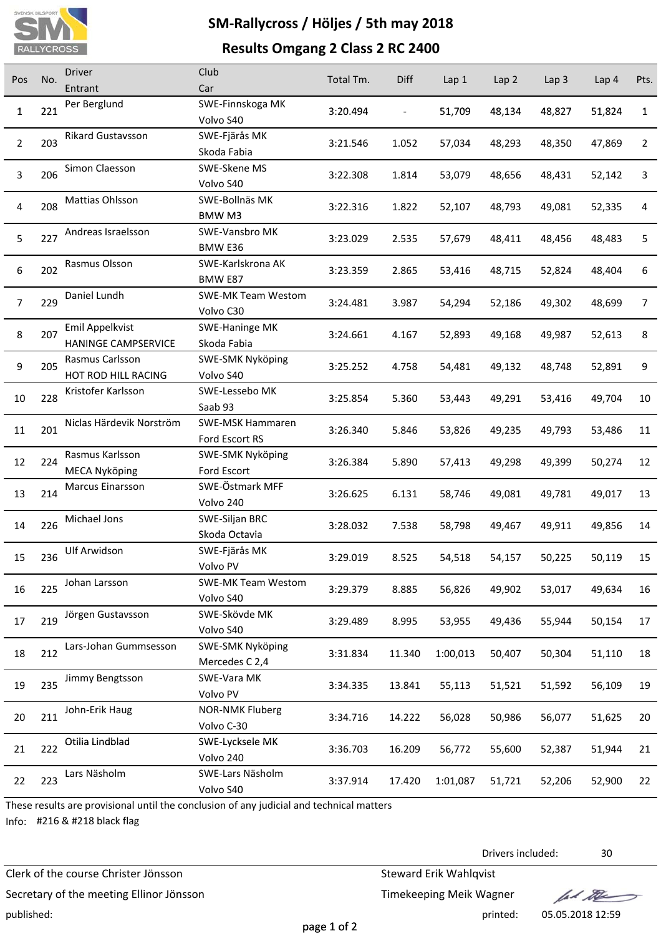

# **SM‐Rallycross / Höljes / 5th may 2018**

# **Results Omgang 2 Class 2 RC 2400**

| Pos            | No. | <b>Driver</b>                          | Club                          | Total Tm. | Diff   | Lap <sub>1</sub> | Lap 2  | Lap <sub>3</sub> | Lap <sub>4</sub> | Pts.         |
|----------------|-----|----------------------------------------|-------------------------------|-----------|--------|------------------|--------|------------------|------------------|--------------|
|                |     | Entrant                                | Car                           |           |        |                  |        |                  |                  |              |
| $\mathbf{1}$   | 221 | Per Berglund                           | SWE-Finnskoga MK              | 3:20.494  |        | 51,709           | 48,134 | 48,827           | 51,824           | $\mathbf{1}$ |
|                |     |                                        | Volvo S40                     |           |        |                  |        |                  |                  |              |
| $\overline{2}$ | 203 | Rikard Gustavsson                      | SWE-Fjärås MK                 | 3:21.546  | 1.052  | 57,034           | 48,293 | 48,350           | 47,869           | 2            |
|                |     |                                        | Skoda Fabia                   |           |        |                  |        |                  |                  |              |
| 3              | 206 | Simon Claesson                         | SWE-Skene MS                  | 3:22.308  | 1.814  | 53,079           | 48,656 | 48,431           | 52,142           | 3            |
|                |     |                                        | Volvo S40                     |           |        |                  |        |                  |                  |              |
| 4              | 208 | Mattias Ohlsson                        | SWE-Bollnäs MK                | 3:22.316  | 1.822  | 52,107           | 48,793 | 49,081           | 52,335           | 4            |
|                |     |                                        | BMW <sub>M3</sub>             |           |        |                  |        |                  |                  |              |
| 5              | 227 | Andreas Israelsson                     | SWE-Vansbro MK                | 3:23.029  | 2.535  | 57,679           | 48,411 | 48,456           | 48,483           | 5            |
|                |     |                                        | BMW E36                       |           |        |                  |        |                  |                  |              |
| 6              | 202 | Rasmus Olsson                          | SWE-Karlskrona AK             | 3:23.359  | 2.865  | 53,416           | 48,715 | 52,824           | 48,404           | 6            |
|                |     |                                        | BMW E87                       |           |        |                  |        |                  |                  |              |
| $\overline{7}$ | 229 | Daniel Lundh                           | <b>SWE-MK Team Westom</b>     | 3:24.481  | 3.987  | 54,294           | 52,186 | 49,302           | 48,699           | 7            |
|                |     | Emil Appelkvist                        | Volvo C30                     |           |        |                  |        |                  |                  |              |
| 8              | 207 |                                        | SWE-Haninge MK                | 3:24.661  | 4.167  | 52,893           | 49,168 | 49,987           | 52,613           | 8            |
|                |     | HANINGE CAMPSERVICE<br>Rasmus Carlsson | Skoda Fabia                   |           |        |                  |        |                  |                  |              |
| 9              | 205 | HOT ROD HILL RACING                    | SWE-SMK Nyköping<br>Volvo S40 | 3:25.252  | 4.758  | 54,481           | 49,132 | 48,748           | 52,891           | 9            |
|                |     | Kristofer Karlsson                     | SWE-Lessebo MK                |           |        |                  |        |                  |                  |              |
| 10             | 228 |                                        | Saab 93                       | 3:25.854  | 5.360  | 53,443           | 49,291 | 53,416           | 49,704           | 10           |
|                |     | Niclas Härdevik Norström               | SWE-MSK Hammaren              |           |        |                  |        |                  |                  |              |
| 11             | 201 |                                        | Ford Escort RS                | 3:26.340  | 5.846  | 53,826           | 49,235 | 49,793           | 53,486           | 11           |
|                |     | Rasmus Karlsson                        | SWE-SMK Nyköping              |           |        |                  |        |                  |                  |              |
| 12             | 224 | <b>MECA Nyköping</b>                   | Ford Escort                   | 3:26.384  | 5.890  | 57,413           | 49,298 | 49,399           | 50,274           | 12           |
|                |     | Marcus Einarsson                       | SWE-Östmark MFF               |           |        |                  |        |                  |                  |              |
| 13             | 214 |                                        | Volvo 240                     | 3:26.625  | 6.131  | 58,746           | 49,081 | 49,781           | 49,017           | 13           |
|                |     | Michael Jons                           | SWE-Siljan BRC                |           |        |                  |        |                  |                  |              |
| 14             | 226 |                                        | Skoda Octavia                 | 3:28.032  | 7.538  | 58,798           | 49,467 | 49,911           | 49,856           | 14           |
|                |     | Ulf Arwidson                           | SWE-Fjärås MK                 |           |        |                  |        |                  |                  |              |
| 15             | 236 |                                        | Volvo PV                      | 3:29.019  | 8.525  | 54,518           | 54,157 | 50,225           | 50,119           | 15           |
|                |     | Johan Larsson                          | <b>SWE-MK Team Westom</b>     |           |        |                  |        |                  |                  |              |
| 16             | 225 |                                        | Volvo S40                     | 3:29.379  | 8.885  | 56,826           | 49,902 | 53,017           | 49,634           | 16           |
|                |     | Jörgen Gustavsson                      | SWE-Skövde MK                 |           |        |                  |        |                  |                  |              |
| 17             | 219 |                                        | Volvo S40                     | 3:29.489  | 8.995  | 53,955           | 49,436 | 55,944           | 50,154           | 17           |
|                |     | Lars-Johan Gummsesson                  | SWE-SMK Nyköping              |           |        |                  |        |                  |                  |              |
| 18             | 212 |                                        | Mercedes C 2,4                | 3:31.834  | 11.340 | 1:00,013         | 50,407 | 50,304           | 51,110           | 18           |
|                |     | Jimmy Bengtsson                        | SWE-Vara MK                   |           |        |                  |        |                  |                  |              |
| 19             | 235 |                                        | Volvo PV                      | 3:34.335  | 13.841 | 55,113           | 51,521 | 51,592           | 56,109           | 19           |
|                |     | John-Erik Haug                         | <b>NOR-NMK Fluberg</b>        |           |        |                  |        |                  |                  |              |
| 20             | 211 |                                        | Volvo C-30                    | 3:34.716  | 14.222 | 56,028           | 50,986 | 56,077           | 51,625           | 20           |
|                |     | Otilia Lindblad                        | SWE-Lycksele MK               |           |        |                  |        |                  |                  |              |
| 21             | 222 |                                        | Volvo 240                     | 3:36.703  | 16.209 | 56,772           | 55,600 | 52,387           | 51,944           | 21           |
|                |     | Lars Näsholm                           | SWE-Lars Näsholm              |           |        |                  |        |                  |                  |              |
| 22             | 223 |                                        | Volvo S40                     | 3:37.914  | 17.420 | 1:01,087         | 51,721 | 52,206           | 52,900           | 22           |
|                |     |                                        |                               |           |        |                  |        |                  |                  |              |

These results are provisional until the conclusion of any judicial and technical matters

Info: #216 & #218 black flag

Clerk of the course Christer Jönsson Steward Erik Wahlqvist

Secretary of the meeting Ellinor Jönsson Timekeeping Meik Wagner published: printed: 05.05.2018 12:59

Drivers included: 30

fal the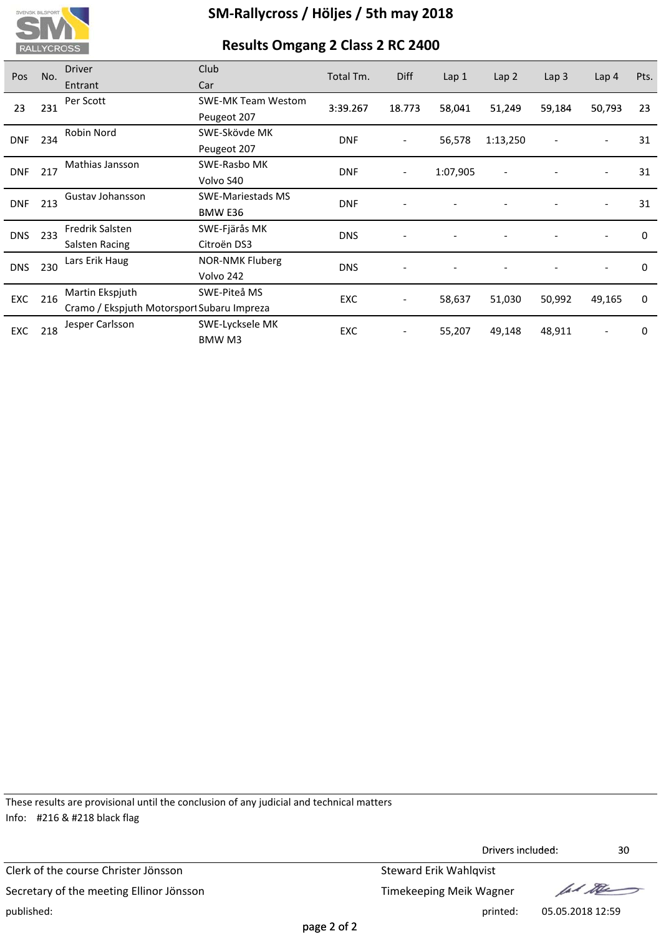

# **SM‐Rallycross / Höljes / 5th may 2018**

# **Results Omgang 2 Class 2 RC 2400**

| Pos        | No.               | <b>Driver</b>                              | Club                      | Total Tm.  | Diff                     | Lap <sub>1</sub> | Lap2                     | Lap <sub>3</sub>         | Lap <sub>4</sub>         | Pts.     |
|------------|-------------------|--------------------------------------------|---------------------------|------------|--------------------------|------------------|--------------------------|--------------------------|--------------------------|----------|
|            |                   | Entrant                                    | Car                       |            |                          |                  |                          |                          |                          |          |
| 23         | 231               | Per Scott                                  | <b>SWE-MK Team Westom</b> | 3:39.267   | 18.773                   | 58,041           | 51,249                   |                          | 50,793                   | 23       |
|            |                   |                                            | Peugeot 207               |            |                          |                  |                          | 59,184                   |                          |          |
|            | 234<br><b>DNF</b> | Robin Nord                                 | SWE-Skövde MK             | <b>DNF</b> | $\overline{\phantom{a}}$ | 56,578           | 1:13,250                 | $\overline{\phantom{a}}$ |                          | 31       |
|            |                   |                                            | Peugeot 207               |            |                          |                  |                          |                          |                          |          |
|            | 217<br><b>DNF</b> | Mathias Jansson                            | SWE-Rasbo MK              | <b>DNF</b> | $\overline{\phantom{a}}$ | 1:07,905         | $\overline{\phantom{a}}$ |                          | $\overline{\phantom{a}}$ | 31       |
|            |                   |                                            | Volvo S40                 |            |                          |                  |                          |                          |                          |          |
|            | 213<br><b>DNF</b> | Gustav Johansson                           | <b>SWE-Mariestads MS</b>  | <b>DNF</b> |                          |                  |                          |                          | $\overline{\phantom{a}}$ | 31       |
|            |                   | <b>BMW E36</b>                             |                           |            |                          |                  |                          |                          |                          |          |
| <b>DNS</b> | 233               | Fredrik Salsten                            | SWE-Fjärås MK             | <b>DNS</b> |                          |                  |                          |                          |                          | $\Omega$ |
|            |                   | Salsten Racing                             | Citroën DS3               |            |                          |                  |                          |                          |                          |          |
| <b>DNS</b> | 230               | Lars Erik Haug                             | <b>NOR-NMK Fluberg</b>    | <b>DNS</b> |                          |                  |                          |                          |                          | $\Omega$ |
|            |                   |                                            | Volvo 242                 |            |                          |                  |                          |                          |                          |          |
| EXC        | 216               | Martin Ekspjuth                            | SWE-Piteå MS              | <b>EXC</b> | $\overline{\phantom{a}}$ | 58,637           | 51,030                   | 50,992                   | 49,165                   | 0        |
|            |                   | Cramo / Ekspjuth Motorsport Subaru Impreza |                           |            |                          |                  |                          |                          |                          |          |
|            |                   | Jesper Carlsson                            | SWE-Lycksele MK           | <b>EXC</b> |                          | 55,207           | 49,148                   | 48,911                   |                          | 0        |
|            | 218<br>EXC        |                                            | BMW M3                    |            |                          |                  |                          |                          |                          |          |

These results are provisional until the conclusion of any judicial and technical matters Info: #216 & #218 black flag

Drivers included: 30 Drivers Clerk of the course Christer Jönsson Steward Erik Wahlqvist lad the Secretary of the meeting Ellinor Jönsson Secretary of the meeting Ellinor Jönsson published: printed: 05.05.2018 12:59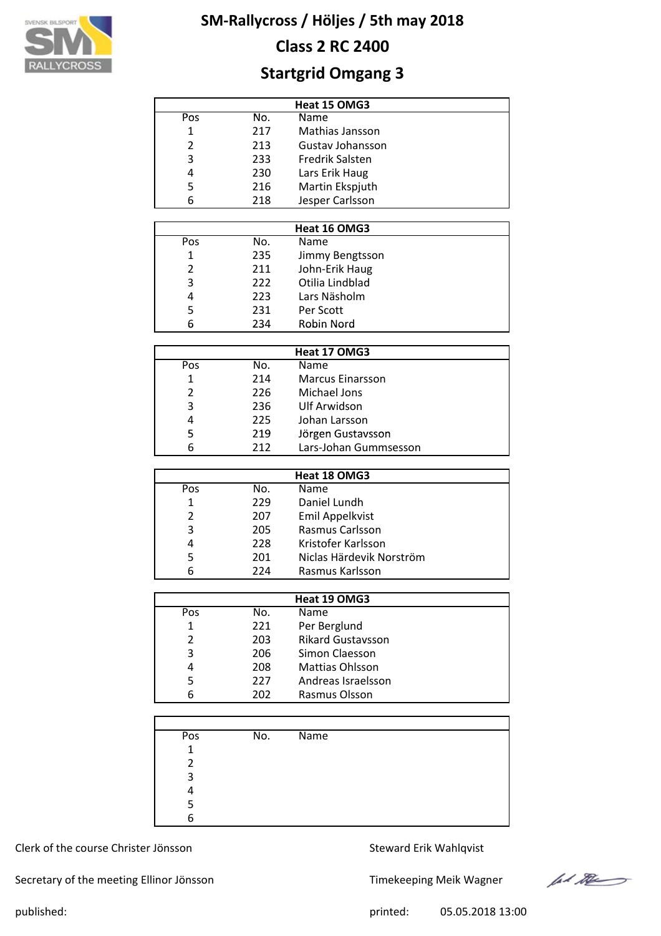

# **Class 2 RC 2400**

# **Startgrid Omgang 3**

| Heat 15 OMG3   |     |                        |  |  |  |  |
|----------------|-----|------------------------|--|--|--|--|
| Pos            | No. | Name                   |  |  |  |  |
| 1              | 217 | Mathias Jansson        |  |  |  |  |
| $\mathfrak{p}$ | 213 | Gustav Johansson       |  |  |  |  |
| 3              | 233 | <b>Fredrik Salsten</b> |  |  |  |  |
| 4              | 230 | Lars Erik Haug         |  |  |  |  |
| 5              | 216 | Martin Ekspjuth        |  |  |  |  |
| 6              | 218 | Jesper Carlsson        |  |  |  |  |

|                |     | Heat 16 OMG3    |  |
|----------------|-----|-----------------|--|
| Pos            | No. | <b>Name</b>     |  |
| 1              | 235 | Jimmy Bengtsson |  |
| $\overline{2}$ | 211 | John-Erik Haug  |  |
| 3              | 222 | Otilia Lindblad |  |
| 4              | 223 | Lars Näsholm    |  |
| 5              | 231 | Per Scott       |  |
| 6              | 234 | Robin Nord      |  |

|     |     | Heat 17 OMG3            |  |
|-----|-----|-------------------------|--|
| Pos | No. | <b>Name</b>             |  |
|     | 214 | <b>Marcus Einarsson</b> |  |
| 2   | 226 | Michael Jons            |  |
| 3   | 236 | Ulf Arwidson            |  |
| 4   | 225 | Johan Larsson           |  |
| 5   | 219 | Jörgen Gustavsson       |  |
| 6   | 212 | Lars-Johan Gummsesson   |  |

|     |     | Heat 18 OMG3             |
|-----|-----|--------------------------|
| Pos | No. | <b>Name</b>              |
| 1   | 229 | Daniel Lundh             |
| 2   | 207 | Emil Appelkvist          |
| 3   | 205 | Rasmus Carlsson          |
| 4   | 228 | Kristofer Karlsson       |
| 5   | 201 | Niclas Härdevik Norström |
| 6   | 224 | Rasmus Karlsson          |

|     |     | Heat 19 OMG3             |
|-----|-----|--------------------------|
| Pos | No. | <b>Name</b>              |
| 1   | 221 | Per Berglund             |
| 2   | 203 | <b>Rikard Gustavsson</b> |
| 3   | 206 | Simon Claesson           |
| 4   | 208 | <b>Mattias Ohlsson</b>   |
| 5   | 227 | Andreas Israelsson       |
| 6   | 202 | Rasmus Olsson            |

| Pos         | No. | Name |  |
|-------------|-----|------|--|
| $\mathbf 1$ |     |      |  |
| າ           |     |      |  |
| 3           |     |      |  |
|             |     |      |  |
|             |     |      |  |
|             |     |      |  |

Clerk of the course Christer Jönsson Steward Erik Wahlqvist

Secretary of the meeting Ellinor Jönsson Timekeeping Meik Wagner



published: 05.05.2018 13:00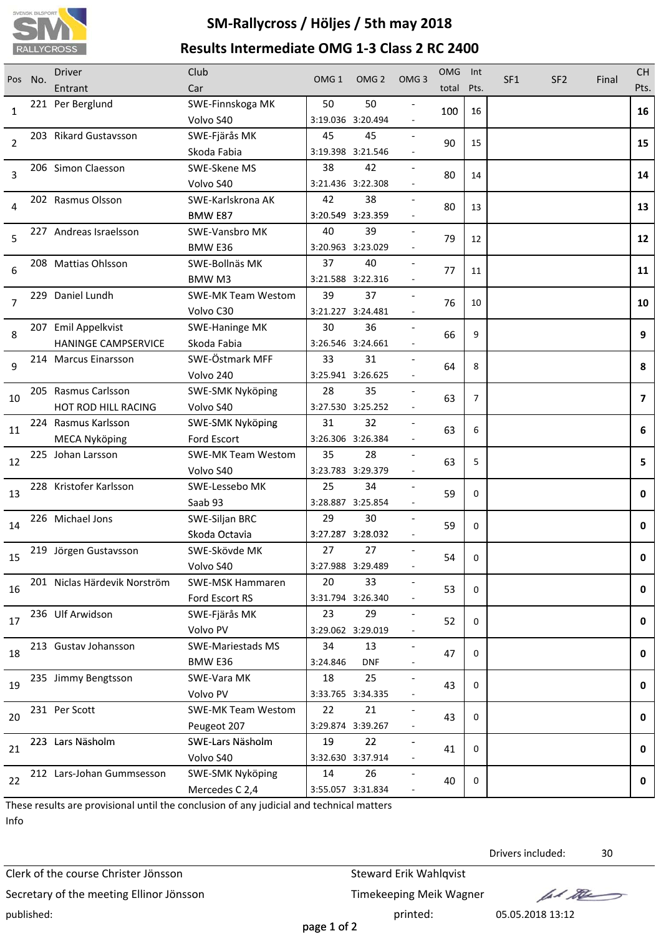

# **SM‐Rallycross / Höljes / 5th may 2018 Results Intermediate OMG 1‐3 Class 2 RC 2400**

| Pos | No. | <b>Driver</b><br>Entrant     | Club<br>Car                     | OMG <sub>1</sub> | OMG <sub>2</sub>        | OMG <sub>3</sub>         | <b>OMG</b><br>total | Int<br>Pts.    | SF <sub>1</sub> | SF <sub>2</sub> | Final | <b>CH</b><br>Pts. |
|-----|-----|------------------------------|---------------------------------|------------------|-------------------------|--------------------------|---------------------|----------------|-----------------|-----------------|-------|-------------------|
|     |     | 221 Per Berglund             | SWE-Finnskoga MK                | 50               | 50                      |                          |                     |                |                 |                 |       |                   |
| 1   |     |                              | Volvo S40                       |                  | 3:19.036 3:20.494       |                          | 100                 | 16             |                 |                 |       | 16                |
|     |     | 203 Rikard Gustavsson        | SWE-Fjärås MK                   | 45               | 45                      |                          |                     |                |                 |                 |       |                   |
| 2   |     |                              | Skoda Fabia                     |                  | 3:19.398 3:21.546       |                          | 90                  | 15             |                 |                 |       | 15                |
|     |     | 206 Simon Claesson           | SWE-Skene MS                    | 38               | 42                      |                          |                     |                |                 |                 |       |                   |
| 3   |     |                              | Volvo S40                       |                  | 3:21.436 3:22.308       |                          | 80                  | 14             |                 |                 |       | 14                |
|     |     | 202 Rasmus Olsson            | SWE-Karlskrona AK               | 42               | 38                      |                          |                     |                |                 |                 |       |                   |
| 4   |     |                              | BMW E87                         |                  | 3:20.549 3:23.359       |                          | 80                  | 13             |                 |                 |       | 13                |
| 5   |     | 227 Andreas Israelsson       | SWE-Vansbro MK                  | 40               | 39                      |                          | 79                  | 12             |                 |                 |       | 12                |
|     |     |                              | BMW E36                         |                  | 3:20.963 3:23.029       |                          |                     |                |                 |                 |       |                   |
| 6   |     | 208 Mattias Ohlsson          | SWE-Bollnäs MK                  | 37               | 40                      |                          | 77                  | 11             |                 |                 |       | 11                |
|     |     |                              | <b>BMW M3</b>                   |                  | 3:21.588 3:22.316       |                          |                     |                |                 |                 |       |                   |
| 7   |     | 229 Daniel Lundh             | <b>SWE-MK Team Westom</b>       | 39               | 37                      |                          | 76                  | 10             |                 |                 |       | 10                |
|     |     |                              | Volvo C30                       |                  | 3:21.227 3:24.481       |                          |                     |                |                 |                 |       |                   |
| 8   |     | 207 Emil Appelkvist          | <b>SWE-Haninge MK</b>           | 30               | 36                      |                          | 66                  | 9              |                 |                 |       | 9                 |
|     |     | <b>HANINGE CAMPSERVICE</b>   | Skoda Fabia                     |                  | 3:26.546 3:24.661       |                          |                     |                |                 |                 |       |                   |
| 9   |     | 214 Marcus Einarsson         | SWE-Östmark MFF                 | 33               | 31                      |                          | 64                  | 8              |                 |                 |       | 8                 |
|     |     |                              | Volvo 240                       |                  | 3:25.941 3:26.625       |                          |                     |                |                 |                 |       |                   |
| 10  |     | 205 Rasmus Carlsson          | <b>SWE-SMK Nyköping</b>         | 28               | 35                      |                          | 63                  | $\overline{7}$ |                 |                 |       | $\overline{7}$    |
|     |     | HOT ROD HILL RACING          | Volvo S40                       |                  | 3:27.530 3:25.252       |                          |                     |                |                 |                 |       |                   |
| 11  |     | 224 Rasmus Karlsson          | SWE-SMK Nyköping                | 31               | 32                      |                          | 63                  | 6              |                 |                 |       | 6                 |
|     |     | <b>MECA Nyköping</b>         | Ford Escort                     |                  | 3:26.306 3:26.384       |                          |                     |                |                 |                 |       |                   |
| 12  |     | 225 Johan Larsson            | <b>SWE-MK Team Westom</b>       | 35               | 28                      |                          | 63                  | 5              |                 |                 |       | 5                 |
|     |     |                              | Volvo S40                       |                  | 3:23.783 3:29.379       |                          |                     |                |                 |                 |       |                   |
| 13  |     | 228 Kristofer Karlsson       | SWE-Lessebo MK                  | 25               | 34                      |                          | 59                  | $\Omega$       |                 |                 |       | 0                 |
|     |     | 226 Michael Jons             | Saab 93                         | 29               | 3:28.887 3:25.854       |                          |                     |                |                 |                 |       |                   |
| 14  |     |                              | SWE-Siljan BRC<br>Skoda Octavia |                  | 30<br>3:27.287 3:28.032 |                          | 59                  | 0              |                 |                 |       | 0                 |
|     |     | 219 Jörgen Gustavsson        | SWE-Skövde MK                   | 27               | 27                      |                          |                     |                |                 |                 |       |                   |
| 15  |     |                              | Volvo S40                       |                  | 3:27.988 3:29.489       |                          | 54                  | 0              |                 |                 |       | 0                 |
|     |     | 201 Niclas Härdevik Norström | <b>SWE-MSK Hammaren</b>         | 20               | 33                      |                          |                     |                |                 |                 |       |                   |
| 16  |     |                              | Ford Escort RS                  |                  | 3:31.794 3:26.340       |                          | 53                  | 0              |                 |                 |       | 0                 |
|     |     | 236 Ulf Arwidson             | SWE-Fjärås MK                   | 23               | 29                      |                          |                     |                |                 |                 |       |                   |
| 17  |     |                              | Volvo PV                        |                  | 3:29.062 3:29.019       |                          | 52                  | 0              |                 |                 |       | 0                 |
|     |     | 213 Gustav Johansson         | <b>SWE-Mariestads MS</b>        | 34               | 13                      | $\overline{\phantom{a}}$ |                     |                |                 |                 |       |                   |
| 18  |     |                              | BMW E36                         | 3:24.846         | <b>DNF</b>              |                          | 47                  | 0              |                 |                 |       | 0                 |
|     |     | 235 Jimmy Bengtsson          | SWE-Vara MK                     | 18               | 25                      |                          |                     |                |                 |                 |       |                   |
| 19  |     |                              | Volvo PV                        |                  | 3:33.765 3:34.335       |                          | 43                  | 0              |                 |                 |       | 0                 |
|     |     | 231 Per Scott                | <b>SWE-MK Team Westom</b>       | 22               | 21                      |                          |                     |                |                 |                 |       |                   |
| 20  |     |                              | Peugeot 207                     |                  | 3:29.874 3:39.267       |                          | 43                  | 0              |                 |                 |       | 0                 |
| 21  |     | 223 Lars Näsholm             | SWE-Lars Näsholm                | 19               | 22                      |                          | 41                  | 0              |                 |                 |       | 0                 |
|     |     |                              | Volvo S40                       |                  | 3:32.630 3:37.914       |                          |                     |                |                 |                 |       |                   |
| 22  |     | 212 Lars-Johan Gummsesson    | <b>SWE-SMK Nyköping</b>         | 14               | 26                      |                          | 40                  | 0              |                 |                 |       | 0                 |
|     |     |                              | Mercedes C 2,4                  |                  | 3:55.057 3:31.834       |                          |                     |                |                 |                 |       |                   |

These results are provisional until the conclusion of any judicial and technical matters Info

Clerk of the course Christer Jönsson Steward Erik Wahlqvist Secretary of the meeting Ellinor Jönsson Timekeeping Meik Wagner published: printed: 05.05.2018 13:12

Drivers included: 30

lad the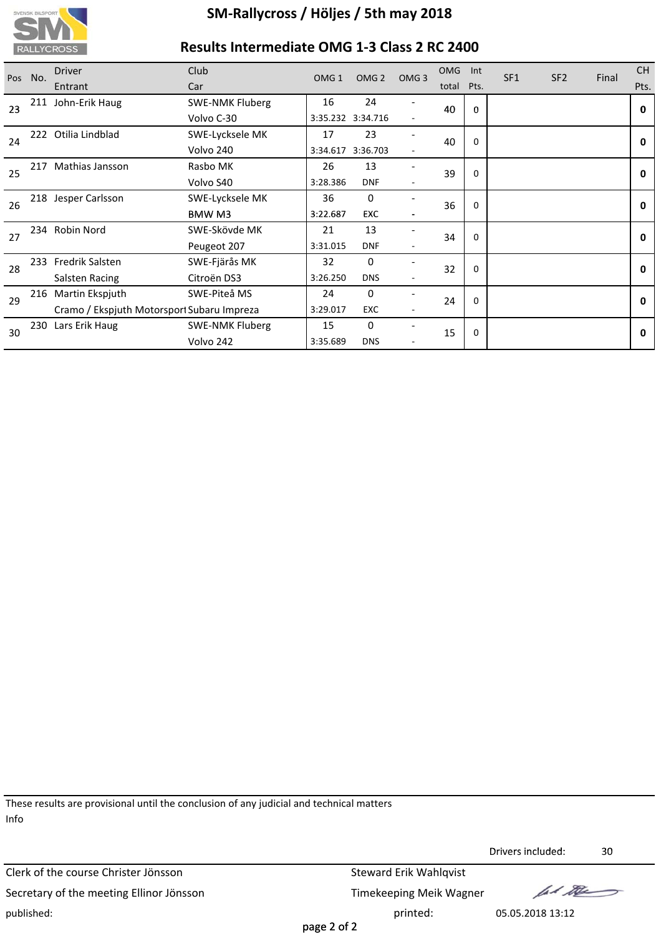

# **Results Intermediate OMG 1‐3 Class 2 RC 2400**

| Pos | No.                                        | <b>Driver</b>       | Club                   | OMG <sub>1</sub> | OMG <sub>2</sub>  | OMG <sub>3</sub> | <b>OMG</b> | Int         | SF <sub>1</sub> | SF <sub>2</sub> | Final | <b>CH</b>    |  |  |
|-----|--------------------------------------------|---------------------|------------------------|------------------|-------------------|------------------|------------|-------------|-----------------|-----------------|-------|--------------|--|--|
|     |                                            | Entrant             | Car                    |                  |                   |                  | total      | Pts.        |                 |                 |       | Pts.         |  |  |
| 23  |                                            | 211 John-Erik Haug  | <b>SWE-NMK Fluberg</b> | 16               | 24                |                  | 40         | $\Omega$    |                 |                 |       | $\mathbf{0}$ |  |  |
|     |                                            |                     | Volvo C-30             |                  | 3:35.232 3:34.716 |                  |            |             |                 |                 |       |              |  |  |
| 24  | 222                                        | Otilia Lindblad     | SWE-Lycksele MK        | 17               | 23                |                  | 40         | 0           |                 |                 |       | $\mathbf{0}$ |  |  |
|     |                                            |                     | Volvo 240              | 3:34.617         | 3:36.703          |                  |            |             |                 |                 |       |              |  |  |
| 25  | 217                                        | Mathias Jansson     | Rasbo MK               | 26               | 13                |                  | 39         | $\Omega$    |                 |                 |       | $\mathbf{0}$ |  |  |
|     |                                            |                     | Volvo S40              | 3:28.386         | <b>DNF</b>        |                  |            |             |                 |                 |       |              |  |  |
| 26  |                                            | 218 Jesper Carlsson | SWE-Lycksele MK        | 36               | 0                 |                  | 36         | $\Omega$    |                 |                 |       | $\mathbf{0}$ |  |  |
|     |                                            |                     | BMW M3                 | 3:22.687         | <b>EXC</b>        |                  |            |             |                 |                 |       |              |  |  |
| 27  |                                            | 234 Robin Nord      | SWE-Skövde MK          | 21               | 13                |                  | 34         | 0           |                 |                 |       | $\mathbf{0}$ |  |  |
|     |                                            |                     | Peugeot 207            | 3:31.015         | <b>DNF</b>        |                  |            |             |                 |                 |       |              |  |  |
| 28  | 233                                        | Fredrik Salsten     | SWE-Fjärås MK          | 32               | 0                 |                  | 32         | 0           |                 |                 |       | $\mathbf{0}$ |  |  |
|     |                                            | Salsten Racing      | Citroën DS3            | 3:26.250         | <b>DNS</b>        |                  |            |             |                 |                 |       |              |  |  |
| 29  |                                            | 216 Martin Ekspjuth | SWE-Piteå MS           | 24               | $\mathbf 0$       |                  | 24         | $\mathbf 0$ |                 |                 |       | $\mathbf{0}$ |  |  |
|     | Cramo / Ekspjuth Motorsport Subaru Impreza |                     | 3:29.017               | <b>EXC</b>       |                   |                  |            |             |                 |                 |       |              |  |  |
| 30  |                                            | 230 Lars Erik Haug  | <b>SWE-NMK Fluberg</b> | 15               | 0                 |                  | 15         | 0           |                 |                 |       | 0            |  |  |
|     |                                            |                     | Volvo 242              | 3:35.689         | <b>DNS</b>        |                  |            |             |                 |                 |       |              |  |  |

These results are provisional until the conclusion of any judicial and technical matters Info

Clerk of the course Christer Jönsson Steward Erik Wahlqvist Secretary of the meeting Ellinor Jönsson Timekeeping Meik Wagner published: 05.05.2018 13:12

Drivers included: 30 Drivers

fal the

page 2 of 2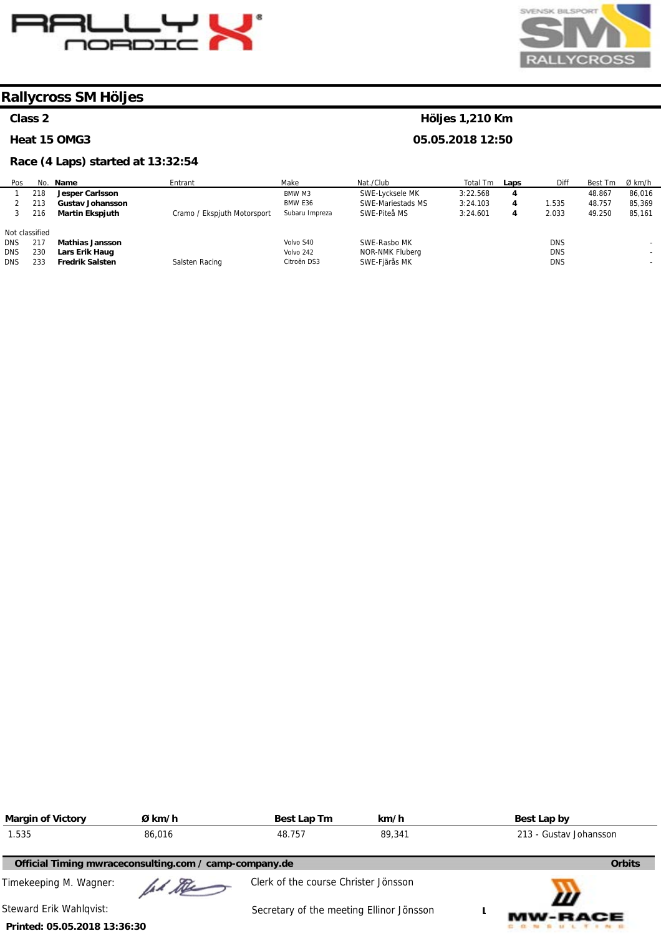



#### **Class 2**

l.

ĺ

**Heat 15 OMG3** 

#### **Race (4 Laps) started at 13:32:54**

#### Po: 1 2 3 Not classified DNS DNS DNS No. 218 213 216 217 230 233 **Name Jesper Carlsson Gustav Johansson Martin Ekspjuth Mathias Jansson Lars Erik Haug Fredrik Salsten Entrant** Cramo / Ekspjuth Motorsport Salsten Racing Make BMW M3 BMW E36 Subaru Impreza Volvo S40 Volvo 242 Citroën DS3 Nat./Club SWE-Lycksele MK SWE-Mariestads MS SWE-Piteå MS SWE-Rasbo MK NOR-NMK Fluberg SWE-Fjärås MK Total Tm 3:22.568 3:24.103 3:24.601 **Laps 4 4 4**  Diff 1.535 2.033 DNS DNS DNS Best Tm 48.867 48.757 49.250 Ø km/h 86,016 85,369 85,161 - - -

| <b>Margin of Victory</b>     | Ø km/h                                                 | Best Lap Tm                              | km/h   | Best Lap by            |
|------------------------------|--------------------------------------------------------|------------------------------------------|--------|------------------------|
| 1.535                        | 86,016                                                 | 48.757                                   | 89,341 | 213 - Gustav Johansson |
|                              | Official Timing mwraceconsulting.com / camp-company.de |                                          |        | <b>Orbits</b>          |
| Timekeeping M. Wagner:       | ad the                                                 | Clerk of the course Christer Jönsson     |        |                        |
| Steward Erik Wahlqvist:      |                                                        | Secretary of the meeting Ellinor Jönsson |        | Ш<br><b>MW-RACE</b>    |
| Printed: 05.05.2018 13:36:30 |                                                        |                                          |        |                        |

**Höljes 1,210 Km 05.05.2018 12:50**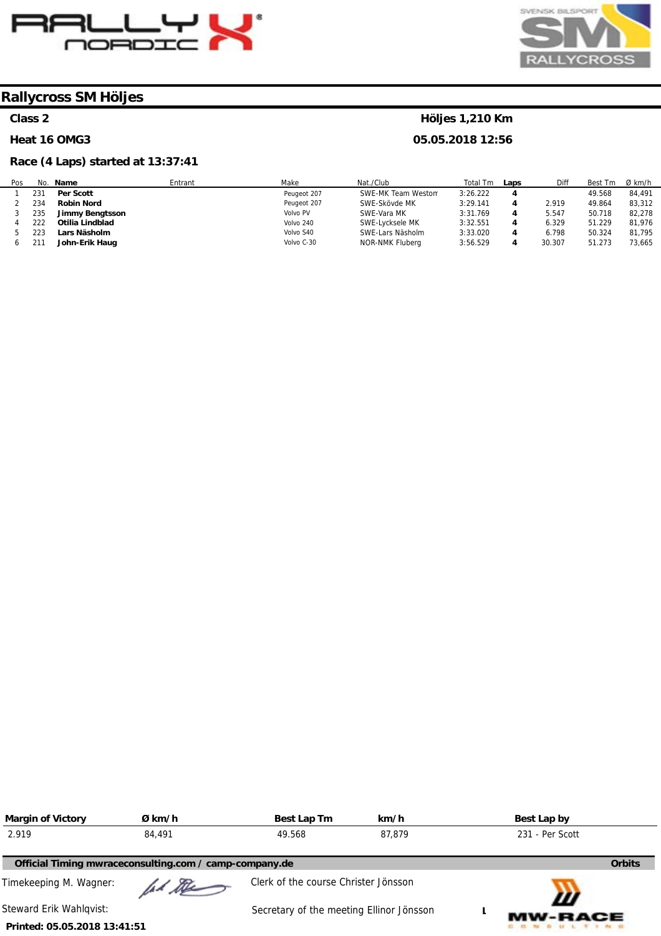



# **Class 2**

#### **Heat 16 OMG3**

# **Race (4 Laps) started at 13:37:41**

# **Höljes 1,210 Km**

| Pos | No. | Name              | Entrant | Make        | Nat./Club          | Total Tm | Laps | Diff   | Best Tm | $Ø$ km/h |
|-----|-----|-------------------|---------|-------------|--------------------|----------|------|--------|---------|----------|
|     | 231 | <b>Per Scott</b>  |         | Peugeot 207 | SWE-MK Team Weston | 3:26.222 |      |        | 49.568  | 84.491   |
|     | 234 | <b>Robin Nord</b> |         | Peugeot 207 | SWE-Skövde MK      | 3:29.141 |      | 2.919  | 49.864  | 83,312   |
|     | 235 | Jimmy Bengtsson   |         | Volvo PV    | SWE-Vara MK        | 3:31.769 |      | 5.547  | 50.718  | 82.278   |
|     | 222 | Otilia Lindblad   |         | Volvo 240   | SWE-Lycksele MK    | 3:32.551 |      | 6.329  | 51.229  | 81.976   |
|     | 223 | Lars Näsholm      |         | Volvo S40   | SWE-Lars Näsholm   | 3:33.020 |      | 6.798  | 50.324  | 81,795   |
|     |     | John-Erik Haug    |         | Volvo C-30  | NOR-NMK Fluberg    | 3:56.529 | 4    | 30.307 | 51.273  | 73,665   |

| <b>Margin of Victory</b>     | Ø km/h                                                 | Best Lap Tm                              | km/h   | Best Lap by         |
|------------------------------|--------------------------------------------------------|------------------------------------------|--------|---------------------|
| 2.919                        | 84,491                                                 | 49.568                                   | 87.879 | 231 - Per Scott     |
|                              | Official Timing mwraceconsulting.com / camp-company.de |                                          |        | <b>Orbits</b>       |
| Timekeeping M. Wagner:       | id the                                                 | Clerk of the course Christer Jönsson     |        |                     |
| Steward Erik Wahlqvist:      |                                                        | Secretary of the meeting Ellinor Jönsson |        | Ш<br><b>MW-RACE</b> |
| Printed: 05.05.2018 13:41:51 |                                                        |                                          |        |                     |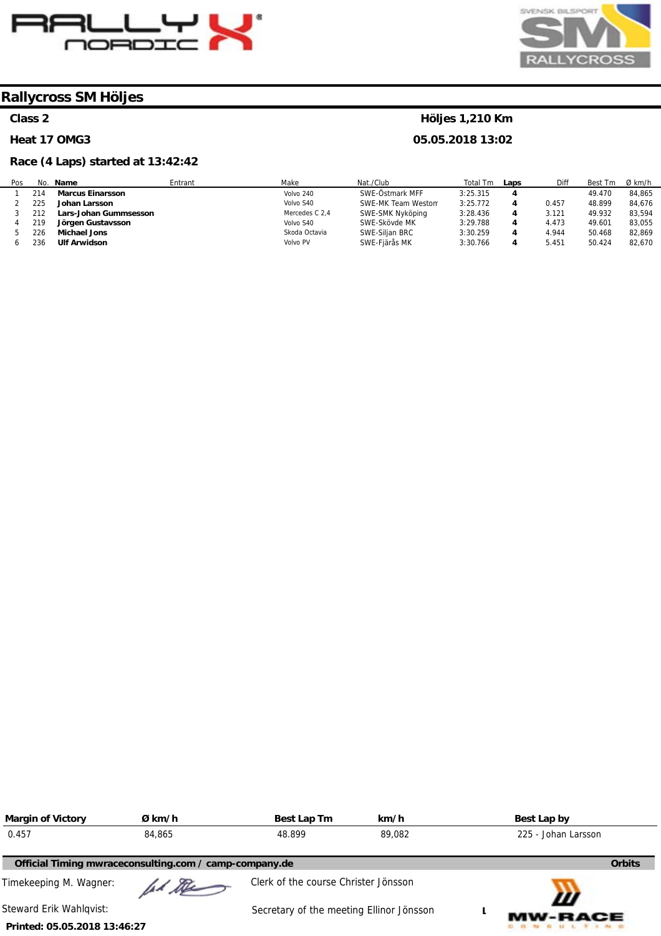



#### **Class 2**

#### **Heat 17 OMG3**

#### **Race (4 Laps) started at 13:42:42**

#### Po: 1 2 3 4 5 6 No. 214 225 212 219 226 236 **Name Marcus Einarsson Johan Larsson Lars-Johan Gummsesson Jörgen Gustavsson Michael Jons Ulf Arwidson**  Entrant Make Volvo 240 Volvo S40 Mercedes C 2,4 Volvo S40 Skoda Octavia Volvo PV Nat./Club SWE-Östmark MFF SWE-MK Team Westom SWE-SMK Nyköping SWE-Skövde MK SWE-Siljan BRC SWE-Fjärås MK Total Tm 3:25.315 3:25.772 3:28.436 3:29.788 3:30.259 3:30.766 **Laps 4 4 4 4 4 4**  Diff 0.457 3.121 4.473 4.944 5.451 Best Tm 49.470 48.899 49.932 49.601 50.468 50.424 Ø km/h 84,865 84,676 83,594 83,055 82,869 82,670

| <b>Margin of Victory</b>     | Ø km/h                                                 | Best Lap Tm                              | km/h   | Best Lap by         |               |
|------------------------------|--------------------------------------------------------|------------------------------------------|--------|---------------------|---------------|
| 0.457                        | 84,865                                                 | 48.899                                   | 89,082 | 225 - Johan Larsson |               |
|                              | Official Timing mwraceconsulting.com / camp-company.de |                                          |        |                     | <b>Orbits</b> |
| Timekeeping M. Wagner:       | lad De                                                 | Clerk of the course Christer Jönsson     |        |                     |               |
| Steward Erik Wahlgvist:      |                                                        | Secretary of the meeting Ellinor Jönsson |        | Ш<br><b>MW-RACE</b> |               |
| Printed: 05.05.2018 13:46:27 |                                                        |                                          |        |                     |               |

# **Höljes 1,210 Km**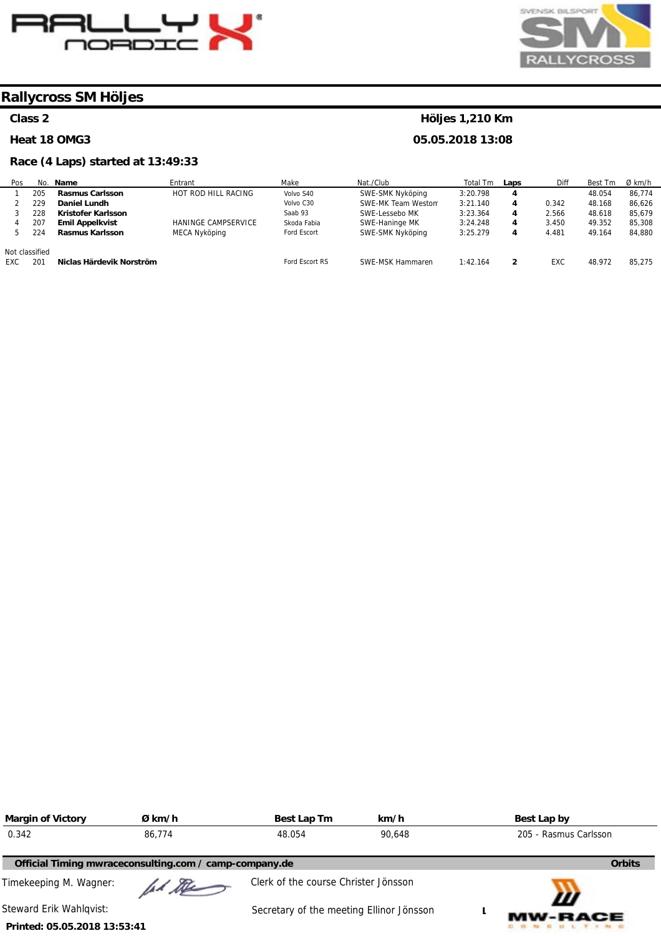



### **Class 2**

#### **Heat 18 OMG3**

# **Race (4 Laps) started at 13:49:33**

# **Höljes 1,210 Km**

| Pos        |                | No. Name                 | Entrant             | Make           | Nat./Club          | Total Tm | Laps | Diff  | Best Tm | Ø km/h |
|------------|----------------|--------------------------|---------------------|----------------|--------------------|----------|------|-------|---------|--------|
|            | 205            | <b>Rasmus Carlsson</b>   | HOT ROD HILL RACING | Volvo S40      | SWE-SMK Nyköping   | 3:20.798 | 4    |       | 48.054  | 86.774 |
|            | 229            | Daniel Lundh             |                     | Volvo C30      | SWE-MK Team Weston | 3:21.140 | 4    | 0.342 | 48.168  | 86.626 |
|            | 228            | Kristofer Karlsson       |                     | Saab 93        | SWE-Lessebo MK     | 3:23.364 | 4    | 2.566 | 48.618  | 85.679 |
|            | 207            | <b>Emil Appelkvist</b>   | HANINGE CAMPSERVICE | Skoda Fabia    | SWE-Haninge MK     | 3:24.248 | 4    | 3.450 | 49.352  | 85,308 |
|            | 224            | Rasmus Karlsson          | MECA Nyköping       | Ford Escort    | SWE-SMK Nyköping   | 3:25.279 | 4    | 4.481 | 49.164  | 84.880 |
|            | Not classified |                          |                     |                |                    |          |      |       |         |        |
| <b>EXC</b> | 201            | Niclas Härdevik Norström |                     | Ford Escort RS | SWE-MSK Hammaren   | 1:42.164 | 2    | EXC   | 48.972  | 85.275 |

| <b>Margin of Victory</b>                               | Ø km/h | Best Lap Tm                              | km/h | Best Lap by           |
|--------------------------------------------------------|--------|------------------------------------------|------|-----------------------|
| 0.342                                                  | 86.774 | 48.054<br>90.648                         |      | 205 - Rasmus Carlsson |
| Official Timing mwraceconsulting.com / camp-company.de |        |                                          |      | <b>Orbits</b>         |
| Timekeeping M. Wagner:                                 | ad the | Clerk of the course Christer Jönsson     |      |                       |
| Steward Erik Wahlqvist:                                |        | Secretary of the meeting Ellinor Jönsson |      | Ш<br><b>MW-RACE</b>   |
| Printed: 05.05.2018 13:53:41                           |        |                                          |      |                       |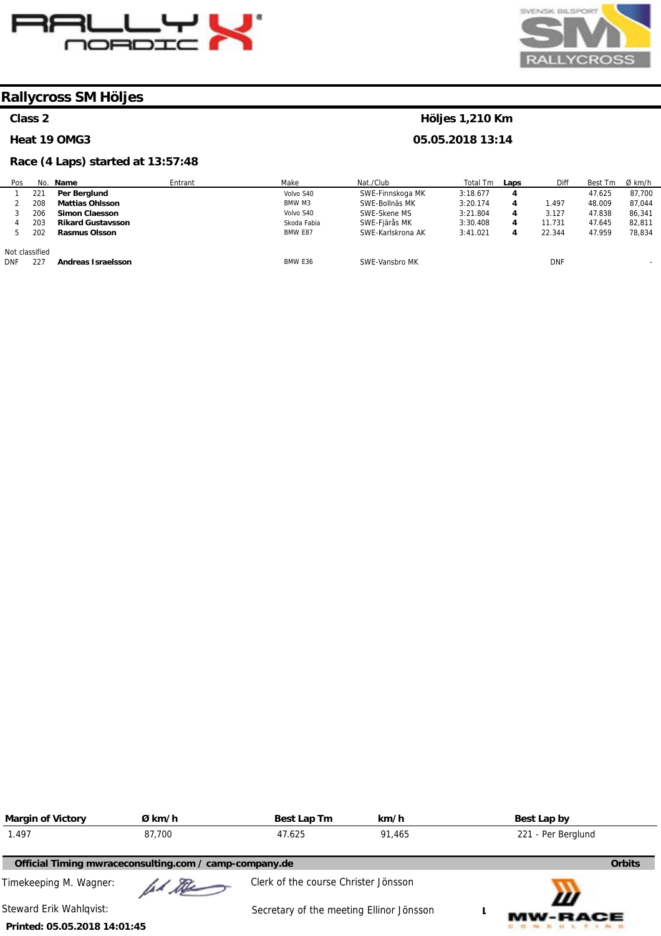



**Höljes 1,210 Km 05.05.2018 13:14** 

# **Rallycross SM Höljes**

### **Class 2**

#### **Heat 19 OMG3**

# **Race (4 Laps) started at 13:57:48**

| Pos            |     | No. Name                 | Entrant | Make        | Nat./Club         | Total Tm | Laps | Diff       | Best Tm | Ø km/h                   |
|----------------|-----|--------------------------|---------|-------------|-------------------|----------|------|------------|---------|--------------------------|
|                | 221 | Per Berglund             |         | Volvo S40   | SWE-Finnskoga MK  | 3:18.677 | 4    |            | 47.625  | 87,700                   |
|                | 208 | <b>Mattias Ohlsson</b>   |         | BMW M3      | SWE-Bollnäs MK    | 3:20.174 | 4    | 1.497      | 48.009  | 87.044                   |
|                | 206 | <b>Simon Claesson</b>    |         | Volvo S40   | SWE-Skene MS      | 3:21.804 | 4    | 3.127      | 47.838  | 86,341                   |
|                | 203 | <b>Rikard Gustavsson</b> |         | Skoda Fabia | SWE-Fjärås MK     | 3:30.408 | 4    | 11.731     | 47.645  | 82.811                   |
|                | 202 | <b>Rasmus Olsson</b>     |         | BMW E87     | SWE-Karlskrona AK | 3:41.021 | 4    | 22.344     | 47.959  | 78,834                   |
| Not classified |     |                          |         |             |                   |          |      |            |         |                          |
| <b>DNF</b>     | 227 | Andreas Israelsson       |         | BMW E36     | SWE-Vansbro MK    |          |      | <b>DNF</b> |         | $\overline{\phantom{a}}$ |

| <b>Margin of Victory</b>     | Ø km/h                                                 | Best Lap Tm                              | km/h   | Best Lap by         |
|------------------------------|--------------------------------------------------------|------------------------------------------|--------|---------------------|
| 1.497                        | 87.700                                                 | 47.625                                   | 91.465 | 221 - Per Berglund  |
|                              | Official Timing mwraceconsulting.com / camp-company.de |                                          |        | <b>Orbits</b>       |
| Timekeeping M. Wagner:       | ad the                                                 | Clerk of the course Christer Jönsson     |        |                     |
| Steward Erik Wahlqvist:      |                                                        | Secretary of the meeting Ellinor Jönsson |        | Ш<br><b>MW-RACE</b> |
| Printed: 05.05.2018 14:01:45 |                                                        |                                          |        |                     |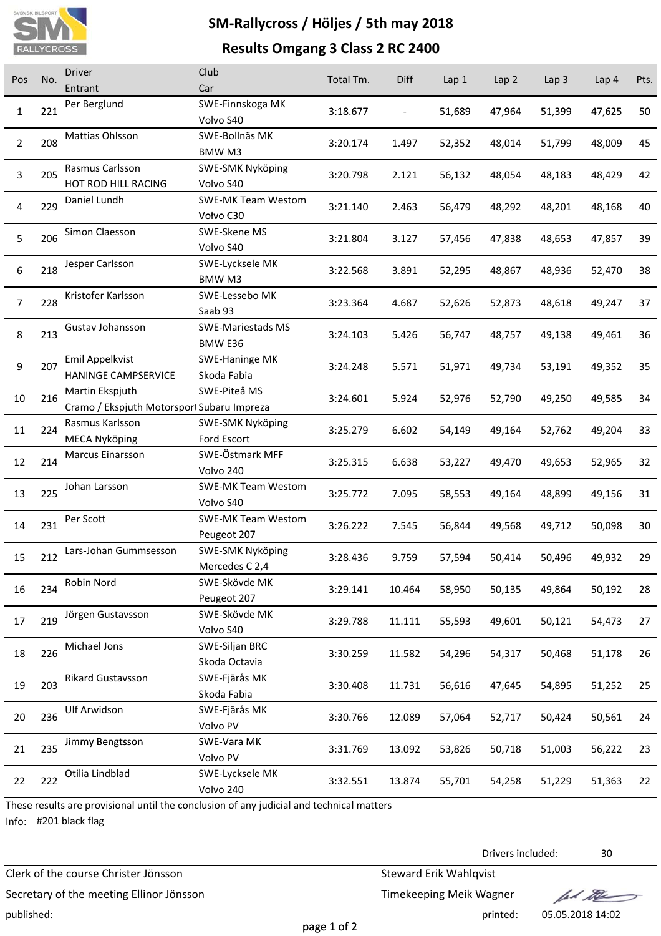

# **SM‐Rallycross / Höljes / 5th may 2018**

# **Results Omgang 3 Class 2 RC 2400**

| Pos            | No. | <b>Driver</b><br>Entrant                                      | Club<br>Car                              | Total Tm. | Diff                     | Lap <sub>1</sub> | Lap 2  | Lap <sub>3</sub> | Lap 4  | Pts. |
|----------------|-----|---------------------------------------------------------------|------------------------------------------|-----------|--------------------------|------------------|--------|------------------|--------|------|
| $\mathbf{1}$   | 221 | Per Berglund                                                  | SWE-Finnskoga MK<br>Volvo S40            | 3:18.677  | $\overline{\phantom{0}}$ | 51,689           | 47,964 | 51,399           | 47,625 | 50   |
| $\overline{2}$ | 208 | Mattias Ohlsson                                               | SWE-Bollnäs MK<br>BMW M3                 | 3:20.174  | 1.497                    | 52,352           | 48,014 | 51,799           | 48,009 | 45   |
| 3              | 205 | Rasmus Carlsson<br>HOT ROD HILL RACING                        | SWE-SMK Nyköping<br>Volvo S40            | 3:20.798  | 2.121                    | 56,132           | 48,054 | 48,183           | 48,429 | 42   |
| 4              | 229 | Daniel Lundh                                                  | <b>SWE-MK Team Westom</b><br>Volvo C30   | 3:21.140  | 2.463                    | 56,479           | 48,292 | 48,201           | 48,168 | 40   |
| 5              | 206 | Simon Claesson                                                | SWE-Skene MS<br>Volvo S40                | 3:21.804  | 3.127                    | 57,456           | 47,838 | 48,653           | 47,857 | 39   |
| 6              | 218 | Jesper Carlsson                                               | SWE-Lycksele MK<br>BMW M3                | 3:22.568  | 3.891                    | 52,295           | 48,867 | 48,936           | 52,470 | 38   |
| $\overline{7}$ | 228 | Kristofer Karlsson                                            | SWE-Lessebo MK<br>Saab 93                | 3:23.364  | 4.687                    | 52,626           | 52,873 | 48,618           | 49,247 | 37   |
| $\,8\,$        | 213 | Gustav Johansson                                              | SWE-Mariestads MS<br>BMW E36             | 3:24.103  | 5.426                    | 56,747           | 48,757 | 49,138           | 49,461 | 36   |
| 9              | 207 | Emil Appelkvist<br><b>HANINGE CAMPSERVICE</b>                 | SWE-Haninge MK<br>Skoda Fabia            | 3:24.248  | 5.571                    | 51,971           | 49,734 | 53,191           | 49,352 | 35   |
| 10             | 216 | Martin Ekspjuth<br>Cramo / Ekspjuth Motorsport Subaru Impreza | SWE-Piteå MS                             | 3:24.601  | 5.924                    | 52,976           | 52,790 | 49,250           | 49,585 | 34   |
| 11             | 224 | Rasmus Karlsson<br><b>MECA Nyköping</b>                       | SWE-SMK Nyköping<br>Ford Escort          | 3:25.279  | 6.602                    | 54,149           | 49,164 | 52,762           | 49,204 | 33   |
| 12             | 214 | Marcus Einarsson                                              | SWE-Östmark MFF<br>Volvo 240             | 3:25.315  | 6.638                    | 53,227           | 49,470 | 49,653           | 52,965 | 32   |
| 13             | 225 | Johan Larsson                                                 | <b>SWE-MK Team Westom</b><br>Volvo S40   | 3:25.772  | 7.095                    | 58,553           | 49,164 | 48,899           | 49,156 | 31   |
| 14             | 231 | Per Scott                                                     | <b>SWE-MK Team Westom</b><br>Peugeot 207 | 3:26.222  | 7.545                    | 56,844           | 49,568 | 49,712           | 50,098 | 30   |
| 15             | 212 | Lars-Johan Gummsesson                                         | SWE-SMK Nyköping<br>Mercedes C 2,4       | 3:28.436  | 9.759                    | 57,594           | 50,414 | 50,496           | 49,932 | 29   |
| 16             | 234 | Robin Nord                                                    | SWE-Skövde MK<br>Peugeot 207             | 3:29.141  | 10.464                   | 58,950           | 50,135 | 49,864           | 50,192 | 28   |
| 17             | 219 | Jörgen Gustavsson                                             | SWE-Skövde MK<br>Volvo S40               | 3:29.788  | 11.111                   | 55,593           | 49,601 | 50,121           | 54,473 | 27   |
| 18             | 226 | Michael Jons                                                  | SWE-Siljan BRC<br>Skoda Octavia          | 3:30.259  | 11.582                   | 54,296           | 54,317 | 50,468           | 51,178 | 26   |
| 19             | 203 | Rikard Gustavsson                                             | SWE-Fjärås MK<br>Skoda Fabia             | 3:30.408  | 11.731                   | 56,616           | 47,645 | 54,895           | 51,252 | 25   |
| 20             | 236 | Ulf Arwidson                                                  | SWE-Fjärås MK<br>Volvo PV                | 3:30.766  | 12.089                   | 57,064           | 52,717 | 50,424           | 50,561 | 24   |
| 21             | 235 | Jimmy Bengtsson                                               | SWE-Vara MK<br>Volvo PV                  | 3:31.769  | 13.092                   | 53,826           | 50,718 | 51,003           | 56,222 | 23   |
| 22             | 222 | Otilia Lindblad                                               | SWE-Lycksele MK<br>Volvo 240             | 3:32.551  | 13.874                   | 55,701           | 54,258 | 51,229           | 51,363 | 22   |

These results are provisional until the conclusion of any judicial and technical matters

Info: #201 black flag

Clerk of the course Christer Jönsson Steward Erik Wahlqvist

Secretary of the meeting Ellinor Jönsson Timekeeping Meik Wagner published: printed: 05.05.2018 14:02

Drivers included: 30

fal the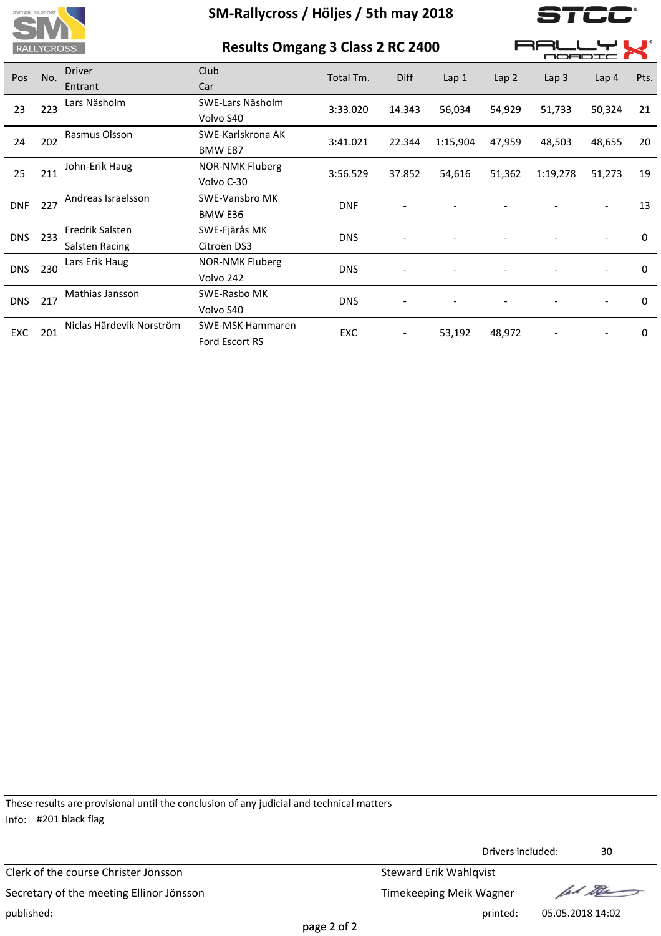

|                                     | <b>RALLYCROSS</b> |                          |                         | <b>Results Omgang 3 Class 2 RC 2400</b> |        |          |                  |                  | MORDIO           |             |  |  |  |
|-------------------------------------|-------------------|--------------------------|-------------------------|-----------------------------------------|--------|----------|------------------|------------------|------------------|-------------|--|--|--|
| Pos                                 | No.               | <b>Driver</b>            | Club                    | Total Tm.                               | Diff   | Lap 1    | Lap <sub>2</sub> | Lap <sub>3</sub> | Lap <sub>4</sub> | Pts.        |  |  |  |
|                                     |                   | Entrant                  | Car                     |                                         |        |          |                  |                  |                  |             |  |  |  |
|                                     |                   | Lars Näsholm             | SWE-Lars Näsholm        | 3:33.020                                | 14.343 | 56,034   | 54,929           | 51,733           | 50,324           | 21          |  |  |  |
| 223<br>23<br>202<br>24<br>211<br>25 |                   | Volvo S40                |                         |                                         |        |          |                  |                  |                  |             |  |  |  |
|                                     |                   | Rasmus Olsson            | SWE-Karlskrona AK       | 3:41.021                                | 22.344 |          |                  |                  |                  | 20          |  |  |  |
|                                     |                   |                          | BMW E87                 |                                         |        | 1:15,904 | 47,959           | 48,503           | 48,655           |             |  |  |  |
|                                     | John-Erik Haug    | <b>NOR-NMK Fluberg</b>   | 3:56.529                | 37.852                                  |        |          |                  |                  | 19               |             |  |  |  |
|                                     |                   | Volvo C-30               |                         |                                         | 54,616 | 51,362   | 1:19,278         | 51,273           |                  |             |  |  |  |
|                                     |                   | Andreas Israelsson       | <b>SWE-Vansbro MK</b>   | <b>DNF</b>                              |        |          |                  |                  |                  | 13          |  |  |  |
| 227<br>DNF                          |                   | BMW E36                  |                         |                                         |        |          |                  |                  |                  |             |  |  |  |
| DNS.                                | 233               | Fredrik Salsten          | SWE-Fjärås MK           | <b>DNS</b>                              |        |          |                  |                  |                  | 0           |  |  |  |
|                                     |                   | Salsten Racing           | Citroën DS3             |                                         |        |          |                  |                  |                  |             |  |  |  |
| DNS.                                | 230               | Lars Erik Haug           | <b>NOR-NMK Fluberg</b>  | <b>DNS</b>                              |        |          |                  |                  |                  | 0           |  |  |  |
|                                     |                   |                          | Volvo 242               |                                         |        |          |                  |                  |                  |             |  |  |  |
|                                     |                   | Mathias Jansson          | SWE-Rasbo MK            | <b>DNS</b>                              |        |          |                  |                  |                  | $\mathbf 0$ |  |  |  |
| 217<br>DNS.                         |                   | Volvo S40                |                         |                                         |        |          |                  |                  |                  |             |  |  |  |
| EXC.                                | 201               | Niclas Härdevik Norström | <b>SWE-MSK Hammaren</b> | EXC                                     |        | 53,192   | 48,972           |                  |                  | 0           |  |  |  |
|                                     |                   |                          |                         |                                         |        |          |                  |                  |                  |             |  |  |  |

These results are provisional until the conclusion of any judicial and technical matters Info: #201 black flag

Ford Escort RS

Clerk of the course Christer Jönsson Steward Erik Wahlqvist Secretary of the meeting Ellinor Jönsson Secretary of the meeting Ellinor Jönsson Timekeeping Meik Wagner published: printed: 05.05.2018 14:02

Drivers included: 30 Drivers

fact the

 $\blacksquare$ 

page 2 of 2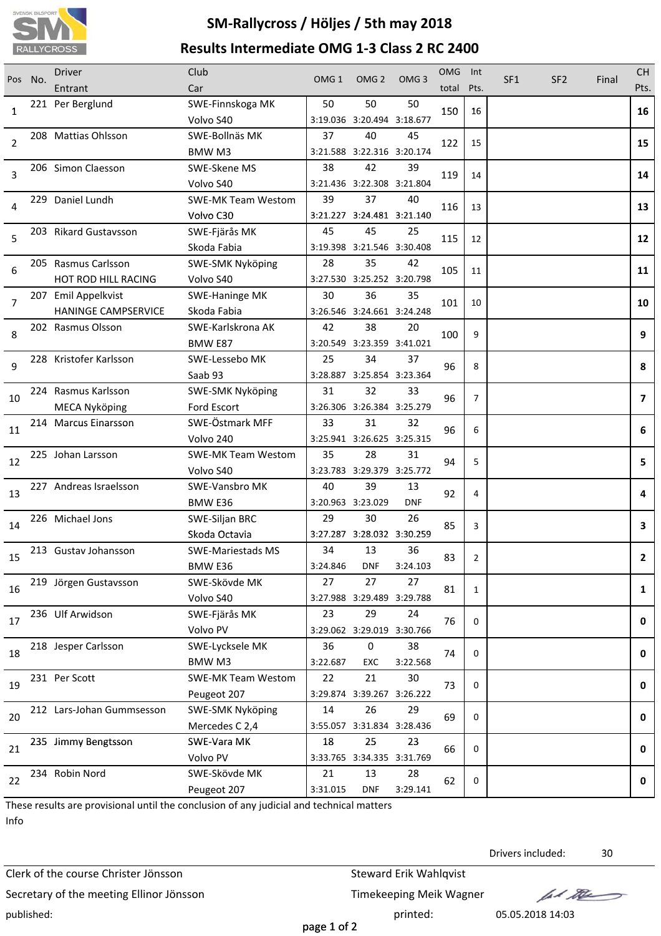

# **SM‐Rallycross / Höljes / 5th may 2018 Results Intermediate OMG 1‐3 Class 2 RC 2400**

| 50<br>221 Per Berglund<br>50<br>50<br>SWE-Finnskoga MK<br>150<br>16<br>1<br>16<br>Volvo S40<br>3:19.036 3:20.494 3:18.677<br>208 Mattias Ohlsson<br>SWE-Bollnäs MK<br>37<br>40<br>45<br>2<br>122<br>15<br>15<br>3:21.588 3:22.316 3:20.174<br>BMW M3<br>38<br>42<br>39<br>206 Simon Claesson<br>SWE-Skene MS<br>3<br>14<br>119<br>14<br>Volvo S40<br>3:21.436 3:22.308 3:21.804<br>39<br>229 Daniel Lundh<br><b>SWE-MK Team Westom</b><br>37<br>40<br>13<br>116<br>13<br>4<br>Volvo C30<br>3:21.227 3:24.481 3:21.140<br>45<br>45<br>203 Rikard Gustavsson<br>SWE-Fjärås MK<br>25<br>5<br>12<br>115<br>12<br>3:19.398 3:21.546 3:30.408<br>Skoda Fabia<br>205 Rasmus Carlsson<br>28<br>35<br>SWE-SMK Nyköping<br>42<br>6<br>105<br>11<br>11<br>3:27.530 3:25.252 3:20.798<br>HOT ROD HILL RACING<br>Volvo S40<br>30<br>36<br>35<br>207 Emil Appelkvist<br><b>SWE-Haninge MK</b><br>7<br>101<br>10<br>10<br><b>HANINGE CAMPSERVICE</b><br>Skoda Fabia<br>3:26.546 3:24.661 3:24.248<br>38<br>202 Rasmus Olsson<br>SWE-Karlskrona AK<br>42<br>20<br>8<br>100<br>9<br>9<br>3:20.549 3:23.359 3:41.021<br>BMW E87<br>25<br>34<br>37<br>228 Kristofer Karlsson<br>SWE-Lessebo MK<br>9<br>96<br>8<br>8<br>Saab 93<br>3:28.887 3:25.854 3:23.364<br>224 Rasmus Karlsson<br>31<br>32<br>SWE-SMK Nyköping<br>33<br>96<br>7<br>$\overline{ }$<br>10<br>3:26.306 3:26.384 3:25.279<br><b>MECA Nyköping</b><br>Ford Escort<br>SWE-Östmark MFF<br>33<br>31<br>214 Marcus Einarsson<br>32<br>11<br>96<br>6<br>6<br>Volvo 240<br>3:25.941 3:26.625 3:25.315<br>35<br><b>SWE-MK Team Westom</b><br>28<br>31<br>225 Johan Larsson<br>94<br>5<br>5.<br>12<br>3:23.783 3:29.379 3:25.772<br>Volvo S40<br>39<br>40<br>13<br>227 Andreas Israelsson<br><b>SWE-Vansbro MK</b><br>92<br>13<br>4<br>4<br><b>BMW E36</b><br>3:20.963 3:23.029<br><b>DNF</b><br>226 Michael Jons<br>29<br>30<br>26<br>SWE-Siljan BRC<br>85<br>3<br>$\mathbf{3}$<br>14<br>3:27.287 3:28.032 3:30.259<br>Skoda Octavia<br>213 Gustav Johansson<br>34<br>13<br>36<br><b>SWE-Mariestads MS</b><br>15<br>83<br>$\overline{2}$<br>$\overline{2}$<br>BMW E36<br>3:24.846<br><b>DNF</b><br>3:24.103<br>27<br>27<br>27<br>219 Jörgen Gustavsson<br>SWE-Skövde MK<br>16<br>81<br>1<br>$\mathbf{1}$<br>3:27.988 3:29.489 3:29.788<br>Volvo S40<br>236 Ulf Arwidson<br>SWE-Fjärås MK<br>23<br>29<br>24<br>17<br>76<br>0<br>0<br>Volvo PV<br>3:29.062 3:29.019 3:30.766<br>36<br>$\pmb{0}$<br>38<br>218 Jesper Carlsson<br>SWE-Lycksele MK<br>18<br>0<br>$\mathbf 0$<br>74<br>3:22.687<br>BMW M3<br>EXC<br>3:22.568<br>22<br>21<br>30<br>231 Per Scott<br><b>SWE-MK Team Westom</b><br>19<br>0<br>$\mathbf 0$<br>73<br>Peugeot 207<br>3:29.874 3:39.267 3:26.222<br>26<br><b>SWE-SMK Nyköping</b><br>14<br>29<br>212 Lars-Johan Gummsesson<br>20<br>69<br>0<br>0<br>3:55.057 3:31.834 3:28.436<br>Mercedes C 2,4<br>18<br>25<br>23<br>235 Jimmy Bengtsson<br>SWE-Vara MK<br>0<br>$\mathbf 0$<br>21<br>66<br>Volvo PV<br>3:33.765 3:34.335 3:31.769<br>234 Robin Nord<br>SWE-Skövde MK<br>21<br>13<br>28<br>22<br>62<br>0<br>0<br>3:29.141<br>Peugeot 207<br>3:31.015<br><b>DNF</b> | Pos | No. | <b>Driver</b><br>Entrant | Club<br>Car | OMG <sub>1</sub> | OMG <sub>2</sub> | OMG <sub>3</sub> | <b>OMG</b><br>total | Int<br>Pts. | SF <sub>1</sub> | SF <sub>2</sub> | Final | <b>CH</b><br>Pts. |
|-----------------------------------------------------------------------------------------------------------------------------------------------------------------------------------------------------------------------------------------------------------------------------------------------------------------------------------------------------------------------------------------------------------------------------------------------------------------------------------------------------------------------------------------------------------------------------------------------------------------------------------------------------------------------------------------------------------------------------------------------------------------------------------------------------------------------------------------------------------------------------------------------------------------------------------------------------------------------------------------------------------------------------------------------------------------------------------------------------------------------------------------------------------------------------------------------------------------------------------------------------------------------------------------------------------------------------------------------------------------------------------------------------------------------------------------------------------------------------------------------------------------------------------------------------------------------------------------------------------------------------------------------------------------------------------------------------------------------------------------------------------------------------------------------------------------------------------------------------------------------------------------------------------------------------------------------------------------------------------------------------------------------------------------------------------------------------------------------------------------------------------------------------------------------------------------------------------------------------------------------------------------------------------------------------------------------------------------------------------------------------------------------------------------------------------------------------------------------------------------------------------------------------------------------------------------------------------------------------------------------------------------------------------------------------------------------------------------------------------------------------------------------------------------------------------------------------------------------------------------------------------------------------------------------------------------------------------------------------------------------------------------------------------------------------------------------------------------------------------------------------|-----|-----|--------------------------|-------------|------------------|------------------|------------------|---------------------|-------------|-----------------|-----------------|-------|-------------------|
|                                                                                                                                                                                                                                                                                                                                                                                                                                                                                                                                                                                                                                                                                                                                                                                                                                                                                                                                                                                                                                                                                                                                                                                                                                                                                                                                                                                                                                                                                                                                                                                                                                                                                                                                                                                                                                                                                                                                                                                                                                                                                                                                                                                                                                                                                                                                                                                                                                                                                                                                                                                                                                                                                                                                                                                                                                                                                                                                                                                                                                                                                                                             |     |     |                          |             |                  |                  |                  |                     |             |                 |                 |       |                   |
|                                                                                                                                                                                                                                                                                                                                                                                                                                                                                                                                                                                                                                                                                                                                                                                                                                                                                                                                                                                                                                                                                                                                                                                                                                                                                                                                                                                                                                                                                                                                                                                                                                                                                                                                                                                                                                                                                                                                                                                                                                                                                                                                                                                                                                                                                                                                                                                                                                                                                                                                                                                                                                                                                                                                                                                                                                                                                                                                                                                                                                                                                                                             |     |     |                          |             |                  |                  |                  |                     |             |                 |                 |       |                   |
|                                                                                                                                                                                                                                                                                                                                                                                                                                                                                                                                                                                                                                                                                                                                                                                                                                                                                                                                                                                                                                                                                                                                                                                                                                                                                                                                                                                                                                                                                                                                                                                                                                                                                                                                                                                                                                                                                                                                                                                                                                                                                                                                                                                                                                                                                                                                                                                                                                                                                                                                                                                                                                                                                                                                                                                                                                                                                                                                                                                                                                                                                                                             |     |     |                          |             |                  |                  |                  |                     |             |                 |                 |       |                   |
|                                                                                                                                                                                                                                                                                                                                                                                                                                                                                                                                                                                                                                                                                                                                                                                                                                                                                                                                                                                                                                                                                                                                                                                                                                                                                                                                                                                                                                                                                                                                                                                                                                                                                                                                                                                                                                                                                                                                                                                                                                                                                                                                                                                                                                                                                                                                                                                                                                                                                                                                                                                                                                                                                                                                                                                                                                                                                                                                                                                                                                                                                                                             |     |     |                          |             |                  |                  |                  |                     |             |                 |                 |       |                   |
|                                                                                                                                                                                                                                                                                                                                                                                                                                                                                                                                                                                                                                                                                                                                                                                                                                                                                                                                                                                                                                                                                                                                                                                                                                                                                                                                                                                                                                                                                                                                                                                                                                                                                                                                                                                                                                                                                                                                                                                                                                                                                                                                                                                                                                                                                                                                                                                                                                                                                                                                                                                                                                                                                                                                                                                                                                                                                                                                                                                                                                                                                                                             |     |     |                          |             |                  |                  |                  |                     |             |                 |                 |       |                   |
|                                                                                                                                                                                                                                                                                                                                                                                                                                                                                                                                                                                                                                                                                                                                                                                                                                                                                                                                                                                                                                                                                                                                                                                                                                                                                                                                                                                                                                                                                                                                                                                                                                                                                                                                                                                                                                                                                                                                                                                                                                                                                                                                                                                                                                                                                                                                                                                                                                                                                                                                                                                                                                                                                                                                                                                                                                                                                                                                                                                                                                                                                                                             |     |     |                          |             |                  |                  |                  |                     |             |                 |                 |       |                   |
|                                                                                                                                                                                                                                                                                                                                                                                                                                                                                                                                                                                                                                                                                                                                                                                                                                                                                                                                                                                                                                                                                                                                                                                                                                                                                                                                                                                                                                                                                                                                                                                                                                                                                                                                                                                                                                                                                                                                                                                                                                                                                                                                                                                                                                                                                                                                                                                                                                                                                                                                                                                                                                                                                                                                                                                                                                                                                                                                                                                                                                                                                                                             |     |     |                          |             |                  |                  |                  |                     |             |                 |                 |       |                   |
|                                                                                                                                                                                                                                                                                                                                                                                                                                                                                                                                                                                                                                                                                                                                                                                                                                                                                                                                                                                                                                                                                                                                                                                                                                                                                                                                                                                                                                                                                                                                                                                                                                                                                                                                                                                                                                                                                                                                                                                                                                                                                                                                                                                                                                                                                                                                                                                                                                                                                                                                                                                                                                                                                                                                                                                                                                                                                                                                                                                                                                                                                                                             |     |     |                          |             |                  |                  |                  |                     |             |                 |                 |       |                   |
|                                                                                                                                                                                                                                                                                                                                                                                                                                                                                                                                                                                                                                                                                                                                                                                                                                                                                                                                                                                                                                                                                                                                                                                                                                                                                                                                                                                                                                                                                                                                                                                                                                                                                                                                                                                                                                                                                                                                                                                                                                                                                                                                                                                                                                                                                                                                                                                                                                                                                                                                                                                                                                                                                                                                                                                                                                                                                                                                                                                                                                                                                                                             |     |     |                          |             |                  |                  |                  |                     |             |                 |                 |       |                   |
|                                                                                                                                                                                                                                                                                                                                                                                                                                                                                                                                                                                                                                                                                                                                                                                                                                                                                                                                                                                                                                                                                                                                                                                                                                                                                                                                                                                                                                                                                                                                                                                                                                                                                                                                                                                                                                                                                                                                                                                                                                                                                                                                                                                                                                                                                                                                                                                                                                                                                                                                                                                                                                                                                                                                                                                                                                                                                                                                                                                                                                                                                                                             |     |     |                          |             |                  |                  |                  |                     |             |                 |                 |       |                   |
|                                                                                                                                                                                                                                                                                                                                                                                                                                                                                                                                                                                                                                                                                                                                                                                                                                                                                                                                                                                                                                                                                                                                                                                                                                                                                                                                                                                                                                                                                                                                                                                                                                                                                                                                                                                                                                                                                                                                                                                                                                                                                                                                                                                                                                                                                                                                                                                                                                                                                                                                                                                                                                                                                                                                                                                                                                                                                                                                                                                                                                                                                                                             |     |     |                          |             |                  |                  |                  |                     |             |                 |                 |       |                   |
|                                                                                                                                                                                                                                                                                                                                                                                                                                                                                                                                                                                                                                                                                                                                                                                                                                                                                                                                                                                                                                                                                                                                                                                                                                                                                                                                                                                                                                                                                                                                                                                                                                                                                                                                                                                                                                                                                                                                                                                                                                                                                                                                                                                                                                                                                                                                                                                                                                                                                                                                                                                                                                                                                                                                                                                                                                                                                                                                                                                                                                                                                                                             |     |     |                          |             |                  |                  |                  |                     |             |                 |                 |       |                   |
|                                                                                                                                                                                                                                                                                                                                                                                                                                                                                                                                                                                                                                                                                                                                                                                                                                                                                                                                                                                                                                                                                                                                                                                                                                                                                                                                                                                                                                                                                                                                                                                                                                                                                                                                                                                                                                                                                                                                                                                                                                                                                                                                                                                                                                                                                                                                                                                                                                                                                                                                                                                                                                                                                                                                                                                                                                                                                                                                                                                                                                                                                                                             |     |     |                          |             |                  |                  |                  |                     |             |                 |                 |       |                   |
|                                                                                                                                                                                                                                                                                                                                                                                                                                                                                                                                                                                                                                                                                                                                                                                                                                                                                                                                                                                                                                                                                                                                                                                                                                                                                                                                                                                                                                                                                                                                                                                                                                                                                                                                                                                                                                                                                                                                                                                                                                                                                                                                                                                                                                                                                                                                                                                                                                                                                                                                                                                                                                                                                                                                                                                                                                                                                                                                                                                                                                                                                                                             |     |     |                          |             |                  |                  |                  |                     |             |                 |                 |       |                   |
|                                                                                                                                                                                                                                                                                                                                                                                                                                                                                                                                                                                                                                                                                                                                                                                                                                                                                                                                                                                                                                                                                                                                                                                                                                                                                                                                                                                                                                                                                                                                                                                                                                                                                                                                                                                                                                                                                                                                                                                                                                                                                                                                                                                                                                                                                                                                                                                                                                                                                                                                                                                                                                                                                                                                                                                                                                                                                                                                                                                                                                                                                                                             |     |     |                          |             |                  |                  |                  |                     |             |                 |                 |       |                   |
|                                                                                                                                                                                                                                                                                                                                                                                                                                                                                                                                                                                                                                                                                                                                                                                                                                                                                                                                                                                                                                                                                                                                                                                                                                                                                                                                                                                                                                                                                                                                                                                                                                                                                                                                                                                                                                                                                                                                                                                                                                                                                                                                                                                                                                                                                                                                                                                                                                                                                                                                                                                                                                                                                                                                                                                                                                                                                                                                                                                                                                                                                                                             |     |     |                          |             |                  |                  |                  |                     |             |                 |                 |       |                   |
|                                                                                                                                                                                                                                                                                                                                                                                                                                                                                                                                                                                                                                                                                                                                                                                                                                                                                                                                                                                                                                                                                                                                                                                                                                                                                                                                                                                                                                                                                                                                                                                                                                                                                                                                                                                                                                                                                                                                                                                                                                                                                                                                                                                                                                                                                                                                                                                                                                                                                                                                                                                                                                                                                                                                                                                                                                                                                                                                                                                                                                                                                                                             |     |     |                          |             |                  |                  |                  |                     |             |                 |                 |       |                   |
|                                                                                                                                                                                                                                                                                                                                                                                                                                                                                                                                                                                                                                                                                                                                                                                                                                                                                                                                                                                                                                                                                                                                                                                                                                                                                                                                                                                                                                                                                                                                                                                                                                                                                                                                                                                                                                                                                                                                                                                                                                                                                                                                                                                                                                                                                                                                                                                                                                                                                                                                                                                                                                                                                                                                                                                                                                                                                                                                                                                                                                                                                                                             |     |     |                          |             |                  |                  |                  |                     |             |                 |                 |       |                   |
|                                                                                                                                                                                                                                                                                                                                                                                                                                                                                                                                                                                                                                                                                                                                                                                                                                                                                                                                                                                                                                                                                                                                                                                                                                                                                                                                                                                                                                                                                                                                                                                                                                                                                                                                                                                                                                                                                                                                                                                                                                                                                                                                                                                                                                                                                                                                                                                                                                                                                                                                                                                                                                                                                                                                                                                                                                                                                                                                                                                                                                                                                                                             |     |     |                          |             |                  |                  |                  |                     |             |                 |                 |       |                   |
|                                                                                                                                                                                                                                                                                                                                                                                                                                                                                                                                                                                                                                                                                                                                                                                                                                                                                                                                                                                                                                                                                                                                                                                                                                                                                                                                                                                                                                                                                                                                                                                                                                                                                                                                                                                                                                                                                                                                                                                                                                                                                                                                                                                                                                                                                                                                                                                                                                                                                                                                                                                                                                                                                                                                                                                                                                                                                                                                                                                                                                                                                                                             |     |     |                          |             |                  |                  |                  |                     |             |                 |                 |       |                   |
|                                                                                                                                                                                                                                                                                                                                                                                                                                                                                                                                                                                                                                                                                                                                                                                                                                                                                                                                                                                                                                                                                                                                                                                                                                                                                                                                                                                                                                                                                                                                                                                                                                                                                                                                                                                                                                                                                                                                                                                                                                                                                                                                                                                                                                                                                                                                                                                                                                                                                                                                                                                                                                                                                                                                                                                                                                                                                                                                                                                                                                                                                                                             |     |     |                          |             |                  |                  |                  |                     |             |                 |                 |       |                   |
|                                                                                                                                                                                                                                                                                                                                                                                                                                                                                                                                                                                                                                                                                                                                                                                                                                                                                                                                                                                                                                                                                                                                                                                                                                                                                                                                                                                                                                                                                                                                                                                                                                                                                                                                                                                                                                                                                                                                                                                                                                                                                                                                                                                                                                                                                                                                                                                                                                                                                                                                                                                                                                                                                                                                                                                                                                                                                                                                                                                                                                                                                                                             |     |     |                          |             |                  |                  |                  |                     |             |                 |                 |       |                   |
|                                                                                                                                                                                                                                                                                                                                                                                                                                                                                                                                                                                                                                                                                                                                                                                                                                                                                                                                                                                                                                                                                                                                                                                                                                                                                                                                                                                                                                                                                                                                                                                                                                                                                                                                                                                                                                                                                                                                                                                                                                                                                                                                                                                                                                                                                                                                                                                                                                                                                                                                                                                                                                                                                                                                                                                                                                                                                                                                                                                                                                                                                                                             |     |     |                          |             |                  |                  |                  |                     |             |                 |                 |       |                   |
|                                                                                                                                                                                                                                                                                                                                                                                                                                                                                                                                                                                                                                                                                                                                                                                                                                                                                                                                                                                                                                                                                                                                                                                                                                                                                                                                                                                                                                                                                                                                                                                                                                                                                                                                                                                                                                                                                                                                                                                                                                                                                                                                                                                                                                                                                                                                                                                                                                                                                                                                                                                                                                                                                                                                                                                                                                                                                                                                                                                                                                                                                                                             |     |     |                          |             |                  |                  |                  |                     |             |                 |                 |       |                   |
|                                                                                                                                                                                                                                                                                                                                                                                                                                                                                                                                                                                                                                                                                                                                                                                                                                                                                                                                                                                                                                                                                                                                                                                                                                                                                                                                                                                                                                                                                                                                                                                                                                                                                                                                                                                                                                                                                                                                                                                                                                                                                                                                                                                                                                                                                                                                                                                                                                                                                                                                                                                                                                                                                                                                                                                                                                                                                                                                                                                                                                                                                                                             |     |     |                          |             |                  |                  |                  |                     |             |                 |                 |       |                   |
|                                                                                                                                                                                                                                                                                                                                                                                                                                                                                                                                                                                                                                                                                                                                                                                                                                                                                                                                                                                                                                                                                                                                                                                                                                                                                                                                                                                                                                                                                                                                                                                                                                                                                                                                                                                                                                                                                                                                                                                                                                                                                                                                                                                                                                                                                                                                                                                                                                                                                                                                                                                                                                                                                                                                                                                                                                                                                                                                                                                                                                                                                                                             |     |     |                          |             |                  |                  |                  |                     |             |                 |                 |       |                   |
|                                                                                                                                                                                                                                                                                                                                                                                                                                                                                                                                                                                                                                                                                                                                                                                                                                                                                                                                                                                                                                                                                                                                                                                                                                                                                                                                                                                                                                                                                                                                                                                                                                                                                                                                                                                                                                                                                                                                                                                                                                                                                                                                                                                                                                                                                                                                                                                                                                                                                                                                                                                                                                                                                                                                                                                                                                                                                                                                                                                                                                                                                                                             |     |     |                          |             |                  |                  |                  |                     |             |                 |                 |       |                   |
|                                                                                                                                                                                                                                                                                                                                                                                                                                                                                                                                                                                                                                                                                                                                                                                                                                                                                                                                                                                                                                                                                                                                                                                                                                                                                                                                                                                                                                                                                                                                                                                                                                                                                                                                                                                                                                                                                                                                                                                                                                                                                                                                                                                                                                                                                                                                                                                                                                                                                                                                                                                                                                                                                                                                                                                                                                                                                                                                                                                                                                                                                                                             |     |     |                          |             |                  |                  |                  |                     |             |                 |                 |       |                   |
|                                                                                                                                                                                                                                                                                                                                                                                                                                                                                                                                                                                                                                                                                                                                                                                                                                                                                                                                                                                                                                                                                                                                                                                                                                                                                                                                                                                                                                                                                                                                                                                                                                                                                                                                                                                                                                                                                                                                                                                                                                                                                                                                                                                                                                                                                                                                                                                                                                                                                                                                                                                                                                                                                                                                                                                                                                                                                                                                                                                                                                                                                                                             |     |     |                          |             |                  |                  |                  |                     |             |                 |                 |       |                   |
|                                                                                                                                                                                                                                                                                                                                                                                                                                                                                                                                                                                                                                                                                                                                                                                                                                                                                                                                                                                                                                                                                                                                                                                                                                                                                                                                                                                                                                                                                                                                                                                                                                                                                                                                                                                                                                                                                                                                                                                                                                                                                                                                                                                                                                                                                                                                                                                                                                                                                                                                                                                                                                                                                                                                                                                                                                                                                                                                                                                                                                                                                                                             |     |     |                          |             |                  |                  |                  |                     |             |                 |                 |       |                   |
|                                                                                                                                                                                                                                                                                                                                                                                                                                                                                                                                                                                                                                                                                                                                                                                                                                                                                                                                                                                                                                                                                                                                                                                                                                                                                                                                                                                                                                                                                                                                                                                                                                                                                                                                                                                                                                                                                                                                                                                                                                                                                                                                                                                                                                                                                                                                                                                                                                                                                                                                                                                                                                                                                                                                                                                                                                                                                                                                                                                                                                                                                                                             |     |     |                          |             |                  |                  |                  |                     |             |                 |                 |       |                   |
|                                                                                                                                                                                                                                                                                                                                                                                                                                                                                                                                                                                                                                                                                                                                                                                                                                                                                                                                                                                                                                                                                                                                                                                                                                                                                                                                                                                                                                                                                                                                                                                                                                                                                                                                                                                                                                                                                                                                                                                                                                                                                                                                                                                                                                                                                                                                                                                                                                                                                                                                                                                                                                                                                                                                                                                                                                                                                                                                                                                                                                                                                                                             |     |     |                          |             |                  |                  |                  |                     |             |                 |                 |       |                   |
|                                                                                                                                                                                                                                                                                                                                                                                                                                                                                                                                                                                                                                                                                                                                                                                                                                                                                                                                                                                                                                                                                                                                                                                                                                                                                                                                                                                                                                                                                                                                                                                                                                                                                                                                                                                                                                                                                                                                                                                                                                                                                                                                                                                                                                                                                                                                                                                                                                                                                                                                                                                                                                                                                                                                                                                                                                                                                                                                                                                                                                                                                                                             |     |     |                          |             |                  |                  |                  |                     |             |                 |                 |       |                   |
|                                                                                                                                                                                                                                                                                                                                                                                                                                                                                                                                                                                                                                                                                                                                                                                                                                                                                                                                                                                                                                                                                                                                                                                                                                                                                                                                                                                                                                                                                                                                                                                                                                                                                                                                                                                                                                                                                                                                                                                                                                                                                                                                                                                                                                                                                                                                                                                                                                                                                                                                                                                                                                                                                                                                                                                                                                                                                                                                                                                                                                                                                                                             |     |     |                          |             |                  |                  |                  |                     |             |                 |                 |       |                   |
|                                                                                                                                                                                                                                                                                                                                                                                                                                                                                                                                                                                                                                                                                                                                                                                                                                                                                                                                                                                                                                                                                                                                                                                                                                                                                                                                                                                                                                                                                                                                                                                                                                                                                                                                                                                                                                                                                                                                                                                                                                                                                                                                                                                                                                                                                                                                                                                                                                                                                                                                                                                                                                                                                                                                                                                                                                                                                                                                                                                                                                                                                                                             |     |     |                          |             |                  |                  |                  |                     |             |                 |                 |       |                   |
|                                                                                                                                                                                                                                                                                                                                                                                                                                                                                                                                                                                                                                                                                                                                                                                                                                                                                                                                                                                                                                                                                                                                                                                                                                                                                                                                                                                                                                                                                                                                                                                                                                                                                                                                                                                                                                                                                                                                                                                                                                                                                                                                                                                                                                                                                                                                                                                                                                                                                                                                                                                                                                                                                                                                                                                                                                                                                                                                                                                                                                                                                                                             |     |     |                          |             |                  |                  |                  |                     |             |                 |                 |       |                   |
|                                                                                                                                                                                                                                                                                                                                                                                                                                                                                                                                                                                                                                                                                                                                                                                                                                                                                                                                                                                                                                                                                                                                                                                                                                                                                                                                                                                                                                                                                                                                                                                                                                                                                                                                                                                                                                                                                                                                                                                                                                                                                                                                                                                                                                                                                                                                                                                                                                                                                                                                                                                                                                                                                                                                                                                                                                                                                                                                                                                                                                                                                                                             |     |     |                          |             |                  |                  |                  |                     |             |                 |                 |       |                   |
|                                                                                                                                                                                                                                                                                                                                                                                                                                                                                                                                                                                                                                                                                                                                                                                                                                                                                                                                                                                                                                                                                                                                                                                                                                                                                                                                                                                                                                                                                                                                                                                                                                                                                                                                                                                                                                                                                                                                                                                                                                                                                                                                                                                                                                                                                                                                                                                                                                                                                                                                                                                                                                                                                                                                                                                                                                                                                                                                                                                                                                                                                                                             |     |     |                          |             |                  |                  |                  |                     |             |                 |                 |       |                   |
|                                                                                                                                                                                                                                                                                                                                                                                                                                                                                                                                                                                                                                                                                                                                                                                                                                                                                                                                                                                                                                                                                                                                                                                                                                                                                                                                                                                                                                                                                                                                                                                                                                                                                                                                                                                                                                                                                                                                                                                                                                                                                                                                                                                                                                                                                                                                                                                                                                                                                                                                                                                                                                                                                                                                                                                                                                                                                                                                                                                                                                                                                                                             |     |     |                          |             |                  |                  |                  |                     |             |                 |                 |       |                   |
|                                                                                                                                                                                                                                                                                                                                                                                                                                                                                                                                                                                                                                                                                                                                                                                                                                                                                                                                                                                                                                                                                                                                                                                                                                                                                                                                                                                                                                                                                                                                                                                                                                                                                                                                                                                                                                                                                                                                                                                                                                                                                                                                                                                                                                                                                                                                                                                                                                                                                                                                                                                                                                                                                                                                                                                                                                                                                                                                                                                                                                                                                                                             |     |     |                          |             |                  |                  |                  |                     |             |                 |                 |       |                   |
|                                                                                                                                                                                                                                                                                                                                                                                                                                                                                                                                                                                                                                                                                                                                                                                                                                                                                                                                                                                                                                                                                                                                                                                                                                                                                                                                                                                                                                                                                                                                                                                                                                                                                                                                                                                                                                                                                                                                                                                                                                                                                                                                                                                                                                                                                                                                                                                                                                                                                                                                                                                                                                                                                                                                                                                                                                                                                                                                                                                                                                                                                                                             |     |     |                          |             |                  |                  |                  |                     |             |                 |                 |       |                   |
|                                                                                                                                                                                                                                                                                                                                                                                                                                                                                                                                                                                                                                                                                                                                                                                                                                                                                                                                                                                                                                                                                                                                                                                                                                                                                                                                                                                                                                                                                                                                                                                                                                                                                                                                                                                                                                                                                                                                                                                                                                                                                                                                                                                                                                                                                                                                                                                                                                                                                                                                                                                                                                                                                                                                                                                                                                                                                                                                                                                                                                                                                                                             |     |     |                          |             |                  |                  |                  |                     |             |                 |                 |       |                   |
|                                                                                                                                                                                                                                                                                                                                                                                                                                                                                                                                                                                                                                                                                                                                                                                                                                                                                                                                                                                                                                                                                                                                                                                                                                                                                                                                                                                                                                                                                                                                                                                                                                                                                                                                                                                                                                                                                                                                                                                                                                                                                                                                                                                                                                                                                                                                                                                                                                                                                                                                                                                                                                                                                                                                                                                                                                                                                                                                                                                                                                                                                                                             |     |     |                          |             |                  |                  |                  |                     |             |                 |                 |       |                   |

These results are provisional until the conclusion of any judicial and technical matters Info

Clerk of the course Christer Jönsson Steward Erik Wahlqvist Secretary of the meeting Ellinor Jönsson Timekeeping Meik Wagner published: printed: 05.05.2018 14:03

Drivers included: 30

lad the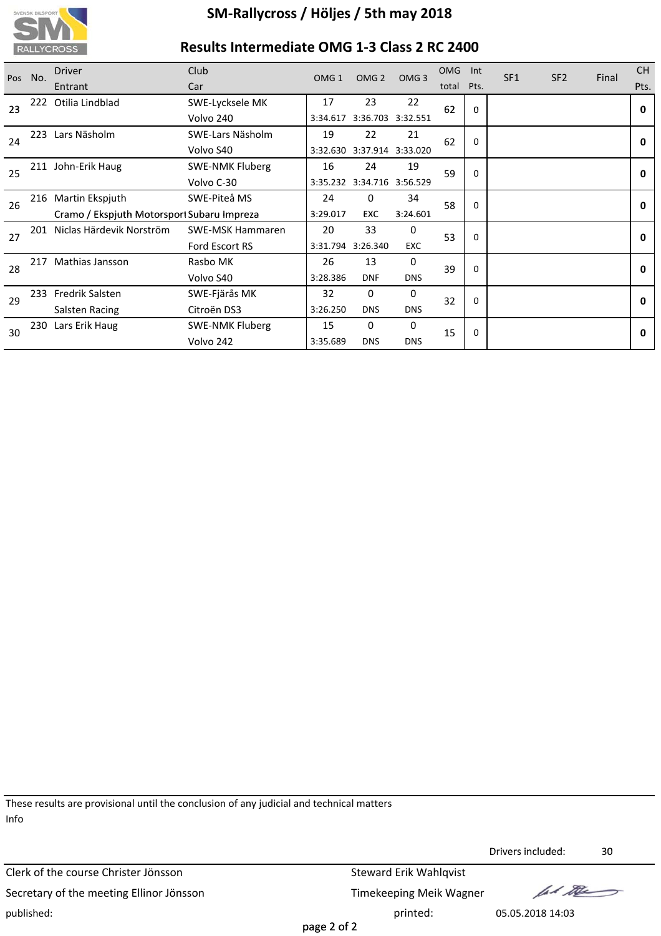

# **Results Intermediate OMG 1‐3 Class 2 RC 2400**

| Pos | No. | <b>Driver</b>                              | <b>Club</b>             | OMG <sub>1</sub> | OMG <sub>2</sub>           | OMG <sub>3</sub>  | <b>OMG</b> | Int         | SF <sub>1</sub> | SF <sub>2</sub> | Final | <b>CH</b>    |
|-----|-----|--------------------------------------------|-------------------------|------------------|----------------------------|-------------------|------------|-------------|-----------------|-----------------|-------|--------------|
|     |     | Entrant                                    | Car                     |                  |                            |                   | total      | Pts.        |                 |                 |       | Pts.         |
| 23  | 222 | Otilia Lindblad                            | SWE-Lycksele MK         | 17               | 23                         | 22                | 62         | $\bf{0}$    |                 |                 |       | $\mathbf{0}$ |
|     |     |                                            | Volvo 240               | 3:34.617         |                            | 3:36.703 3:32.551 |            |             |                 |                 |       |              |
| 24  | 223 | Lars Näsholm                               | SWE-Lars Näsholm        | 19               | 22                         | 21                | 62         | $\Omega$    |                 |                 |       | 0            |
|     |     |                                            | Volvo S40               | 3:32.630         |                            | 3:37.914 3:33.020 |            |             |                 |                 |       |              |
| 25  |     | 211 John-Erik Haug                         | <b>SWE-NMK Fluberg</b>  | 16               | 24                         | 19                | 59         | $\mathbf 0$ |                 |                 |       | 0            |
|     |     |                                            | Volvo C-30              |                  | 3:35.232 3:34.716 3:56.529 |                   |            |             |                 |                 |       |              |
| 26  | 216 | Martin Ekspjuth                            | SWE-Piteå MS            | 24               | 0                          | 34                | 58         | 0           |                 |                 |       | 0            |
|     |     | Cramo / Ekspjuth Motorsport Subaru Impreza |                         | 3:29.017         | <b>EXC</b>                 | 3:24.601          |            |             |                 |                 |       |              |
| 27  | 201 | Niclas Härdevik Norström                   | <b>SWE-MSK Hammaren</b> | 20               | 33                         | 0                 | 53         | 0           |                 |                 |       | $\mathbf{0}$ |
|     |     |                                            | Ford Escort RS          | 3:31.794         | 3:26.340                   | <b>EXC</b>        |            |             |                 |                 |       |              |
| 28  | 217 | Mathias Jansson                            | Rasbo MK                | 26               | 13                         | $\Omega$          | 39         | $\Omega$    |                 |                 |       | 0            |
|     |     |                                            | Volvo S40               | 3:28.386         | <b>DNF</b>                 | <b>DNS</b>        |            |             |                 |                 |       |              |
| 29  | 233 | <b>Fredrik Salsten</b>                     | SWE-Fjärås MK           | 32               | 0                          | 0                 | 32         | $\Omega$    |                 |                 |       | 0            |
|     |     | Salsten Racing                             | Citroën DS3             | 3:26.250         | <b>DNS</b>                 | <b>DNS</b>        |            |             |                 |                 |       |              |
| 30  | 230 | Lars Erik Haug                             | <b>SWE-NMK Fluberg</b>  | 15               | 0                          | $\Omega$          | 15         | 0           |                 |                 |       | 0            |
|     |     |                                            | Volvo 242               | 3:35.689         | <b>DNS</b>                 | <b>DNS</b>        |            |             |                 |                 |       |              |

These results are provisional until the conclusion of any judicial and technical matters Info

Clerk of the course Christer Jönsson Steward Erik Wahlqvist Secretary of the meeting Ellinor Jönsson Timekeeping Meik Wagner published: printed: 05.05.2018 14:03

Drivers included: 30 Drivers

fal the

page 2 of 2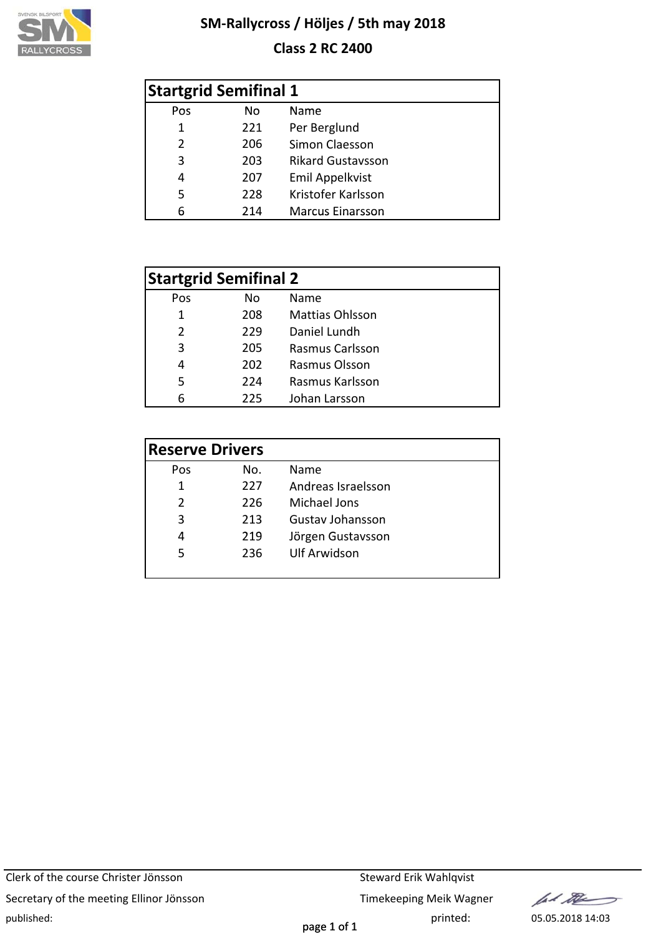

# **Class 2 RC 2400**

|               | <b>Startgrid Semifinal 1</b> |                          |
|---------------|------------------------------|--------------------------|
| Pos           | No.                          | Name                     |
| 1             | 221                          | Per Berglund             |
| $\mathcal{P}$ | 206                          | Simon Claesson           |
| 3             | 203                          | <b>Rikard Gustavsson</b> |
| 4             | 207                          | <b>Emil Appelkvist</b>   |
| 5             | 228                          | Kristofer Karlsson       |
| 6             | 214                          | <b>Marcus Einarsson</b>  |

|     | <b>Startgrid Semifinal 2</b> |                        |
|-----|------------------------------|------------------------|
| Pos | No                           | Name                   |
| 1   | 208                          | <b>Mattias Ohlsson</b> |
| 2   | 229                          | Daniel Lundh           |
| 3   | 205                          | <b>Rasmus Carlsson</b> |
| 4   | 202                          | Rasmus Olsson          |
| 5   | 224                          | Rasmus Karlsson        |
| հ   | 225                          | Johan Larsson          |

| <b>Reserve Drivers</b> |     |                         |
|------------------------|-----|-------------------------|
| Pos                    | No. | Name                    |
| 1                      | 227 | Andreas Israelsson      |
| $\mathcal{P}$          | 226 | Michael Jons            |
| 3                      | 213 | <b>Gustav Johansson</b> |
| 4                      | 219 | Jörgen Gustavsson       |
| 5                      | 236 | <b>Ulf Arwidson</b>     |
|                        |     |                         |

Clerk of the course Christer Jönsson Steward Erik Wahlqvist Secretary of the meeting Ellinor Jönsson Timekeeping Meik Wagner published: printed: 05.05.2018 14:03

lad the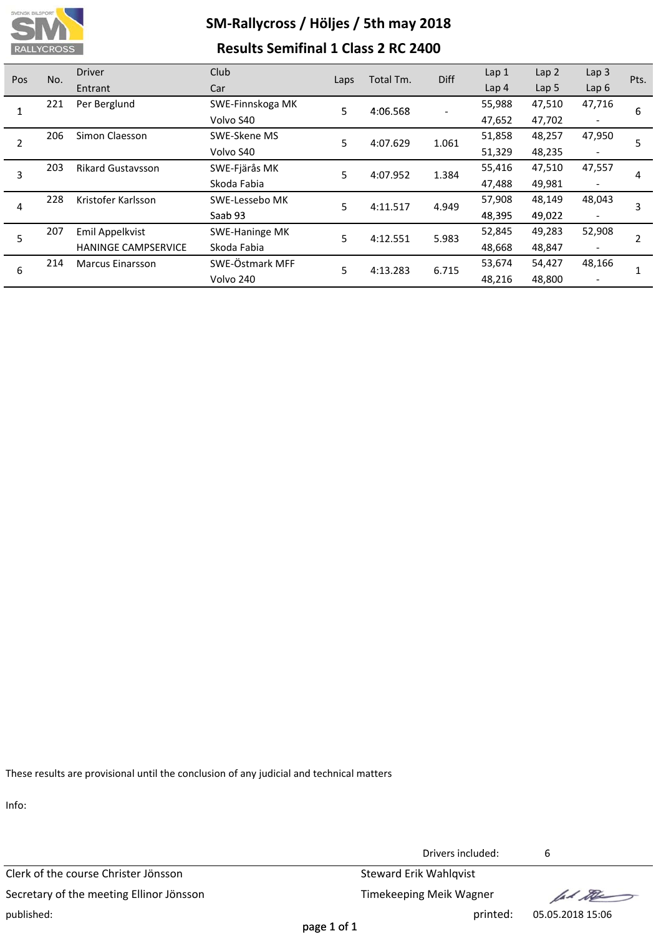

# **SM‐Rallycross / Höljes / 5th may 2018 Results Semifinal 1 Class 2 RC 2400**

| Pos | No. | <b>Driver</b>              | Club             | Laps | Total Tm. | Diff   | Lap 1            | Lap <sub>2</sub>         | Lap <sub>3</sub>         | Pts. |
|-----|-----|----------------------------|------------------|------|-----------|--------|------------------|--------------------------|--------------------------|------|
|     |     | Entrant                    | Car              |      |           |        | Lap <sub>4</sub> | Lap <sub>5</sub>         | Lap $6$                  |      |
|     | 221 | Per Berglund               | SWE-Finnskoga MK | 5    | 4:06.568  |        | 55,988           | 47,510                   | 47,716                   | 6    |
|     |     |                            | Volvo S40        |      |           |        | 47,652           | 47,702                   | $\overline{\phantom{a}}$ |      |
| 2   | 206 | Simon Claesson             | SWE-Skene MS     | 5    | 4:07.629  | 1.061  | 51,858           | 48,257                   | 47,950                   |      |
|     |     |                            | Volvo S40        |      |           |        | 51,329           | 48,235                   | $\overline{\phantom{a}}$ |      |
| 3   | 203 | <b>Rikard Gustavsson</b>   | SWE-Fjärås MK    | 5    | 4:07.952  | 1.384  | 55,416           | 47,510                   | 47,557                   | 4    |
|     |     |                            | Skoda Fabia      |      |           |        | 47,488           | 49,981                   | $\overline{\phantom{a}}$ |      |
| 4   | 228 | Kristofer Karlsson         | SWE-Lessebo MK   | 5    | 4:11.517  | 4.949  | 57,908           | 48,149                   | 48,043                   | 3    |
|     |     |                            | Saab 93          |      |           |        | 48,395           | 49,022                   | $\overline{\phantom{a}}$ |      |
| 5   | 207 | Emil Appelkvist            | SWE-Haninge MK   | 5    | 4:12.551  | 5.983  | 52,845           | 49,283                   | 52,908                   |      |
|     |     | <b>HANINGE CAMPSERVICE</b> | Skoda Fabia      |      |           |        | 48,668           | 48,847                   | $\overline{\phantom{a}}$ |      |
|     | 214 | <b>Marcus Einarsson</b>    | SWE-Östmark MFF  | 5    | 4:13.283  | 6.715  | 53,674           | 54,427                   | 48,166                   |      |
| 6   |     | Volvo 240                  |                  |      |           | 48,216 | 48,800           | $\overline{\phantom{a}}$ |                          |      |

These results are provisional until the conclusion of any judicial and technical matters

Info:

Clerk of the course Christer Jönsson Steward Erik Wahlqvist Secretary of the meeting Ellinor Jönsson Timekeeping Meik Wagner published: printed: 05.05.2018 15:06

Drivers included: 6

fel the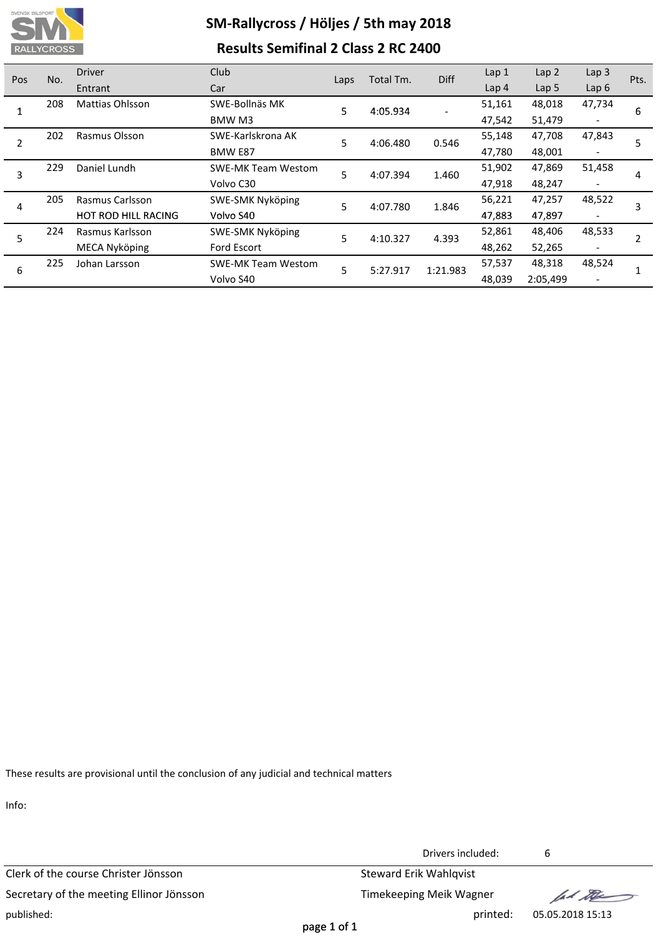

# **SM‐Rallycross / Höljes / 5th may 2018 Results Semifinal 2 Class 2 RC 2400**

| <b>Pos</b> | No. | <b>Driver</b>              | Club                      | Laps   | Total Tm.            | <b>Diff</b>       | Lap 1            | Lap <sub>2</sub> | Lap <sub>3</sub>         | Pts. |
|------------|-----|----------------------------|---------------------------|--------|----------------------|-------------------|------------------|------------------|--------------------------|------|
|            |     | Entrant                    | Car                       |        |                      |                   | Lap <sub>4</sub> | Lap <sub>5</sub> | Lap $6$                  |      |
|            | 208 | Mattias Ohlsson            | SWE-Bollnäs MK            | 5.     | 4:05.934             |                   | 51,161           | 48,018           | 47,734                   | 6    |
|            |     |                            | BMW M3                    |        |                      |                   | 47,542           | 51,479           | $\overline{\phantom{a}}$ |      |
| 2          | 202 | Rasmus Olsson              | SWE-Karlskrona AK         | 5      | 4:06.480             | 0.546             | 55,148           | 47,708           | 47,843                   |      |
|            |     |                            | <b>BMW E87</b>            |        |                      |                   | 47,780           | 48,001           | $\overline{\phantom{a}}$ |      |
| 3          | 229 | Daniel Lundh               | <b>SWE-MK Team Westom</b> | 5      | 4:07.394             | 1.460             | 51,902           | 47,869           | 51,458                   |      |
|            |     |                            | Volvo C30                 |        |                      |                   | 47,918           | 48,247           | $\overline{\phantom{a}}$ | 4    |
| 4          | 205 | Rasmus Carlsson            | SWE-SMK Nyköping          | 5      | 4:07.780             | 1.846             | 56,221           | 47,257           | 48,522                   | 3    |
|            |     | <b>HOT ROD HILL RACING</b> | Volvo S40                 |        |                      |                   | 47,883           | 47,897           | $\overline{\phantom{a}}$ |      |
|            | 224 | Rasmus Karlsson            | SWE-SMK Nyköping          |        |                      |                   | 52,861           | 48,406           | 48,533                   |      |
|            |     | MECA Nyköping              | <b>Ford Escort</b>        |        |                      |                   | 48,262           | 52,265           | $\overline{\phantom{a}}$ |      |
|            | 225 | Johan Larsson              | <b>SWE-MK Team Westom</b> |        |                      |                   | 57,537           | 48,318           | 48,524                   |      |
|            |     |                            | Volvo S40                 |        |                      |                   | 48,039           | 2:05,499         | $\overline{\phantom{a}}$ |      |
| 5<br>6     |     |                            |                           | 5<br>5 | 4:10.327<br>5:27.917 | 4.393<br>1:21.983 |                  |                  |                          |      |

These results are provisional until the conclusion of any judicial and technical matters

Info:

Clerk of the course Christer Jönsson Steward Erik Wahlqvist Secretary of the meeting Ellinor Jönsson Timekeeping Meik Wagner published: printed: 05.05.2018 15:13

Drivers included: 6

fal the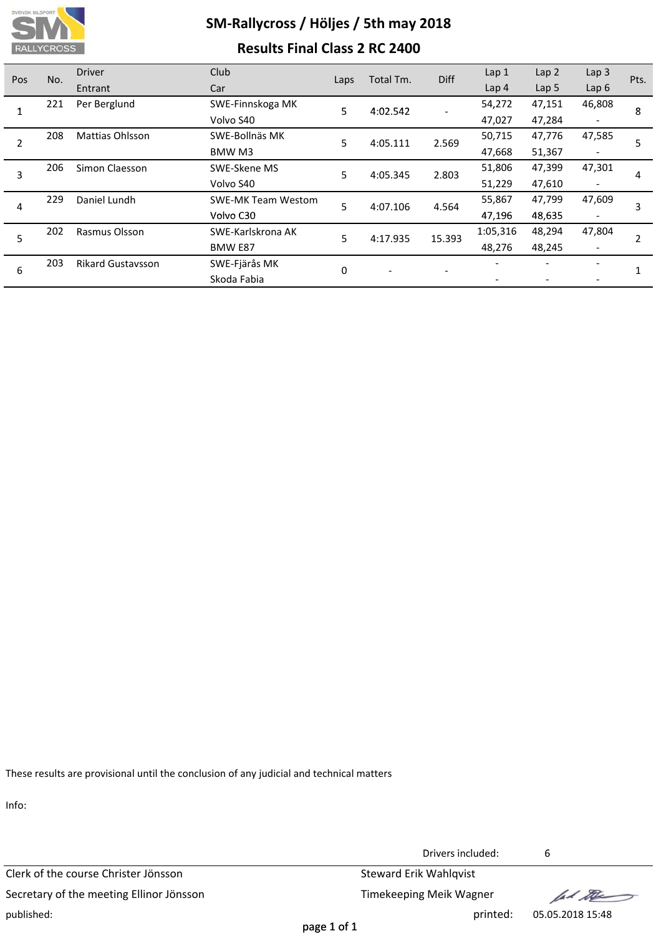

# **SM‐Rallycross / Höljes / 5th may 2018 Results Final Class 2 RC 2400**

| Pos | No. | <b>Driver</b>            | Club                      |          | Total Tm. | Diff   | Lap 1            | Lap <sub>2</sub> | Lap <sub>3</sub>         | Pts. |
|-----|-----|--------------------------|---------------------------|----------|-----------|--------|------------------|------------------|--------------------------|------|
|     |     | Entrant                  | Car                       | Laps     |           |        | Lap <sub>4</sub> | Lap <sub>5</sub> | Lap $6$                  |      |
|     | 221 | Per Berglund             | SWE-Finnskoga MK          | 5        | 4:02.542  |        | 54,272           | 47,151           | 46,808                   | 8    |
|     |     |                          | Volvo S40                 |          |           |        | 47,027           | 47,284           |                          |      |
| 2   | 208 | <b>Mattias Ohlsson</b>   | SWE-Bollnäs MK            | 5        | 4:05.111  | 2.569  | 50,715           | 47,776           | 47,585                   | 5    |
|     |     |                          | BMW M3                    |          |           |        | 47,668           | 51,367           |                          |      |
| 3   | 206 | Simon Claesson           | SWE-Skene MS              | 5        | 4:05.345  | 2.803  | 51,806           | 47,399           | 47,301                   | 4    |
|     |     |                          | Volvo S40                 |          |           |        | 51,229           | 47,610           | $\overline{\phantom{a}}$ |      |
| 4   | 229 | Daniel Lundh             | <b>SWE-MK Team Westom</b> | 5        | 4:07.106  | 4.564  | 55,867           | 47,799           | 47,609                   | 3    |
|     |     |                          | Volvo C30                 |          |           |        | 47,196           | 48,635           | $\overline{\phantom{a}}$ |      |
| 5   | 202 | Rasmus Olsson            | SWE-Karlskrona AK         | 5        | 4:17.935  | 15.393 | 1:05,316         | 48,294           | 47,804                   |      |
|     |     |                          | BMW E87                   |          |           |        | 48,276           | 48,245           |                          |      |
|     | 203 | <b>Rikard Gustavsson</b> | SWE-Fjärås MK             | $\Omega$ |           |        |                  |                  |                          |      |
| 6   |     |                          | Skoda Fabia               |          |           |        |                  |                  |                          |      |

These results are provisional until the conclusion of any judicial and technical matters

Info:

Clerk of the course Christer Jönsson Steward Erik Wahlqvist Secretary of the meeting Ellinor Jönsson Timekeeping Meik Wagner published: printed: 05.05.2018 15:48

Drivers included: 6

fal the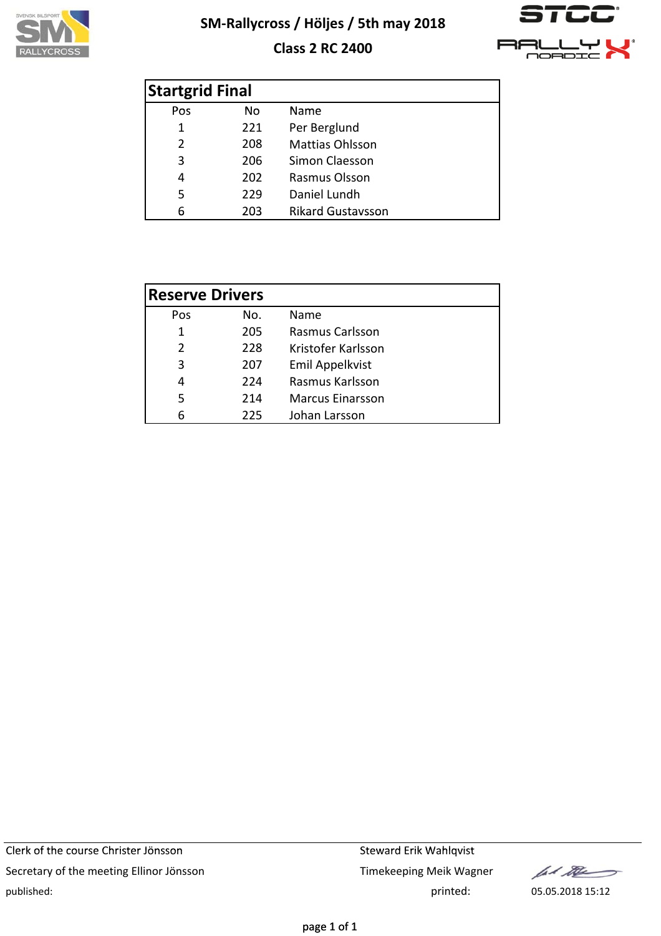

# **Class 2 RC 2400**



| <b>Startgrid Final</b> |     |                          |
|------------------------|-----|--------------------------|
| Pos                    | No. | Name                     |
| 1                      | 221 | Per Berglund             |
| $\overline{2}$         | 208 | <b>Mattias Ohlsson</b>   |
| 3                      | 206 | Simon Claesson           |
| 4                      | 202 | Rasmus Olsson            |
| 5                      | 229 | Daniel Lundh             |
| 6                      | 203 | <b>Rikard Gustavsson</b> |

| <b>Reserve Drivers</b> |     |                         |
|------------------------|-----|-------------------------|
| Pos                    | No. | Name                    |
| 1                      | 205 | <b>Rasmus Carlsson</b>  |
| $\mathcal{P}$          | 228 | Kristofer Karlsson      |
| 3                      | 207 | <b>Emil Appelkvist</b>  |
| 4                      | 224 | Rasmus Karlsson         |
| 5                      | 214 | <b>Marcus Einarsson</b> |
| հ                      | 225 | Johan Larsson           |

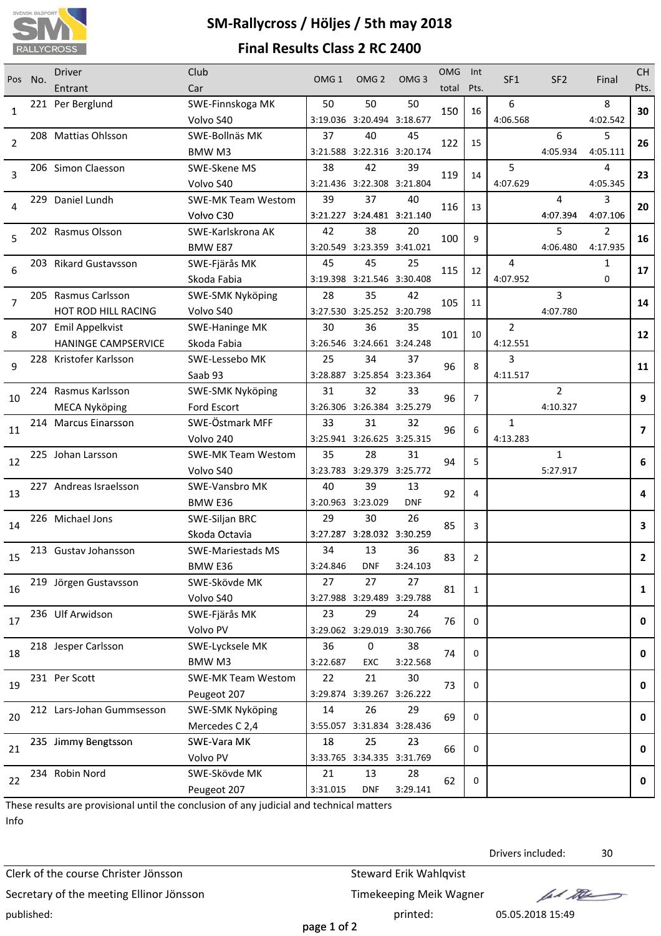

# **SM‐Rallycross / Höljes / 5th may 2018 Final Results Class 2 RC 2400**

| Pos            | No. | <b>Driver</b>              | Club                          | OMG <sub>1</sub> | OMG <sub>2</sub>                 | OMG <sub>3</sub> | <b>OMG</b> | Int            | SF <sub>1</sub> | SF <sub>2</sub> | Final                      | <b>CH</b>    |
|----------------|-----|----------------------------|-------------------------------|------------------|----------------------------------|------------------|------------|----------------|-----------------|-----------------|----------------------------|--------------|
|                |     | Entrant                    | Car                           |                  |                                  |                  | total      | Pts.           |                 |                 |                            | Pts.         |
| 1              |     | 221 Per Berglund           | SWE-Finnskoga MK              | 50               | 50                               | 50               | 150        | 16             | 6               |                 | 8                          | 30           |
|                |     |                            | Volvo S40                     |                  | 3:19.036 3:20.494 3:18.677       |                  |            |                | 4:06.568        |                 | 4:02.542                   |              |
| $\overline{2}$ |     | 208 Mattias Ohlsson        | SWE-Bollnäs MK                | 37               | 40                               | 45               | 122        | 15             |                 | 6               | 5                          | 26           |
|                |     |                            | BMW <sub>M3</sub>             |                  | 3:21.588 3:22.316 3:20.174       |                  |            |                |                 | 4:05.934        | 4:05.111                   |              |
| 3              |     | 206 Simon Claesson         | SWE-Skene MS                  | 38               | 42                               | 39               | 119        | 14             | 5               |                 | 4                          | 23           |
|                |     |                            | Volvo S40                     |                  | 3:21.436 3:22.308 3:21.804       |                  |            |                | 4:07.629        |                 | 4:05.345                   |              |
| 4              |     | 229 Daniel Lundh           | <b>SWE-MK Team Westom</b>     | 39               | 37                               | 40               | 116        | 13             |                 | 4               | 3                          | 20           |
|                |     |                            | Volvo C30                     | 42               | 3:21.227 3:24.481 3:21.140<br>38 | 20               |            |                |                 | 4:07.394<br>5   | 4:07.106<br>$\overline{2}$ |              |
| 5              |     | 202 Rasmus Olsson          | SWE-Karlskrona AK             |                  |                                  |                  | 100        | 9              |                 | 4:06.480        | 4:17.935                   | 16           |
|                |     | 203 Rikard Gustavsson      | BMW E87<br>SWE-Fjärås MK      | 45               | 3:20.549 3:23.359 3:41.021<br>45 | 25               |            |                | 4               |                 | $\mathbf{1}$               |              |
| 6              |     |                            |                               |                  | 3:19.398 3:21.546 3:30.408       |                  | 115        | 12             | 4:07.952        |                 | $\Omega$                   | 17           |
|                |     | 205 Rasmus Carlsson        | Skoda Fabia                   | 28               | 35                               | 42               |            |                |                 | 3               |                            |              |
| $\overline{7}$ |     | HOT ROD HILL RACING        | SWE-SMK Nyköping<br>Volvo S40 |                  | 3:27.530 3:25.252 3:20.798       |                  | 105        | 11             |                 | 4:07.780        |                            | 14           |
|                |     | 207 Emil Appelkvist        | <b>SWE-Haninge MK</b>         | 30               | 36                               | 35               |            |                | $\overline{2}$  |                 |                            |              |
| 8              |     | <b>HANINGE CAMPSERVICE</b> | Skoda Fabia                   |                  | 3:26.546 3:24.661 3:24.248       |                  | 101        | 10             | 4:12.551        |                 |                            | 12           |
|                |     | 228 Kristofer Karlsson     | SWE-Lessebo MK                | 25               | 34                               | 37               |            |                | 3               |                 |                            |              |
| 9              |     |                            | Saab 93                       |                  | 3:28.887 3:25.854 3:23.364       |                  | 96         | 8              | 4:11.517        |                 |                            | 11           |
|                |     | 224 Rasmus Karlsson        | <b>SWE-SMK Nyköping</b>       | 31               | 32                               | 33               |            |                |                 | $\overline{2}$  |                            |              |
| 10             |     | <b>MECA Nyköping</b>       | Ford Escort                   |                  | 3:26.306 3:26.384 3:25.279       |                  | 96         | $\overline{7}$ |                 | 4:10.327        |                            | 9            |
|                |     | 214 Marcus Einarsson       | SWE-Östmark MFF               | 33               | 31                               | 32               |            |                | 1               |                 |                            |              |
| 11             |     |                            | Volvo 240                     |                  | 3:25.941 3:26.625 3:25.315       |                  | 96         | 6              | 4:13.283        |                 |                            | 7            |
|                |     | 225 Johan Larsson          | <b>SWE-MK Team Westom</b>     | 35               | 28                               | 31               |            |                |                 | $\mathbf{1}$    |                            |              |
| 12             |     |                            | Volvo S40                     |                  | 3:23.783 3:29.379 3:25.772       |                  | 94         | 5              |                 | 5:27.917        |                            | 6            |
|                |     | 227 Andreas Israelsson     | SWE-Vansbro MK                | 40               | 39                               | 13               |            |                |                 |                 |                            |              |
| 13             |     |                            | BMW <sub>E36</sub>            |                  | 3:20.963 3:23.029                | <b>DNF</b>       | 92         | 4              |                 |                 |                            | 4            |
|                |     | 226 Michael Jons           | SWE-Siljan BRC                | 29               | 30                               | 26               |            |                |                 |                 |                            |              |
| 14             |     |                            | Skoda Octavia                 |                  | 3:27.287 3:28.032 3:30.259       |                  | 85         | 3              |                 |                 |                            | 3            |
|                |     | 213 Gustay Johansson       | <b>SWE-Mariestads MS</b>      | 34               | 13                               | 36               |            |                |                 |                 |                            |              |
| 15             |     |                            | BMW E36                       | 3:24.846         | <b>DNF</b>                       | 3:24.103         | 83         | $\overline{2}$ |                 |                 |                            | $\mathbf{2}$ |
|                |     | 219 Jörgen Gustavsson      | SWE-Skövde MK                 | 27               | 27                               | 27               |            |                |                 |                 |                            |              |
| 16             |     |                            | Volvo S40                     |                  | 3:27.988 3:29.489 3:29.788       |                  | 81         | 1              |                 |                 |                            | $\mathbf{1}$ |
|                |     | 236 Ulf Arwidson           | SWE-Fjärås MK                 | 23               | 29                               | 24               |            |                |                 |                 |                            |              |
| 17             |     |                            | Volvo PV                      |                  | 3:29.062 3:29.019 3:30.766       |                  | 76         | 0              |                 |                 |                            | 0            |
|                |     | 218 Jesper Carlsson        | SWE-Lycksele MK               | 36               | $\boldsymbol{0}$                 | 38               |            |                |                 |                 |                            |              |
| 18             |     |                            | BMW M3                        | 3:22.687         | EXC                              | 3:22.568         | 74         | 0              |                 |                 |                            | 0            |
|                |     | 231 Per Scott              | <b>SWE-MK Team Westom</b>     | 22               | 21                               | 30               |            |                |                 |                 |                            |              |
| 19             |     |                            | Peugeot 207                   |                  | 3:29.874 3:39.267 3:26.222       |                  | 73         | 0              |                 |                 |                            | 0            |
|                |     | 212 Lars-Johan Gummsesson  | SWE-SMK Nyköping              | 14               | 26                               | 29               |            |                |                 |                 |                            |              |
| 20             |     |                            | Mercedes C 2,4                |                  | 3:55.057 3:31.834 3:28.436       |                  | 69         | 0              |                 |                 |                            | 0            |
|                |     | 235 Jimmy Bengtsson        | SWE-Vara MK                   | 18               | 25                               | 23               |            |                |                 |                 |                            |              |
| 21             |     |                            | Volvo PV                      |                  | 3:33.765 3:34.335 3:31.769       |                  | 66         | 0              |                 |                 |                            | 0            |
| 22             |     | 234 Robin Nord             | SWE-Skövde MK                 | 21               | 13                               | 28               | 62         | 0              |                 |                 |                            | 0            |
|                |     |                            | Peugeot 207                   | 3:31.015         | <b>DNF</b>                       | 3:29.141         |            |                |                 |                 |                            |              |

These results are provisional until the conclusion of any judicial and technical matters Info

Clerk of the course Christer Jönsson Steward Erik Wahlqvist Secretary of the meeting Ellinor Jönsson Timekeeping Meik Wagner published: printed: 05.05.2018 15:49

Drivers included: 30

lad the